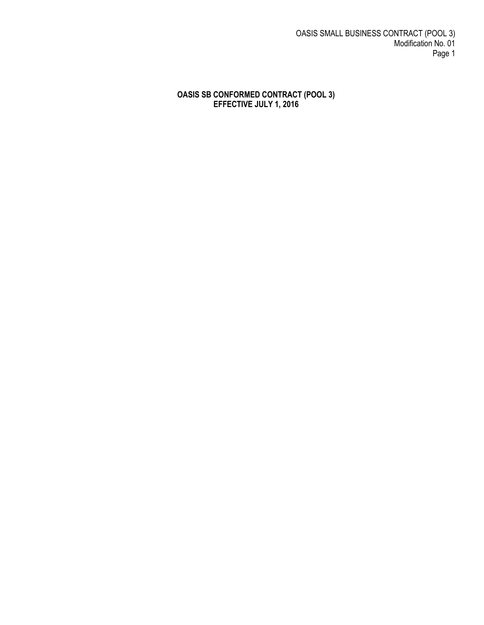OASIS SMALL BUSINESS CONTRACT (POOL 3) Modification No. 01 Page 1

#### **OASIS SB CONFORMED CONTRACT (POOL 3) EFFECTIVE JULY 1, 2016**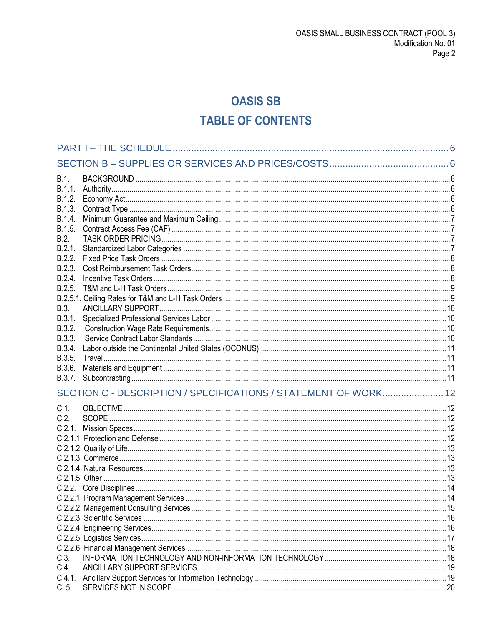# **OASIS SB TABLE OF CONTENTS**

| B.1.<br>B.1.1.<br>B.1.2. |                                                                 |  |
|--------------------------|-----------------------------------------------------------------|--|
| B.1.3.<br>B.1.4.         |                                                                 |  |
| B.1.5.<br>B.2.           |                                                                 |  |
| B.2.1.<br>B.2.2.         |                                                                 |  |
| B.2.3.<br>B.2.4.         |                                                                 |  |
| B.2.5.                   |                                                                 |  |
| B.3.                     |                                                                 |  |
| B.3.1.<br>B.3.2.         |                                                                 |  |
| B.3.3.<br>B.3.4.         |                                                                 |  |
| B.3.5.<br>B.3.6.         |                                                                 |  |
| B.3.7.                   | SECTION C - DESCRIPTION / SPECIFICATIONS / STATEMENT OF WORK 12 |  |
| $C.1$ .                  |                                                                 |  |
| C.2.                     |                                                                 |  |
| C.2.1.                   |                                                                 |  |
|                          |                                                                 |  |
|                          |                                                                 |  |
|                          |                                                                 |  |
|                          |                                                                 |  |
|                          |                                                                 |  |
|                          |                                                                 |  |
|                          |                                                                 |  |
|                          |                                                                 |  |
|                          |                                                                 |  |
|                          |                                                                 |  |
| C.3.                     |                                                                 |  |
| C.4.                     |                                                                 |  |
| C.5.                     |                                                                 |  |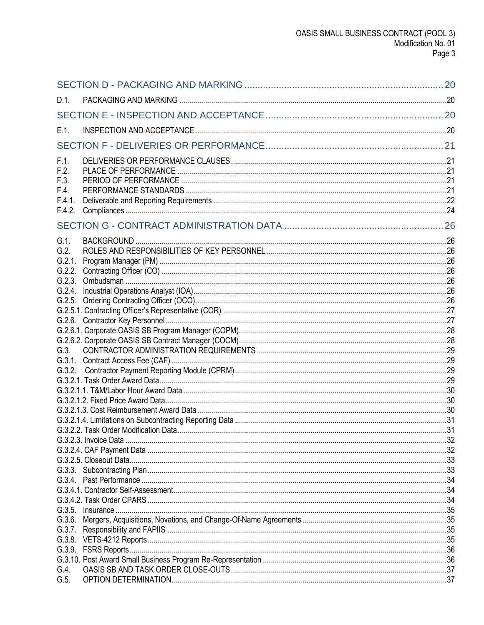| $D.1$ . |  |
|---------|--|
|         |  |
| $E.1$ . |  |
|         |  |
| F.1.    |  |
| F.2.    |  |
| F.3.    |  |
| F.4.    |  |
| F.4.1.  |  |
| F.4.2.  |  |
|         |  |
| $G.1$ . |  |
| G.2.    |  |
| G.2.1.  |  |
| G.2.2.  |  |
|         |  |
|         |  |
|         |  |
|         |  |
|         |  |
|         |  |
| G.3.    |  |
|         |  |
|         |  |
|         |  |
|         |  |
|         |  |
|         |  |
|         |  |
|         |  |
|         |  |
|         |  |
|         |  |
|         |  |
|         |  |
|         |  |
|         |  |
|         |  |
|         |  |
|         |  |
|         |  |
|         |  |
| G.4.    |  |
| G.5.    |  |
|         |  |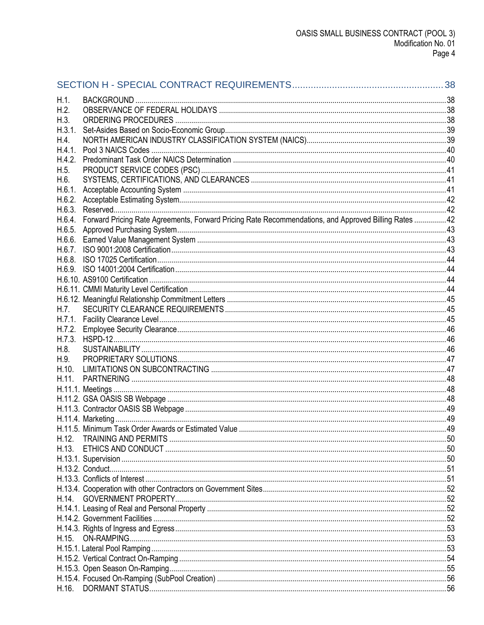| H.1.   |                                                                                                      |    |
|--------|------------------------------------------------------------------------------------------------------|----|
| H.2.   |                                                                                                      |    |
| H.3.   |                                                                                                      |    |
| H.3.1. |                                                                                                      |    |
| H.4.   |                                                                                                      |    |
| H.4.1. |                                                                                                      |    |
| H.4.2. |                                                                                                      |    |
| H.5.   |                                                                                                      |    |
| H.6.   |                                                                                                      |    |
| H.6.1. |                                                                                                      |    |
| H.6.2. |                                                                                                      |    |
| H.6.3. |                                                                                                      |    |
| H.6.4. | Forward Pricing Rate Agreements, Forward Pricing Rate Recommendations, and Approved Billing Rates 42 |    |
| H.6.5. |                                                                                                      |    |
| H.6.6. |                                                                                                      |    |
| H.6.7. |                                                                                                      |    |
| H.6.8. |                                                                                                      |    |
|        |                                                                                                      |    |
|        |                                                                                                      |    |
|        |                                                                                                      |    |
|        |                                                                                                      |    |
| H.7.   |                                                                                                      |    |
| H.7.1. |                                                                                                      |    |
|        |                                                                                                      |    |
| H.7.2. |                                                                                                      |    |
| H.7.3. |                                                                                                      |    |
| H.8.   |                                                                                                      |    |
| H.9.   |                                                                                                      |    |
| H.10.  |                                                                                                      |    |
| H.11.  |                                                                                                      |    |
|        |                                                                                                      |    |
|        |                                                                                                      |    |
|        |                                                                                                      |    |
|        | H.11.5. Minimum Task Order Awards or Estimated Value                                                 |    |
|        |                                                                                                      | 49 |
| H.12.  |                                                                                                      |    |
|        |                                                                                                      |    |
|        |                                                                                                      |    |
|        |                                                                                                      |    |
|        |                                                                                                      |    |
|        |                                                                                                      |    |
| H.14.  | <b>GOVERNMENT PROPERTY</b>                                                                           |    |
|        |                                                                                                      |    |
|        |                                                                                                      |    |
|        |                                                                                                      |    |
| H.15.  |                                                                                                      |    |
|        |                                                                                                      |    |
|        |                                                                                                      |    |
|        |                                                                                                      |    |
|        |                                                                                                      |    |
| H.16.  |                                                                                                      |    |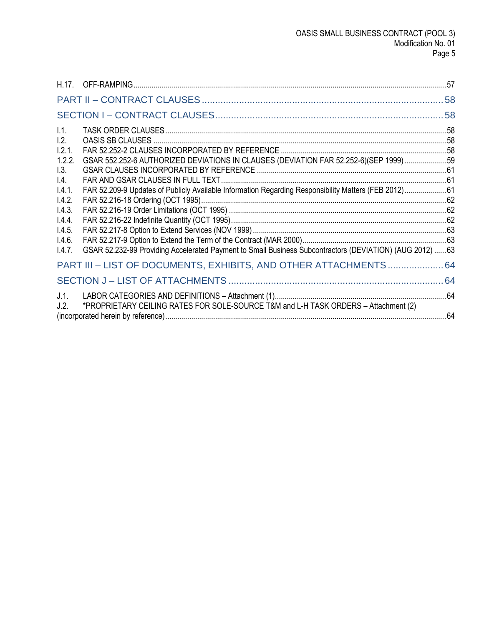| 1.1.<br>1.2.                        |                                                                                                          |  |
|-------------------------------------|----------------------------------------------------------------------------------------------------------|--|
| 1.2.1.<br>1.2.2.<br>1.3.            | GSAR 552.252-6 AUTHORIZED DEVIATIONS IN CLAUSES (DEVIATION FAR 52.252-6)(SEP 1999)59                     |  |
| $\mathsf{I}4$ .<br>1.4.1.<br>1.4.2. | FAR 52.209-9 Updates of Publicly Available Information Regarding Responsibility Matters (FEB 2012)61     |  |
| 1.4.3.<br>1.4.4.                    |                                                                                                          |  |
| 1.4.5.<br>1.4.6.<br>1.4.7.          | GSAR 52.232-99 Providing Accelerated Payment to Small Business Subcontractors (DEVIATION) (AUG 2012)  63 |  |
|                                     | PART III - LIST OF DOCUMENTS, EXHIBITS, AND OTHER ATTACHMENTS  64                                        |  |
|                                     |                                                                                                          |  |
| J.1.<br>J.2.                        | *PROPRIETARY CEILING RATES FOR SOLE-SOURCE T&M and L-H TASK ORDERS - Attachment (2)                      |  |
|                                     |                                                                                                          |  |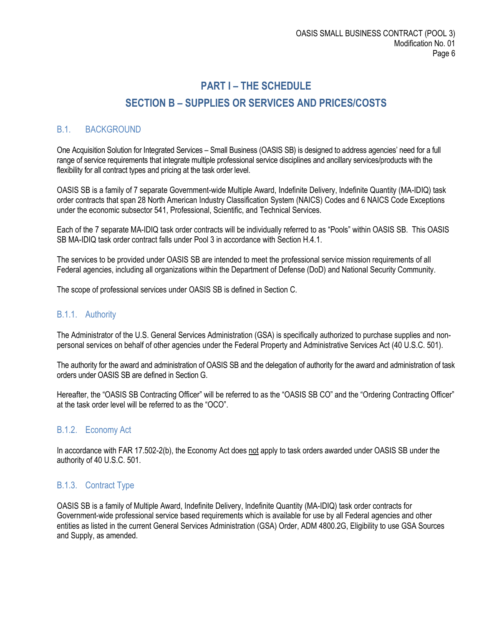# **PART I – THE SCHEDULE SECTION B – SUPPLIES OR SERVICES AND PRICES/COSTS**

# <span id="page-5-2"></span><span id="page-5-1"></span><span id="page-5-0"></span>B.1. BACKGROUND

One Acquisition Solution for Integrated Services – Small Business (OASIS SB) is designed to address agencies' need for a full range of service requirements that integrate multiple professional service disciplines and ancillary services/products with the flexibility for all contract types and pricing at the task order level.

OASIS SB is a family of 7 separate Government-wide Multiple Award, Indefinite Delivery, Indefinite Quantity (MA-IDIQ) task order contracts that span 28 North American Industry Classification System (NAICS) Codes and 6 NAICS Code Exceptions under the economic subsector 541, Professional, Scientific, and Technical Services.

Each of the 7 separate MA-IDIQ task order contracts will be individually referred to as "Pools" within OASIS SB. This OASIS SB MA-IDIQ task order contract falls under Pool 3 in accordance with Section H.4.1.

The services to be provided under OASIS SB are intended to meet the professional service mission requirements of all Federal agencies, including all organizations within the Department of Defense (DoD) and National Security Community.

The scope of professional services under OASIS SB is defined in Section C.

#### <span id="page-5-3"></span>B.1.1. Authority

The Administrator of the U.S. General Services Administration (GSA) is specifically authorized to purchase supplies and nonpersonal services on behalf of other agencies under the Federal Property and Administrative Services Act (40 U.S.C. 501).

The authority for the award and administration of OASIS SB and the delegation of authority for the award and administration of task orders under OASIS SB are defined in Section G.

Hereafter, the "OASIS SB Contracting Officer" will be referred to as the "OASIS SB CO" and the "Ordering Contracting Officer" at the task order level will be referred to as the "OCO".

#### <span id="page-5-4"></span>B.1.2. Economy Act

In accordance with FAR 17.502-2(b), the Economy Act does not apply to task orders awarded under OASIS SB under the authority of 40 U.S.C. 501.

## <span id="page-5-5"></span>B.1.3. Contract Type

OASIS SB is a family of Multiple Award, Indefinite Delivery, Indefinite Quantity (MA-IDIQ) task order contracts for Government-wide professional service based requirements which is available for use by all Federal agencies and other entities as listed in the current General Services Administration (GSA) Order, ADM 4800.2G, Eligibility to use GSA Sources and Supply, as amended.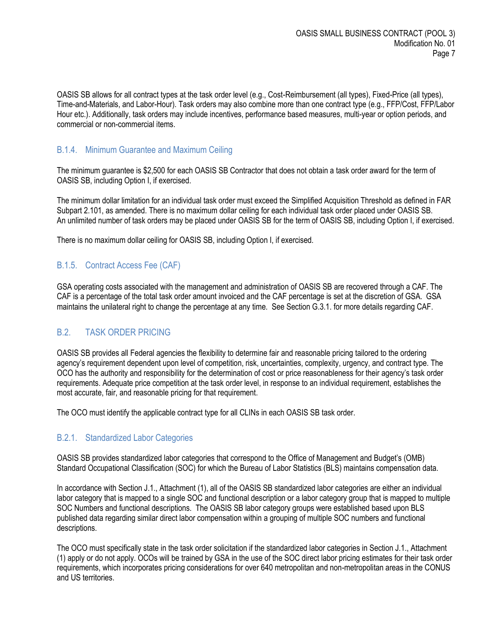OASIS SB allows for all contract types at the task order level (e.g., Cost-Reimbursement (all types), Fixed-Price (all types), Time-and-Materials, and Labor-Hour). Task orders may also combine more than one contract type (e.g., FFP/Cost, FFP/Labor Hour etc.). Additionally, task orders may include incentives, performance based measures, multi-year or option periods, and commercial or non-commercial items.

#### <span id="page-6-0"></span>B.1.4. Minimum Guarantee and Maximum Ceiling

The minimum guarantee is \$2,500 for each OASIS SB Contractor that does not obtain a task order award for the term of OASIS SB, including Option I, if exercised.

The minimum dollar limitation for an individual task order must exceed the Simplified Acquisition Threshold as defined in FAR Subpart 2.101, as amended. There is no maximum dollar ceiling for each individual task order placed under OASIS SB. An unlimited number of task orders may be placed under OASIS SB for the term of OASIS SB, including Option I, if exercised.

There is no maximum dollar ceiling for OASIS SB, including Option I, if exercised.

## <span id="page-6-1"></span>B.1.5. Contract Access Fee (CAF)

GSA operating costs associated with the management and administration of OASIS SB are recovered through a CAF. The CAF is a percentage of the total task order amount invoiced and the CAF percentage is set at the discretion of GSA. GSA maintains the unilateral right to change the percentage at any time. See Section G.3.1. for more details regarding CAF.

## <span id="page-6-2"></span>B.2. TASK ORDER PRICING

OASIS SB provides all Federal agencies the flexibility to determine fair and reasonable pricing tailored to the ordering agency's requirement dependent upon level of competition, risk, uncertainties, complexity, urgency, and contract type. The OCO has the authority and responsibility for the determination of cost or price reasonableness for their agency's task order requirements. Adequate price competition at the task order level, in response to an individual requirement, establishes the most accurate, fair, and reasonable pricing for that requirement.

The OCO must identify the applicable contract type for all CLINs in each OASIS SB task order.

#### <span id="page-6-3"></span>B.2.1. Standardized Labor Categories

OASIS SB provides standardized labor categories that correspond to the Office of Management and Budget's (OMB) Standard Occupational Classification (SOC) for which the Bureau of Labor Statistics (BLS) maintains compensation data.

In accordance with Section J.1., Attachment (1), all of the OASIS SB standardized labor categories are either an individual labor category that is mapped to a single SOC and functional description or a labor category group that is mapped to multiple SOC Numbers and functional descriptions. The OASIS SB labor category groups were established based upon BLS published data regarding similar direct labor compensation within a grouping of multiple SOC numbers and functional descriptions.

The OCO must specifically state in the task order solicitation if the standardized labor categories in Section J.1., Attachment (1) apply or do not apply. OCOs will be trained by GSA in the use of the SOC direct labor pricing estimates for their task order requirements, which incorporates pricing considerations for over 640 metropolitan and non-metropolitan areas in the CONUS and US territories.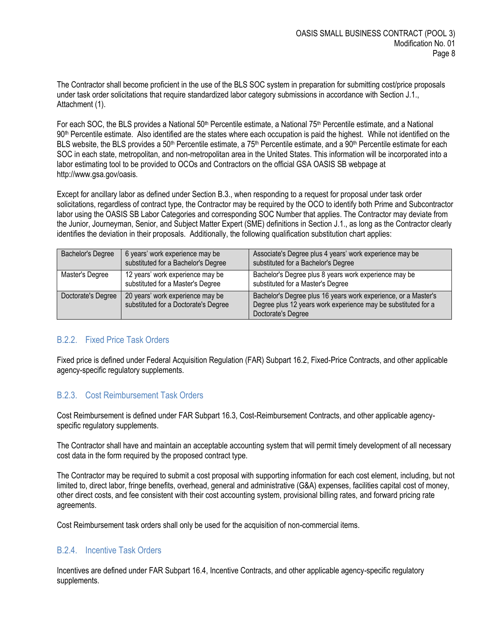The Contractor shall become proficient in the use of the BLS SOC system in preparation for submitting cost/price proposals under task order solicitations that require standardized labor category submissions in accordance with Section J.1., Attachment (1).

For each SOC, the BLS provides a National 50<sup>th</sup> Percentile estimate, a National 75<sup>th</sup> Percentile estimate, and a National 90th Percentile estimate. Also identified are the states where each occupation is paid the highest. While not identified on the BLS website, the BLS provides a 50<sup>th</sup> Percentile estimate, a 75<sup>th</sup> Percentile estimate, and a 90<sup>th</sup> Percentile estimate for each SOC in each state, metropolitan, and non-metropolitan area in the United States. This information will be incorporated into a labor estimating tool to be provided to OCOs and Contractors on the official GSA OASIS SB webpage at http://www.gsa.gov/oasis.

Except for ancillary labor as defined under Section B.3., when responding to a request for proposal under task order solicitations, regardless of contract type, the Contractor may be required by the OCO to identify both Prime and Subcontractor labor using the OASIS SB Labor Categories and corresponding SOC Number that applies. The Contractor may deviate from the Junior, Journeyman, Senior, and Subject Matter Expert (SME) definitions in Section J.1., as long as the Contractor clearly identifies the deviation in their proposals. Additionally, the following qualification substitution chart applies:

| <b>Bachelor's Degree</b> | 6 years' work experience may be<br>substituted for a Bachelor's Degree   | Associate's Degree plus 4 years' work experience may be<br>substituted for a Bachelor's Degree                                                        |
|--------------------------|--------------------------------------------------------------------------|-------------------------------------------------------------------------------------------------------------------------------------------------------|
| Master's Degree          | 12 years' work experience may be<br>substituted for a Master's Degree    | Bachelor's Degree plus 8 years work experience may be<br>substituted for a Master's Degree                                                            |
| Doctorate's Degree       | 20 years' work experience may be<br>substituted for a Doctorate's Degree | Bachelor's Degree plus 16 years work experience, or a Master's<br>Degree plus 12 years work experience may be substituted for a<br>Doctorate's Degree |

## <span id="page-7-0"></span>B.2.2. Fixed Price Task Orders

Fixed price is defined under Federal Acquisition Regulation (FAR) Subpart 16.2, Fixed-Price Contracts, and other applicable agency-specific regulatory supplements.

## <span id="page-7-1"></span>B.2.3. Cost Reimbursement Task Orders

Cost Reimbursement is defined under FAR Subpart 16.3, Cost-Reimbursement Contracts, and other applicable agencyspecific regulatory supplements.

The Contractor shall have and maintain an acceptable accounting system that will permit timely development of all necessary cost data in the form required by the proposed contract type.

The Contractor may be required to submit a cost proposal with supporting information for each cost element, including, but not limited to, direct labor, fringe benefits, overhead, general and administrative (G&A) expenses, facilities capital cost of money, other direct costs, and fee consistent with their cost accounting system, provisional billing rates, and forward pricing rate agreements.

Cost Reimbursement task orders shall only be used for the acquisition of non-commercial items.

## <span id="page-7-2"></span>B.2.4. Incentive Task Orders

Incentives are defined under FAR Subpart 16.4, Incentive Contracts, and other applicable agency-specific regulatory supplements.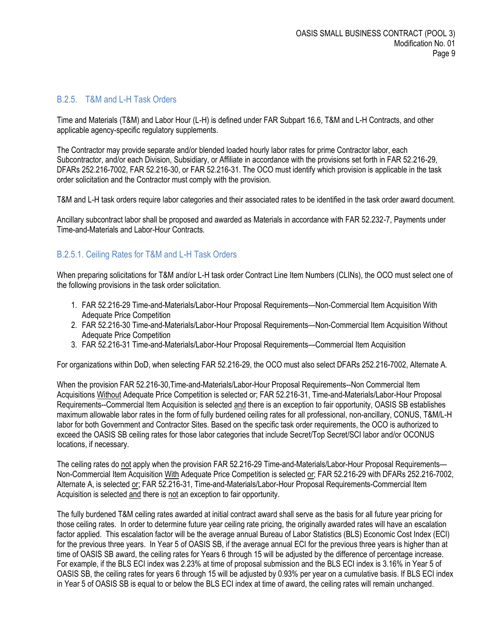#### <span id="page-8-0"></span>B.2.5. T&M and L-H Task Orders

Time and Materials (T&M) and Labor Hour (L-H) is defined under FAR Subpart 16.6, T&M and L-H Contracts, and other applicable agency-specific regulatory supplements.

The Contractor may provide separate and/or blended loaded hourly labor rates for prime Contractor labor, each Subcontractor, and/or each Division, Subsidiary, or Affiliate in accordance with the provisions set forth in FAR 52.216-29, DFARs 252.216-7002, FAR 52.216-30, or FAR 52.216-31. The OCO must identify which provision is applicable in the task order solicitation and the Contractor must comply with the provision.

T&M and L-H task orders require labor categories and their associated rates to be identified in the task order award document.

Ancillary subcontract labor shall be proposed and awarded as Materials in accordance with FAR 52.232-7, Payments under Time-and-Materials and Labor-Hour Contracts.

#### <span id="page-8-1"></span>B.2.5.1. Ceiling Rates for T&M and L-H Task Orders

When preparing solicitations for T&M and/or L-H task order Contract Line Item Numbers (CLINs), the OCO must select one of the following provisions in the task order solicitation.

- 1. FAR 52.216-29 Time-and-Materials/Labor-Hour Proposal Requirements—Non-Commercial Item Acquisition With Adequate Price Competition
- 2. FAR 52.216-30 Time-and-Materials/Labor-Hour Proposal Requirements—Non-Commercial Item Acquisition Without Adequate Price Competition
- 3. FAR 52.216-31 Time-and-Materials/Labor-Hour Proposal Requirements—Commercial Item Acquisition

For organizations within DoD, when selecting FAR 52.216-29, the OCO must also select DFARs 252.216-7002, Alternate A.

When the provision FAR 52.216-30,Time-and-Materials/Labor-Hour Proposal Requirements--Non Commercial Item Acquisitions Without Adequate Price Competition is selected or; FAR 52.216-31, Time-and-Materials/Labor-Hour Proposal Requirements--Commercial Item Acquisition is selected and there is an exception to fair opportunity, OASIS SB establishes maximum allowable labor rates in the form of fully burdened ceiling rates for all professional, non-ancillary, CONUS, T&M/L-H labor for both Government and Contractor Sites. Based on the specific task order requirements, the OCO is authorized to exceed the OASIS SB ceiling rates for those labor categories that include Secret/Top Secret/SCI labor and/or OCONUS locations, if necessary.

The ceiling rates do not apply when the provision FAR 52.216-29 Time-and-Materials/Labor-Hour Proposal Requirements— Non-Commercial Item Acquisition With Adequate Price Competition is selected or; FAR 52.216-29 with DFARs 252.216-7002, Alternate A, is selected or; FAR 52.216-31, Time-and-Materials/Labor-Hour Proposal Requirements-Commercial Item Acquisition is selected and there is not an exception to fair opportunity.

The fully burdened T&M ceiling rates awarded at initial contract award shall serve as the basis for all future year pricing for those ceiling rates. In order to determine future year ceiling rate pricing, the originally awarded rates will have an escalation factor applied. This escalation factor will be the average annual Bureau of Labor Statistics (BLS) Economic Cost Index (ECI) for the previous three years. In Year 5 of OASIS SB, if the average annual ECI for the previous three years is higher than at time of OASIS SB award, the ceiling rates for Years 6 through 15 will be adjusted by the difference of percentage increase. For example, if the BLS ECI index was 2.23% at time of proposal submission and the BLS ECI index is 3.16% in Year 5 of OASIS SB, the ceiling rates for years 6 through 15 will be adjusted by 0.93% per year on a cumulative basis. If BLS ECI index in Year 5 of OASIS SB is equal to or below the BLS ECI index at time of award, the ceiling rates will remain unchanged.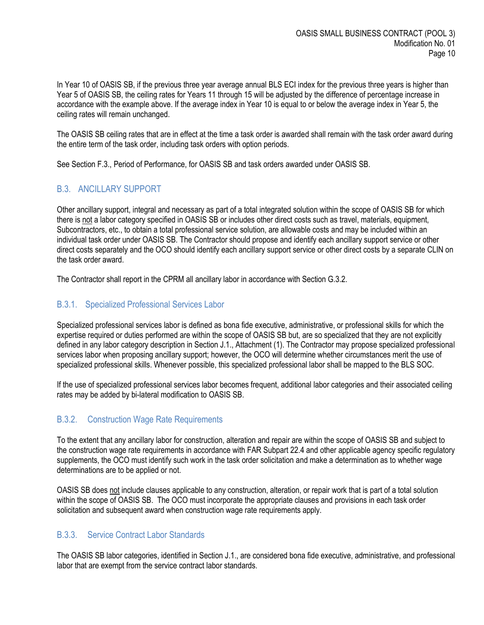In Year 10 of OASIS SB, if the previous three year average annual BLS ECI index for the previous three years is higher than Year 5 of OASIS SB, the ceiling rates for Years 11 through 15 will be adjusted by the difference of percentage increase in accordance with the example above. If the average index in Year 10 is equal to or below the average index in Year 5, the ceiling rates will remain unchanged.

The OASIS SB ceiling rates that are in effect at the time a task order is awarded shall remain with the task order award during the entire term of the task order, including task orders with option periods.

See Section F.3., Period of Performance, for OASIS SB and task orders awarded under OASIS SB.

# <span id="page-9-0"></span>B.3. ANCILLARY SUPPORT

Other ancillary support, integral and necessary as part of a total integrated solution within the scope of OASIS SB for which there is not a labor category specified in OASIS SB or includes other direct costs such as travel, materials, equipment, Subcontractors, etc., to obtain a total professional service solution, are allowable costs and may be included within an individual task order under OASIS SB. The Contractor should propose and identify each ancillary support service or other direct costs separately and the OCO should identify each ancillary support service or other direct costs by a separate CLIN on the task order award.

The Contractor shall report in the CPRM all ancillary labor in accordance with Section G.3.2.

## <span id="page-9-1"></span>B.3.1. Specialized Professional Services Labor

Specialized professional services labor is defined as bona fide executive, administrative, or professional skills for which the expertise required or duties performed are within the scope of OASIS SB but, are so specialized that they are not explicitly defined in any labor category description in Section J.1., Attachment (1). The Contractor may propose specialized professional services labor when proposing ancillary support; however, the OCO will determine whether circumstances merit the use of specialized professional skills. Whenever possible, this specialized professional labor shall be mapped to the BLS SOC.

If the use of specialized professional services labor becomes frequent, additional labor categories and their associated ceiling rates may be added by bi-lateral modification to OASIS SB.

## <span id="page-9-2"></span>B.3.2. Construction Wage Rate Requirements

To the extent that any ancillary labor for construction, alteration and repair are within the scope of OASIS SB and subject to the construction wage rate requirements in accordance with FAR Subpart 22.4 and other applicable agency specific regulatory supplements, the OCO must identify such work in the task order solicitation and make a determination as to whether wage determinations are to be applied or not.

OASIS SB does not include clauses applicable to any construction, alteration, or repair work that is part of a total solution within the scope of OASIS SB. The OCO must incorporate the appropriate clauses and provisions in each task order solicitation and subsequent award when construction wage rate requirements apply.

## <span id="page-9-3"></span>B.3.3. Service Contract Labor Standards

The OASIS SB labor categories, identified in Section J.1., are considered bona fide executive, administrative, and professional labor that are exempt from the service contract labor standards.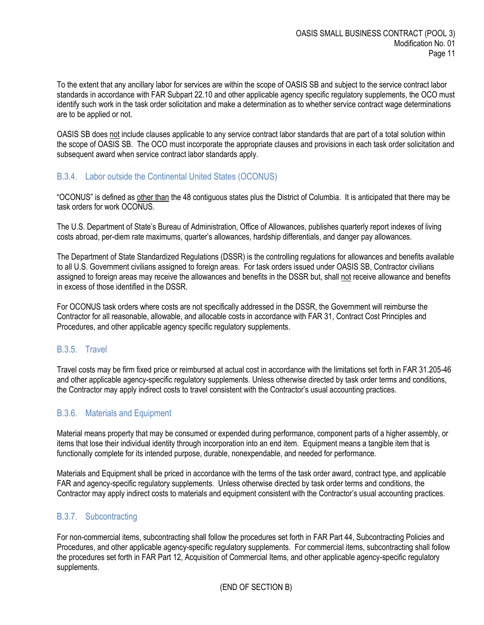To the extent that any ancillary labor for services are within the scope of OASIS SB and subject to the service contract labor standards in accordance with FAR Subpart 22.10 and other applicable agency specific regulatory supplements, the OCO must identify such work in the task order solicitation and make a determination as to whether service contract wage determinations are to be applied or not.

OASIS SB does not include clauses applicable to any service contract labor standards that are part of a total solution within the scope of OASIS SB. The OCO must incorporate the appropriate clauses and provisions in each task order solicitation and subsequent award when service contract labor standards apply.

#### <span id="page-10-0"></span>B.3.4. Labor outside the Continental United States (OCONUS)

"OCONUS" is defined as other than the 48 contiguous states plus the District of Columbia. It is anticipated that there may be task orders for work OCONUS.

The U.S. Department of State's Bureau of Administration, Office of Allowances, publishes quarterly report indexes of living costs abroad, per-diem rate maximums, quarter's allowances, hardship differentials, and danger pay allowances.

The Department of State Standardized Regulations (DSSR) is the controlling regulations for allowances and benefits available to all U.S. Government civilians assigned to foreign areas. For task orders issued under OASIS SB, Contractor civilians assigned to foreign areas may receive the allowances and benefits in the DSSR but, shall not receive allowance and benefits in excess of those identified in the DSSR.

For OCONUS task orders where costs are not specifically addressed in the DSSR, the Government will reimburse the Contractor for all reasonable, allowable, and allocable costs in accordance with FAR 31, Contract Cost Principles and Procedures, and other applicable agency specific regulatory supplements.

#### <span id="page-10-1"></span>B.3.5. Travel

Travel costs may be firm fixed price or reimbursed at actual cost in accordance with the limitations set forth in FAR 31.205-46 and other applicable agency-specific regulatory supplements. Unless otherwise directed by task order terms and conditions, the Contractor may apply indirect costs to travel consistent with the Contractor's usual accounting practices.

## <span id="page-10-2"></span>B.3.6. Materials and Equipment

Material means property that may be consumed or expended during performance, component parts of a higher assembly, or items that lose their individual identity through incorporation into an end item. Equipment means a tangible item that is functionally complete for its intended purpose, durable, nonexpendable, and needed for performance.

Materials and Equipment shall be priced in accordance with the terms of the task order award, contract type, and applicable FAR and agency-specific regulatory supplements. Unless otherwise directed by task order terms and conditions, the Contractor may apply indirect costs to materials and equipment consistent with the Contractor's usual accounting practices.

#### <span id="page-10-3"></span>B.3.7. Subcontracting

For non-commercial items, subcontracting shall follow the procedures set forth in FAR Part 44, Subcontracting Policies and Procedures, and other applicable agency-specific regulatory supplements. For commercial items, subcontracting shall follow the procedures set forth in FAR Part 12, Acquisition of Commercial Items, and other applicable agency-specific regulatory supplements.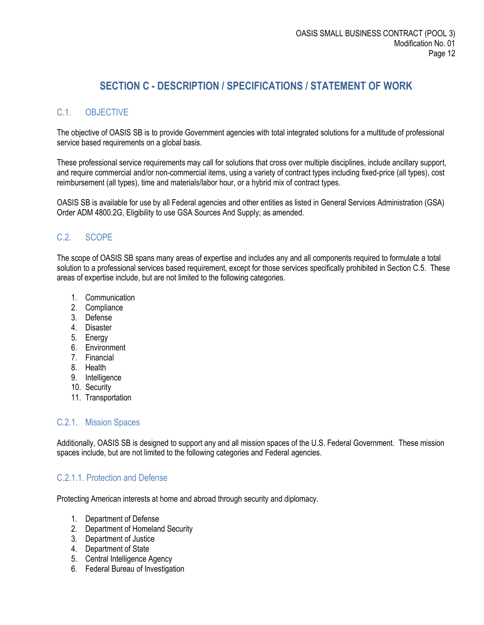# **SECTION C - DESCRIPTION / SPECIFICATIONS / STATEMENT OF WORK**

# <span id="page-11-1"></span><span id="page-11-0"></span>C.1. OBJECTIVE

The objective of OASIS SB is to provide Government agencies with total integrated solutions for a multitude of professional service based requirements on a global basis.

These professional service requirements may call for solutions that cross over multiple disciplines, include ancillary support, and require commercial and/or non-commercial items, using a variety of contract types including fixed-price (all types), cost reimbursement (all types), time and materials/labor hour, or a hybrid mix of contract types.

OASIS SB is available for use by all Federal agencies and other entities as listed in General Services Administration (GSA) Order ADM 4800.2G, Eligibility to use GSA Sources And Supply; as amended.

## <span id="page-11-2"></span>C.2. SCOPE

The scope of OASIS SB spans many areas of expertise and includes any and all components required to formulate a total solution to a professional services based requirement, except for those services specifically prohibited in Section C.5. These areas of expertise include, but are not limited to the following categories.

- 1. Communication
- 2. Compliance
- 3. Defense
- 4. Disaster
- 5. Energy
- 6. Environment
- 7. Financial
- 8. Health
- 9. Intelligence
- 10. Security
- 11. Transportation

## <span id="page-11-3"></span>C.2.1. Mission Spaces

Additionally, OASIS SB is designed to support any and all mission spaces of the U.S. Federal Government. These mission spaces include, but are not limited to the following categories and Federal agencies.

## <span id="page-11-4"></span>C.2.1.1. Protection and Defense

Protecting American interests at home and abroad through security and diplomacy.

- 1. Department of Defense
- 2. Department of Homeland Security
- 3. Department of Justice
- 4. Department of State
- 5. Central Intelligence Agency
- 6. Federal Bureau of Investigation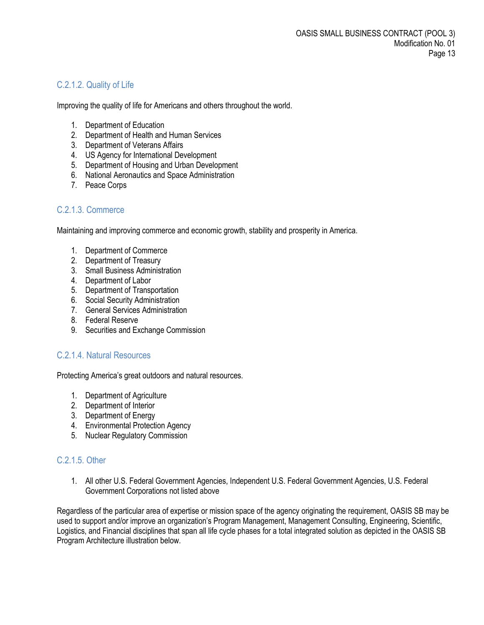# <span id="page-12-0"></span>C.2.1.2. Quality of Life

Improving the quality of life for Americans and others throughout the world.

- 1. Department of Education
- 2. Department of Health and Human Services
- 3. Department of Veterans Affairs
- 4. US Agency for International Development
- 5. Department of Housing and Urban Development
- 6. National Aeronautics and Space Administration
- 7. Peace Corps

## <span id="page-12-1"></span>C.2.1.3. Commerce

Maintaining and improving commerce and economic growth, stability and prosperity in America.

- 1. Department of Commerce
- 2. Department of Treasury
- 3. Small Business Administration
- 4. Department of Labor
- 5. Department of Transportation
- 6. Social Security Administration
- 7. General Services Administration
- 8. Federal Reserve
- 9. Securities and Exchange Commission

#### <span id="page-12-2"></span>C.2.1.4. Natural Resources

Protecting America's great outdoors and natural resources.

- 1. Department of Agriculture
- 2. Department of Interior
- 3. Department of Energy
- 4. Environmental Protection Agency
- 5. Nuclear Regulatory Commission

## <span id="page-12-3"></span>C.2.1.5. Other

1. All other U.S. Federal Government Agencies, Independent U.S. Federal Government Agencies, U.S. Federal Government Corporations not listed above

Regardless of the particular area of expertise or mission space of the agency originating the requirement, OASIS SB may be used to support and/or improve an organization's Program Management, Management Consulting, Engineering, Scientific, Logistics, and Financial disciplines that span all life cycle phases for a total integrated solution as depicted in the OASIS SB Program Architecture illustration below.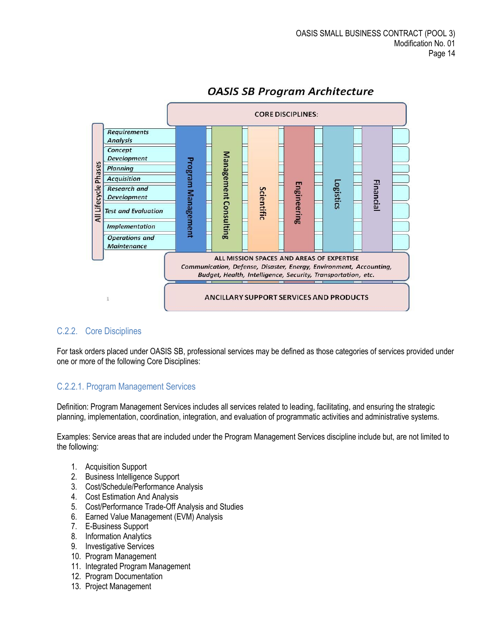

# **OASIS SB Program Architecture**

## <span id="page-13-0"></span>C.2.2. Core Disciplines

For task orders placed under OASIS SB, professional services may be defined as those categories of services provided under one or more of the following Core Disciplines:

## <span id="page-13-1"></span>C.2.2.1. Program Management Services

Definition: Program Management Services includes all services related to leading, facilitating, and ensuring the strategic planning, implementation, coordination, integration, and evaluation of programmatic activities and administrative systems.

Examples: Service areas that are included under the Program Management Services discipline include but, are not limited to the following:

- 1. Acquisition Support
- 2. Business Intelligence Support
- 3. Cost/Schedule/Performance Analysis
- 4. Cost Estimation And Analysis
- 5. Cost/Performance Trade-Off Analysis and Studies
- 6. Earned Value Management (EVM) Analysis
- 7. E-Business Support
- 8. Information Analytics
- 9. Investigative Services
- 10. Program Management
- 11. Integrated Program Management
- 12. Program Documentation
- 13. Project Management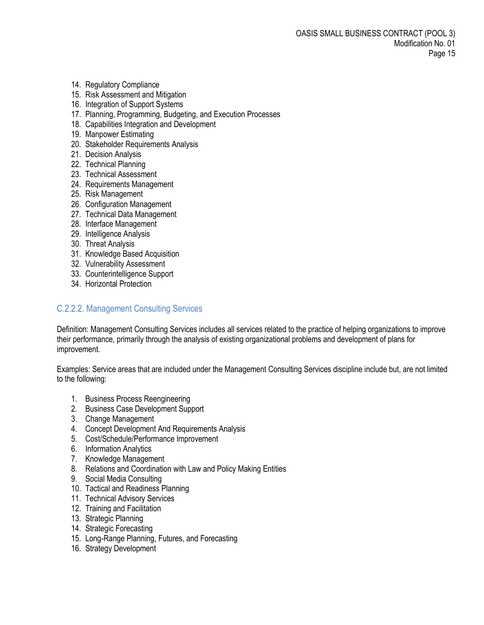- 14. Regulatory Compliance
- 15. Risk Assessment and Mitigation
- 16. Integration of Support Systems
- 17. Planning, Programming, Budgeting, and Execution Processes
- 18. Capabilities Integration and Development
- 19. Manpower Estimating
- 20. Stakeholder Requirements Analysis
- 21. Decision Analysis
- 22. Technical Planning
- 23. Technical Assessment
- 24. Requirements Management
- 25. Risk Management
- 26. Configuration Management
- 27. Technical Data Management
- 28. Interface Management
- 29. Intelligence Analysis
- 30. Threat Analysis
- 31. Knowledge Based Acquisition
- 32. Vulnerability Assessment
- 33. Counterintelligence Support
- 34. Horizontal Protection

## <span id="page-14-0"></span>C.2.2.2. Management Consulting Services

Definition: Management Consulting Services includes all services related to the practice of helping organizations to improve their performance, primarily through the analysis of existing organizational problems and development of plans for improvement.

Examples: Service areas that are included under the Management Consulting Services discipline include but, are not limited to the following:

- 1. Business Process Reengineering
- 2. Business Case Development Support
- 3. Change Management
- 4. Concept Development And Requirements Analysis
- 5. Cost/Schedule/Performance Improvement
- 6. Information Analytics
- 7. Knowledge Management
- 8. Relations and Coordination with Law and Policy Making Entities
- 9. Social Media Consulting
- 10. Tactical and Readiness Planning
- 11. Technical Advisory Services
- 12. Training and Facilitation
- 13. Strategic Planning
- 14. Strategic Forecasting
- 15. Long-Range Planning, Futures, and Forecasting
- 16. Strategy Development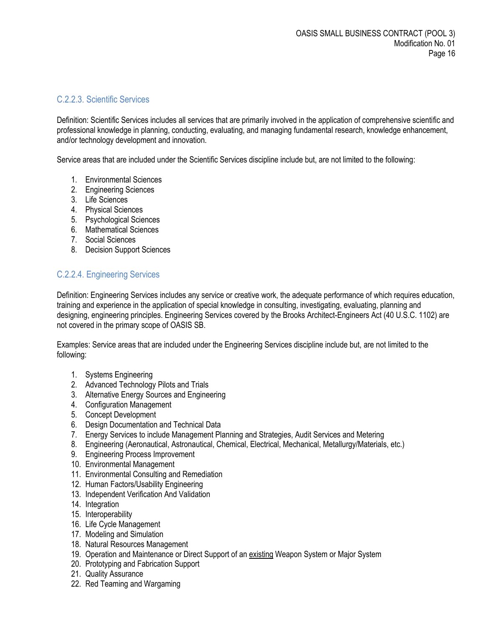#### <span id="page-15-0"></span>C.2.2.3. Scientific Services

Definition: Scientific Services includes all services that are primarily involved in the application of comprehensive scientific and professional knowledge in planning, conducting, evaluating, and managing fundamental research, knowledge enhancement, and/or technology development and innovation.

Service areas that are included under the Scientific Services discipline include but, are not limited to the following:

- 1. Environmental Sciences
- 2. Engineering Sciences
- 3. Life Sciences
- 4. Physical Sciences
- 5. Psychological Sciences
- 6. Mathematical Sciences
- 7. Social Sciences
- 8. Decision Support Sciences

## <span id="page-15-1"></span>C.2.2.4. Engineering Services

Definition: Engineering Services includes any service or creative work, the adequate performance of which requires education, training and experience in the application of special knowledge in consulting, investigating, evaluating, planning and designing, engineering principles. Engineering Services covered by the Brooks Architect-Engineers Act (40 U.S.C. 1102) are not covered in the primary scope of OASIS SB.

Examples: Service areas that are included under the Engineering Services discipline include but, are not limited to the following:

- 1. Systems Engineering
- 2. Advanced Technology Pilots and Trials
- 3. Alternative Energy Sources and Engineering
- 4. Configuration Management
- 5. Concept Development
- 6. Design Documentation and Technical Data
- 7. Energy Services to include Management Planning and Strategies, Audit Services and Metering
- 8. Engineering (Aeronautical, Astronautical, Chemical, Electrical, Mechanical, Metallurgy/Materials, etc.)
- 9. Engineering Process Improvement
- 10. Environmental Management
- 11. Environmental Consulting and Remediation
- 12. Human Factors/Usability Engineering
- 13. Independent Verification And Validation
- 14. Integration
- 15. Interoperability
- 16. Life Cycle Management
- 17. Modeling and Simulation
- 18. Natural Resources Management
- 19. Operation and Maintenance or Direct Support of an existing Weapon System or Major System
- 20. Prototyping and Fabrication Support
- 21. Quality Assurance
- 22. Red Teaming and Wargaming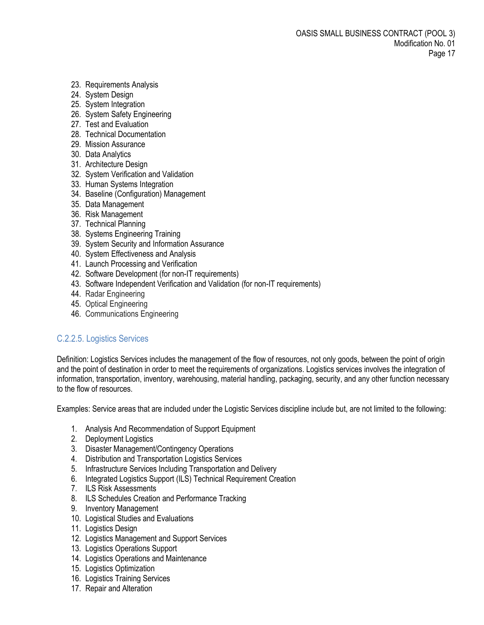- 23. Requirements Analysis
- 24. System Design
- 25. System Integration
- 26. System Safety Engineering
- 27. Test and Evaluation
- 28. Technical Documentation
- 29. Mission Assurance
- 30. Data Analytics
- 31. Architecture Design
- 32. System Verification and Validation
- 33. Human Systems Integration
- 34. Baseline (Configuration) Management
- 35. Data Management
- 36. Risk Management
- 37. Technical Planning
- 38. Systems Engineering Training
- 39. System Security and Information Assurance
- 40. System Effectiveness and Analysis
- 41. Launch Processing and Verification
- 42. Software Development (for non-IT requirements)
- 43. Software Independent Verification and Validation (for non-IT requirements)
- 44. Radar Engineering
- 45. Optical Engineering
- 46. Communications Engineering

## <span id="page-16-0"></span>C.2.2.5. Logistics Services

Definition: Logistics Services includes the management of the flow of resources, not only goods, between the point of origin and the point of destination in order to meet the requirements of organizations. Logistics services involves the integration of information[, transportation,](http://en.wikipedia.org/wiki/Transportation) [inventory,](http://en.wikipedia.org/wiki/Inventory) [warehousing,](http://en.wikipedia.org/wiki/Warehousing) [material handling,](http://en.wikipedia.org/wiki/Materials_management) [packaging,](http://en.wikipedia.org/wiki/Packaging) [security,](http://en.wikipedia.org/wiki/Security) and any other function necessary to the flow of resources.

Examples: Service areas that are included under the Logistic Services discipline include but, are not limited to the following:

- 1. Analysis And Recommendation of Support Equipment
- 2. Deployment Logistics
- 3. Disaster Management/Contingency Operations
- 4. Distribution and Transportation Logistics Services
- 5. Infrastructure Services Including Transportation and Delivery
- 6. Integrated Logistics Support (ILS) Technical Requirement Creation
- 7. ILS Risk Assessments
- 8. ILS Schedules Creation and Performance Tracking
- 9. Inventory Management
- 10. Logistical Studies and Evaluations
- 11. Logistics Design
- 12. Logistics Management and Support Services
- 13. Logistics Operations Support
- 14. Logistics Operations and Maintenance
- 15. Logistics Optimization
- 16. Logistics Training Services
- 17. Repair and Alteration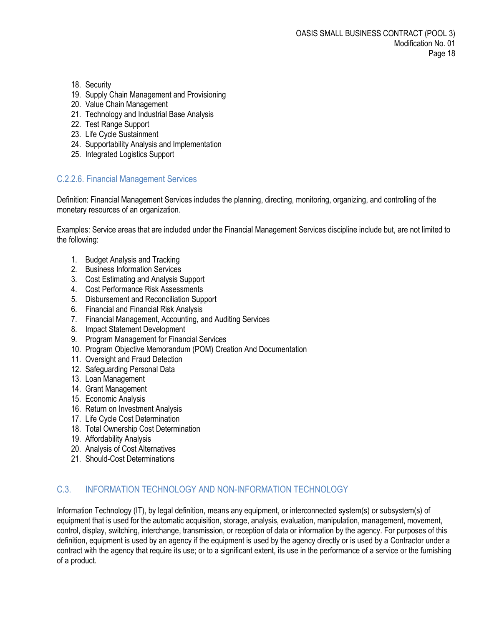- 18. Security
- 19. Supply Chain Management and Provisioning
- 20. Value Chain Management
- 21. Technology and Industrial Base Analysis
- 22. Test Range Support
- 23. Life Cycle Sustainment
- 24. Supportability Analysis and Implementation
- 25. Integrated Logistics Support

## <span id="page-17-0"></span>C.2.2.6. Financial Management Services

Definition: Financial Management Services includes the [planning,](http://www.businessdictionary.com/definition/planning.html) [directing,](http://www.businessdictionary.com/definition/directing.html) [monitoring,](http://www.businessdictionary.com/definition/monitoring.html) [organizing,](http://www.businessdictionary.com/definition/organizing.html) an[d controlling](http://www.businessdictionary.com/definition/controlling.html) of the [monetary](http://www.businessdictionary.com/definition/monetary.html) [resources](http://www.businessdictionary.com/definition/resource.html) of an [organization.](http://www.businessdictionary.com/definition/organization.html)

Examples: Service areas that are included under the Financial Management Services discipline include but, are not limited to the following:

- 1. Budget Analysis and Tracking
- 2. Business Information Services
- 3. Cost Estimating and Analysis Support
- 4. Cost Performance Risk Assessments
- 5. Disbursement and Reconciliation Support
- 6. Financial and Financial Risk Analysis
- 7. Financial Management, Accounting, and Auditing Services
- 8. Impact Statement Development
- 9. Program Management for Financial Services
- 10. Program Objective Memorandum (POM) Creation And Documentation
- 11. Oversight and Fraud Detection
- 12. Safeguarding Personal Data
- 13. Loan Management
- 14. Grant Management
- 15. Economic Analysis
- 16. Return on Investment Analysis
- 17. Life Cycle Cost Determination
- 18. Total Ownership Cost Determination
- 19. Affordability Analysis
- 20. Analysis of Cost Alternatives
- 21. Should-Cost Determinations

## <span id="page-17-1"></span>C.3. INFORMATION TECHNOLOGY AND NON-INFORMATION TECHNOLOGY

Information Technology (IT), by legal definition, means any equipment, or interconnected system(s) or subsystem(s) of equipment that is used for the automatic acquisition, storage, analysis, evaluation, manipulation, management, movement, control, display, switching, interchange, transmission, or reception of data or information by the agency. For purposes of this definition, equipment is used by an agency if the equipment is used by the agency directly or is used by a Contractor under a contract with the agency that require its use; or to a significant extent, its use in the performance of a service or the furnishing of a product.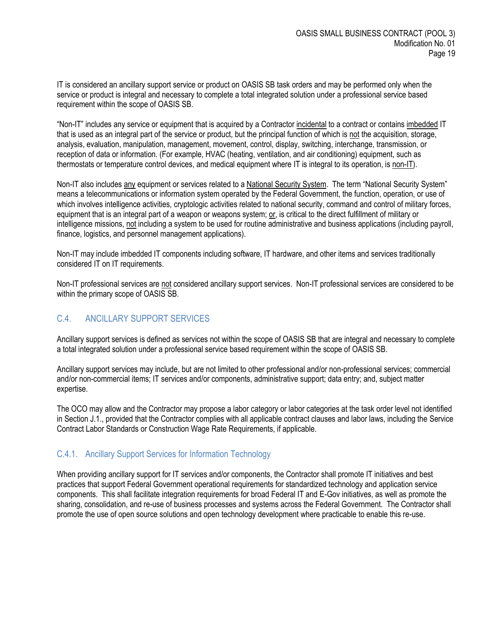IT is considered an ancillary support service or product on OASIS SB task orders and may be performed only when the service or product is integral and necessary to complete a total integrated solution under a professional service based requirement within the scope of OASIS SB.

"Non-IT" includes any service or equipment that is acquired by a Contractor incidental to a contract or contains imbedded IT that is used as an integral part of the service or product, but the principal function of which is not the acquisition, storage, analysis, evaluation, manipulation, management, movement, control, display, switching, interchange, transmission, or reception of data or information. (For example, HVAC (heating, ventilation, and air conditioning) equipment, such as thermostats or temperature control devices, and medical equipment where IT is integral to its operation, is non-IT).

Non-IT also includes any equipment or services related to a National Security System. The term "National Security System" means a telecommunications or information system operated by the Federal Government, the function, operation, or use of which involves intelligence activities, cryptologic activities related to national security, command and control of military forces, equipment that is an integral part of a weapon or weapons system; or, is critical to the direct fulfillment of military or intelligence missions, not including a system to be used for routine administrative and business applications (including payroll, finance, logistics, and personnel management applications).

Non-IT may include imbedded IT components including software, IT hardware, and other items and services traditionally considered IT on IT requirements.

Non-IT professional services are not considered ancillary support services. Non-IT professional services are considered to be within the primary scope of OASIS SB.

# <span id="page-18-0"></span>C.4. ANCILLARY SUPPORT SERVICES

Ancillary support services is defined as services not within the scope of OASIS SB that are integral and necessary to complete a total integrated solution under a professional service based requirement within the scope of OASIS SB.

Ancillary support services may include, but are not limited to other professional and/or non-professional services; commercial and/or non-commercial items; IT services and/or components, administrative support; data entry; and, subject matter expertise.

The OCO may allow and the Contractor may propose a labor category or labor categories at the task order level not identified in Section J.1., provided that the Contractor complies with all applicable contract clauses and labor laws, including the Service Contract Labor Standards or Construction Wage Rate Requirements, if applicable.

## <span id="page-18-1"></span>C.4.1. Ancillary Support Services for Information Technology

When providing ancillary support for IT services and/or components, the Contractor shall promote IT initiatives and best practices that support Federal Government operational requirements for standardized technology and application service components. This shall facilitate integration requirements for broad Federal IT and E-Gov initiatives, as well as promote the sharing, consolidation, and re-use of business processes and systems across the Federal Government. The Contractor shall promote the use of open source solutions and open technology development where practicable to enable this re-use.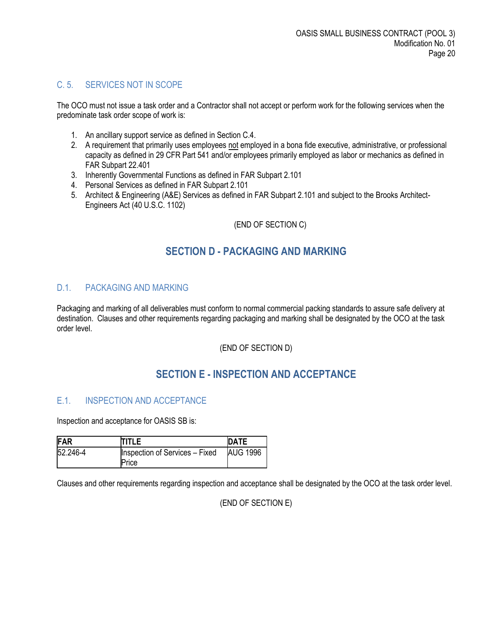# <span id="page-19-0"></span>C. 5. SERVICES NOT IN SCOPE

The OCO must not issue a task order and a Contractor shall not accept or perform work for the following services when the predominate task order scope of work is:

- 1. An ancillary support service as defined in Section C.4.
- 2. A requirement that primarily uses employees not employed in a bona fide executive, administrative, or professional capacity as defined in 29 CFR Part 541 and/or employees primarily employed as labor or mechanics as defined in FAR Subpart 22.401
- 3. Inherently Governmental Functions as defined in FAR Subpart 2.101
- 4. Personal Services as defined in FAR Subpart 2.101
- 5. Architect & Engineering (A&E) Services as defined in FAR Subpart 2.101 and subject to the Brooks Architect-Engineers Act (40 U.S.C. 1102)

#### (END OF SECTION C)

# **SECTION D - PACKAGING AND MARKING**

## <span id="page-19-2"></span><span id="page-19-1"></span>D.1. PACKAGING AND MARKING

Packaging and marking of all deliverables must conform to normal commercial packing standards to assure safe delivery at destination. Clauses and other requirements regarding packaging and marking shall be designated by the OCO at the task order level.

(END OF SECTION D)

# **SECTION E - INSPECTION AND ACCEPTANCE**

#### <span id="page-19-4"></span><span id="page-19-3"></span>E.1. INSPECTION AND ACCEPTANCE

Inspection and acceptance for OASIS SB is:

| FAR      | <b>ITITLE</b>                         | <b>DATE</b>     |
|----------|---------------------------------------|-----------------|
| 52.246-4 | <b>Inspection of Services - Fixed</b> | <b>AUG 1996</b> |
|          | Price                                 |                 |

Clauses and other requirements regarding inspection and acceptance shall be designated by the OCO at the task order level.

(END OF SECTION E)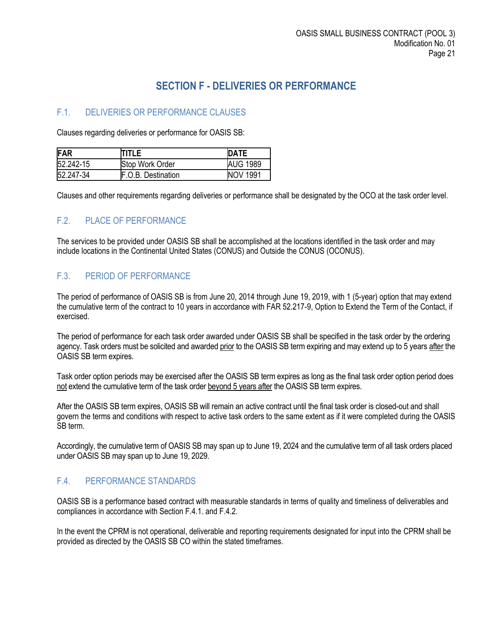# **SECTION F - DELIVERIES OR PERFORMANCE**

# <span id="page-20-1"></span><span id="page-20-0"></span>F.1. DELIVERIES OR PERFORMANCE CLAUSES

Clauses regarding deliveries or performance for OASIS SB:

| FAR       | TITLE                     | <b>IDATE</b>    |
|-----------|---------------------------|-----------------|
| 52.242-15 | Stop Work Order           | <b>AUG 1989</b> |
| 52.247-34 | <b>F.O.B. Destination</b> | <b>NOV 1991</b> |

Clauses and other requirements regarding deliveries or performance shall be designated by the OCO at the task order level.

## <span id="page-20-2"></span>F.2. PLACE OF PERFORMANCE

The services to be provided under OASIS SB shall be accomplished at the locations identified in the task order and may include locations in the Continental United States (CONUS) and Outside the CONUS (OCONUS).

#### <span id="page-20-3"></span>F.3. PERIOD OF PERFORMANCE

The period of performance of OASIS SB is from June 20, 2014 through June 19, 2019, with 1 (5-year) option that may extend the cumulative term of the contract to 10 years in accordance with FAR 52.217-9, Option to Extend the Term of the Contact, if exercised.

The period of performance for each task order awarded under OASIS SB shall be specified in the task order by the ordering agency. Task orders must be solicited and awarded prior to the OASIS SB term expiring and may extend up to 5 years after the OASIS SB term expires.

Task order option periods may be exercised after the OASIS SB term expires as long as the final task order option period does not extend the cumulative term of the task order beyond 5 years after the OASIS SB term expires.

After the OASIS SB term expires, OASIS SB will remain an active contract until the final task order is closed-out and shall govern the terms and conditions with respect to active task orders to the same extent as if it were completed during the OASIS SB term.

Accordingly, the cumulative term of OASIS SB may span up to June 19, 2024 and the cumulative term of all task orders placed under OASIS SB may span up to June 19, 2029.

## <span id="page-20-4"></span>F.4. PERFORMANCE STANDARDS

OASIS SB is a performance based contract with measurable standards in terms of quality and timeliness of deliverables and compliances in accordance with Section F.4.1. and F.4.2.

In the event the CPRM is not operational, deliverable and reporting requirements designated for input into the CPRM shall be provided as directed by the OASIS SB CO within the stated timeframes.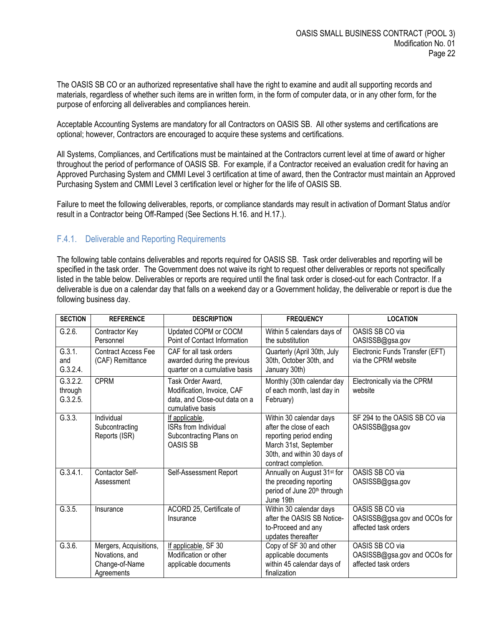The OASIS SB CO or an authorized representative shall have the right to examine and audit all supporting records and materials, regardless of whether such items are in written form, in the form of computer data, or in any other form, for the purpose of enforcing all deliverables and compliances herein.

Acceptable Accounting Systems are mandatory for all Contractors on OASIS SB. All other systems and certifications are optional; however, Contractors are encouraged to acquire these systems and certifications.

All Systems, Compliances, and Certifications must be maintained at the Contractors current level at time of award or higher throughout the period of performance of OASIS SB. For example, if a Contractor received an evaluation credit for having an Approved Purchasing System and CMMI Level 3 certification at time of award, then the Contractor must maintain an Approved Purchasing System and CMMI Level 3 certification level or higher for the life of OASIS SB.

Failure to meet the following deliverables, reports, or compliance standards may result in activation of Dormant Status and/or result in a Contractor being Off-Ramped (See Sections H.16. and H.17.).

#### <span id="page-21-0"></span>F.4.1. Deliverable and Reporting Requirements

The following table contains deliverables and reports required for OASIS SB. Task order deliverables and reporting will be specified in the task order. The Government does not waive its right to request other deliverables or reports not specifically listed in the table below. Deliverables or reports are required until the final task order is closed-out for each Contractor. If a deliverable is due on a calendar day that falls on a weekend day or a Government holiday, the deliverable or report is due the following business day.

| <b>SECTION</b>            | <b>REFERENCE</b>                                                                                                                | <b>DESCRIPTION</b>                                                                      | <b>FREQUENCY</b>                                                                                                                                              | <b>LOCATION</b>                                                         |
|---------------------------|---------------------------------------------------------------------------------------------------------------------------------|-----------------------------------------------------------------------------------------|---------------------------------------------------------------------------------------------------------------------------------------------------------------|-------------------------------------------------------------------------|
| G.2.6.                    | Contractor Key<br>Personnel                                                                                                     | Updated COPM or COCM<br>Point of Contact Information                                    | Within 5 calendars days of<br>the substitution                                                                                                                | OASIS SB CO via<br>OASISSB@gsa.gov                                      |
| G.3.1.<br>and<br>G.3.2.4. | <b>Contract Access Fee</b><br>(CAF) Remittance                                                                                  | CAF for all task orders<br>awarded during the previous<br>quarter on a cumulative basis | Quarterly (April 30th, July<br>30th, October 30th, and<br>January 30th)                                                                                       | Electronic Funds Transfer (EFT)<br>via the CPRM website                 |
| through<br>G.3.2.5.       | G.3.2.2.<br><b>CPRM</b><br>Task Order Award,<br>Modification, Invoice, CAF<br>data, and Close-out data on a<br>cumulative basis |                                                                                         | Monthly (30th calendar day<br>of each month, last day in<br>February)                                                                                         | Electronically via the CPRM<br>website                                  |
| G.3.3.                    | Individual<br>Subcontracting<br>Reports (ISR)                                                                                   | If applicable,<br><b>ISRs from Individual</b><br>Subcontracting Plans on<br>OASIS SB    | Within 30 calendar days<br>after the close of each<br>reporting period ending<br>March 31st, September<br>30th, and within 30 days of<br>contract completion. | SF 294 to the OASIS SB CO via<br>OASISSB@gsa.gov                        |
| G.3.4.1.                  | Contactor Self-<br>Assessment                                                                                                   | Self-Assessment Report                                                                  | Annually on August 31 <sup>st</sup> for<br>the preceding reporting<br>period of June 20th through<br>June 19th                                                | OASIS SB CO via<br>OASISSB@gsa.gov                                      |
| G.3.5.                    | Insurance                                                                                                                       | ACORD 25, Certificate of<br>Insurance                                                   | Within 30 calendar days<br>after the OASIS SB Notice-<br>to-Proceed and any<br>updates thereafter                                                             | OASIS SB CO via<br>OASISSB@gsa.gov and OCOs for<br>affected task orders |
| G.3.6.                    | Mergers, Acquisitions,<br>Novations, and<br>Change-of-Name<br>Agreements                                                        | If applicable, SF 30<br>Modification or other<br>applicable documents                   | Copy of SF 30 and other<br>applicable documents<br>within 45 calendar days of<br>finalization                                                                 | OASIS SB CO via<br>OASISSB@gsa.gov and OCOs for<br>affected task orders |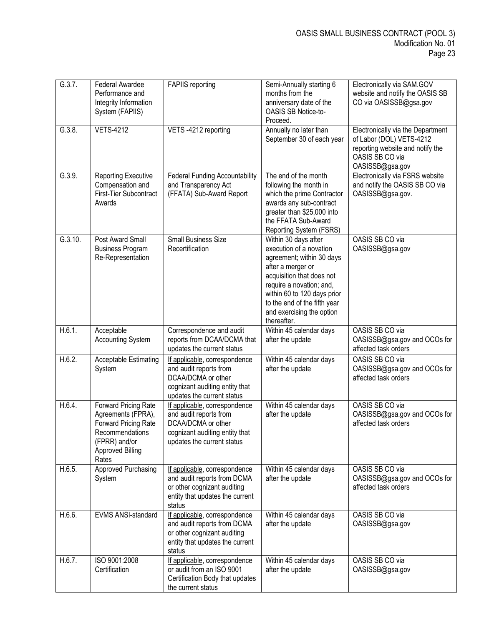| G.3.7.  | Federal Awardee<br>Performance and<br>Integrity Information<br>System (FAPIIS)                                                             | <b>FAPIIS</b> reporting                                                                                                                       | Semi-Annually starting 6<br>months from the<br>anniversary date of the<br>OASIS SB Notice-to-<br>Proceed.                                                                                                                                                             | Electronically via SAM.GOV<br>website and notify the OASIS SB<br>CO via OASISSB@gsa.gov                                                 |
|---------|--------------------------------------------------------------------------------------------------------------------------------------------|-----------------------------------------------------------------------------------------------------------------------------------------------|-----------------------------------------------------------------------------------------------------------------------------------------------------------------------------------------------------------------------------------------------------------------------|-----------------------------------------------------------------------------------------------------------------------------------------|
| G.3.8.  | <b>VETS-4212</b>                                                                                                                           | VETS-4212 reporting                                                                                                                           | Annually no later than<br>September 30 of each year                                                                                                                                                                                                                   | Electronically via the Department<br>of Labor (DOL) VETS-4212<br>reporting website and notify the<br>OASIS SB CO via<br>OASISSB@gsa.gov |
| G.3.9.  | <b>Reporting Executive</b><br>Compensation and<br>First-Tier Subcontract<br>Awards                                                         | <b>Federal Funding Accountability</b><br>and Transparency Act<br>(FFATA) Sub-Award Report                                                     | The end of the month<br>following the month in<br>which the prime Contractor<br>awards any sub-contract<br>greater than \$25,000 into<br>the FFATA Sub-Award<br>Reporting System (FSRS)                                                                               | Electronically via FSRS website<br>and notify the OASIS SB CO via<br>OASISSB@gsa.gov.                                                   |
| G.3.10. | Post Award Small<br><b>Business Program</b><br>Re-Representation                                                                           | <b>Small Business Size</b><br>Recertification                                                                                                 | Within 30 days after<br>execution of a novation<br>agreement; within 30 days<br>after a merger or<br>acquisition that does not<br>require a novation; and,<br>within 60 to 120 days prior<br>to the end of the fifth year<br>and exercising the option<br>thereafter. | OASIS SB CO via<br>OASISSB@gsa.gov                                                                                                      |
| H.6.1.  | Acceptable<br><b>Accounting System</b>                                                                                                     | Correspondence and audit<br>reports from DCAA/DCMA that<br>updates the current status                                                         | Within 45 calendar days<br>after the update                                                                                                                                                                                                                           | OASIS SB CO via<br>OASISSB@gsa.gov and OCOs for<br>affected task orders                                                                 |
| H.6.2.  | Acceptable Estimating<br>System                                                                                                            | If applicable, correspondence<br>and audit reports from<br>DCAA/DCMA or other<br>cognizant auditing entity that<br>updates the current status | Within 45 calendar days<br>after the update                                                                                                                                                                                                                           | OASIS SB CO via<br>OASISSB@gsa.gov and OCOs for<br>affected task orders                                                                 |
| H.6.4.  | Forward Pricing Rate<br>Agreements (FPRA),<br>Forward Pricing Rate<br>Recommendations<br>(FPRR) and/or<br><b>Approved Billing</b><br>Rates | If applicable, correspondence<br>and audit reports from<br>DCAA/DCMA or other<br>cognizant auditing entity that<br>updates the current status | Within 45 calendar days<br>after the update                                                                                                                                                                                                                           | OASIS SB CO via<br>OASISSB@gsa.gov and OCOs for<br>affected task orders                                                                 |
| H.6.5.  | <b>Approved Purchasing</b><br>System                                                                                                       | If applicable, correspondence<br>and audit reports from DCMA<br>or other cognizant auditing<br>entity that updates the current<br>status      | Within 45 calendar days<br>after the update                                                                                                                                                                                                                           | OASIS SB CO via<br>OASISSB@gsa.gov and OCOs for<br>affected task orders                                                                 |
| H.6.6.  | EVMS ANSI-standard                                                                                                                         | If applicable, correspondence<br>and audit reports from DCMA<br>or other cognizant auditing<br>entity that updates the current<br>status      | Within 45 calendar days<br>after the update                                                                                                                                                                                                                           | OASIS SB CO via<br>OASISSB@gsa.gov                                                                                                      |
| H.6.7.  | ISO 9001:2008<br>Certification                                                                                                             | If applicable, correspondence<br>or audit from an ISO 9001<br>Certification Body that updates<br>the current status                           | Within 45 calendar days<br>after the update                                                                                                                                                                                                                           | OASIS SB CO via<br>OASISSB@gsa.gov                                                                                                      |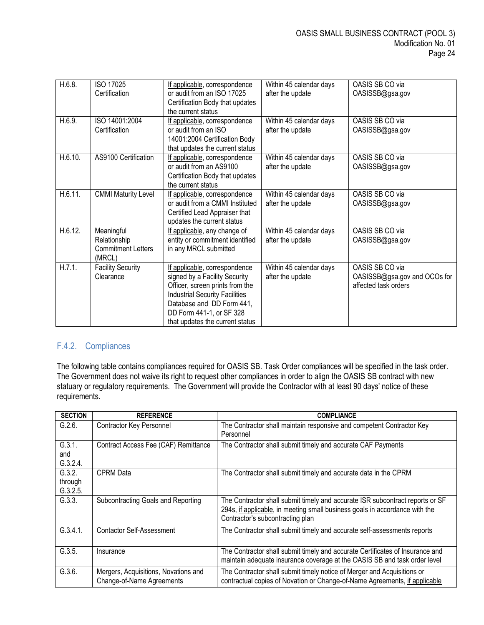| H.6.8.  | ISO 17025<br>Certification                                        | If applicable, correspondence<br>or audit from an ISO 17025                                                                                                                                                                            | Within 45 calendar days<br>after the update | OASIS SB CO via<br>OASISSB@gsa.gov                                      |
|---------|-------------------------------------------------------------------|----------------------------------------------------------------------------------------------------------------------------------------------------------------------------------------------------------------------------------------|---------------------------------------------|-------------------------------------------------------------------------|
|         |                                                                   | Certification Body that updates<br>the current status                                                                                                                                                                                  |                                             |                                                                         |
| H.6.9.  | ISO 14001:2004<br>Certification                                   | If applicable, correspondence<br>or audit from an ISO<br>14001:2004 Certification Body<br>that updates the current status                                                                                                              | Within 45 calendar days<br>after the update | OASIS SB CO via<br>OASISSB@gsa.gov                                      |
| H.6.10. | AS9100 Certification                                              | If applicable, correspondence<br>or audit from an AS9100<br>Certification Body that updates<br>the current status                                                                                                                      | Within 45 calendar days<br>after the update | OASIS SB CO via<br>OASISSB@gsa.gov                                      |
| H.6.11. | <b>CMMI Maturity Level</b>                                        | If applicable, correspondence<br>or audit from a CMMI Instituted<br>Certified Lead Appraiser that<br>updates the current status                                                                                                        | Within 45 calendar days<br>after the update | OASIS SB CO via<br>OASISSB@gsa.gov                                      |
| H.6.12. | Meaningful<br>Relationship<br><b>Commitment Letters</b><br>(MRCL) | If applicable, any change of<br>entity or commitment identified<br>in any MRCL submitted                                                                                                                                               | Within 45 calendar days<br>after the update | OASIS SB CO via<br>OASISSB@gsa.gov                                      |
| H.7.1.  | <b>Facility Security</b><br>Clearance                             | If applicable, correspondence<br>signed by a Facility Security<br>Officer, screen prints from the<br><b>Industrial Security Facilities</b><br>Database and DD Form 441,<br>DD Form 441-1, or SF 328<br>that updates the current status | Within 45 calendar days<br>after the update | OASIS SB CO via<br>OASISSB@gsa.gov and OCOs for<br>affected task orders |

# <span id="page-23-0"></span>F.4.2. Compliances

The following table contains compliances required for OASIS SB. Task Order compliances will be specified in the task order. The Government does not waive its right to request other compliances in order to align the OASIS SB contract with new statuary or regulatory requirements. The Government will provide the Contractor with at least 90 days' notice of these requirements.

| <b>SECTION</b>                | <b>REFERENCE</b>                                                         | <b>COMPLIANCE</b>                                                                                                                                                                                |
|-------------------------------|--------------------------------------------------------------------------|--------------------------------------------------------------------------------------------------------------------------------------------------------------------------------------------------|
| G.2.6.                        | Contractor Key Personnel                                                 | The Contractor shall maintain responsive and competent Contractor Key<br>Personnel                                                                                                               |
| G.3.1.<br>and<br>G.3.2.4.     | Contract Access Fee (CAF) Remittance                                     | The Contractor shall submit timely and accurate CAF Payments                                                                                                                                     |
| G.3.2.<br>through<br>G.3.2.5. | <b>CPRM</b> Data                                                         | The Contractor shall submit timely and accurate data in the CPRM                                                                                                                                 |
| G.3.3.                        | Subcontracting Goals and Reporting                                       | The Contractor shall submit timely and accurate ISR subcontract reports or SF<br>294s, if applicable, in meeting small business goals in accordance with the<br>Contractor's subcontracting plan |
| G.3.4.1.                      | <b>Contactor Self-Assessment</b>                                         | The Contractor shall submit timely and accurate self-assessments reports                                                                                                                         |
| G.3.5.                        | Insurance                                                                | The Contractor shall submit timely and accurate Certificates of Insurance and<br>maintain adequate insurance coverage at the OASIS SB and task order level                                       |
| G.3.6.                        | Mergers, Acquisitions, Novations and<br><b>Change-of-Name Agreements</b> | The Contractor shall submit timely notice of Merger and Acquisitions or<br>contractual copies of Novation or Change-of-Name Agreements, if applicable                                            |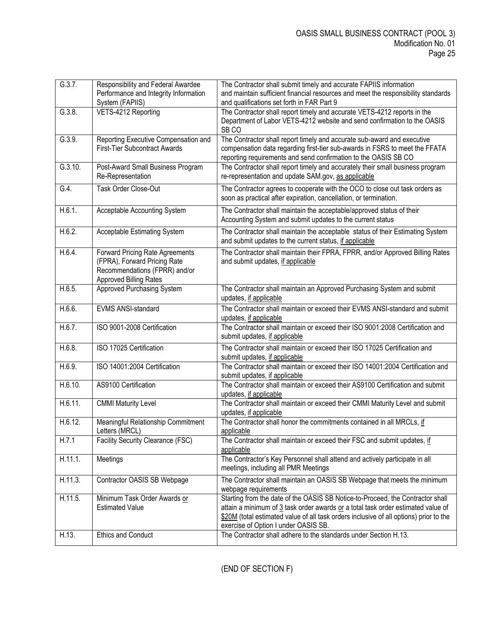| G.3.7.  | Responsibility and Federal Awardee<br>Performance and Integrity Information<br>System (FAPIIS)                                           | The Contractor shall submit timely and accurate FAPIIS information<br>and maintain sufficient financial resources and meet the responsibility standards<br>and qualifications set forth in FAR Part 9                                                                                                |
|---------|------------------------------------------------------------------------------------------------------------------------------------------|------------------------------------------------------------------------------------------------------------------------------------------------------------------------------------------------------------------------------------------------------------------------------------------------------|
| G.3.8.  | VETS-4212 Reporting                                                                                                                      | The Contractor shall report timely and accurate VETS-4212 reports in the<br>Department of Labor VETS-4212 website and send confirmation to the OASIS<br>SB <sub>CO</sub>                                                                                                                             |
| G.3.9.  | Reporting Executive Compensation and<br><b>First-Tier Subcontract Awards</b>                                                             | The Contractor shall report timely and accurate sub-award and executive<br>compensation data regarding first-tier sub-awards in FSRS to meet the FFATA<br>reporting requirements and send confirmation to the OASIS SB CO                                                                            |
| G.3.10. | Post-Award Small Business Program<br>Re-Representation                                                                                   | The Contractor shall report timely and accurately their small business program<br>re-representation and update SAM.gov, as applicable                                                                                                                                                                |
| G.4.    | Task Order Close-Out                                                                                                                     | The Contractor agrees to cooperate with the OCO to close out task orders as<br>soon as practical after expiration, cancellation, or termination.                                                                                                                                                     |
| H.6.1.  | Acceptable Accounting System                                                                                                             | The Contractor shall maintain the acceptable/approved status of their<br>Accounting System and submit updates to the current status                                                                                                                                                                  |
| H.6.2.  | Acceptable Estimating System                                                                                                             | The Contractor shall maintain the acceptable status of their Estimating System<br>and submit updates to the current status, if applicable                                                                                                                                                            |
| H.6.4.  | <b>Forward Pricing Rate Agreements</b><br>(FPRA), Forward Pricing Rate<br>Recommendations (FPRR) and/or<br><b>Approved Billing Rates</b> | The Contractor shall maintain their FPRA, FPRR, and/or Approved Billing Rates<br>and submit updates, if applicable                                                                                                                                                                                   |
| H.6.5.  | <b>Approved Purchasing System</b>                                                                                                        | The Contractor shall maintain an Approved Purchasing System and submit<br>updates, if applicable                                                                                                                                                                                                     |
| H.6.6.  | EVMS ANSI-standard                                                                                                                       | The Contractor shall maintain or exceed their EVMS ANSI-standard and submit<br>updates, if applicable                                                                                                                                                                                                |
| H.6.7.  | ISO 9001-2008 Certification                                                                                                              | The Contractor shall maintain or exceed their ISO 9001:2008 Certification and<br>submit updates, if applicable                                                                                                                                                                                       |
| H.6.8.  | ISO 17025 Certification                                                                                                                  | The Contractor shall maintain or exceed their ISO 17025 Certification and<br>submit updates, if applicable                                                                                                                                                                                           |
| H.6.9.  | ISO 14001:2004 Certification                                                                                                             | The Contractor shall maintain or exceed their ISO 14001:2004 Certification and<br>submit updates, if applicable                                                                                                                                                                                      |
| H.6.10. | AS9100 Certification                                                                                                                     | The Contractor shall maintain or exceed their AS9100 Certification and submit<br>updates, if applicable                                                                                                                                                                                              |
| H.6.11. | <b>CMMI Maturity Level</b>                                                                                                               | The Contractor shall maintain or exceed their CMMI Maturity Level and submit<br>updates, if applicable                                                                                                                                                                                               |
| H.6.12. | Meaningful Relationship Commitment<br>Letters (MRCL)                                                                                     | The Contractor shall honor the commitments contained in all MRCLs, if<br>applicable                                                                                                                                                                                                                  |
| H.7.1   | <b>Facility Security Clearance (FSC)</b>                                                                                                 | The Contractor shall maintain or exceed their FSC and submit updates, if<br>applicable                                                                                                                                                                                                               |
| H.11.1. | Meetings                                                                                                                                 | The Contractor's Key Personnel shall attend and actively participate in all<br>meetings, including all PMR Meetings                                                                                                                                                                                  |
| H.11.3. | Contractor OASIS SB Webpage                                                                                                              | The Contractor shall maintain an OASIS SB Webpage that meets the minimum<br>webpage requirements                                                                                                                                                                                                     |
| H.11.5. | Minimum Task Order Awards or<br><b>Estimated Value</b>                                                                                   | Starting from the date of the OASIS SB Notice-to-Proceed, the Contractor shall<br>attain a minimum of 3 task order awards or a total task order estimated value of<br>\$20M (total estimated value of all task orders inclusive of all options) prior to the<br>exercise of Option I under OASIS SB. |
| H.13.   | <b>Ethics and Conduct</b>                                                                                                                | The Contractor shall adhere to the standards under Section H.13.                                                                                                                                                                                                                                     |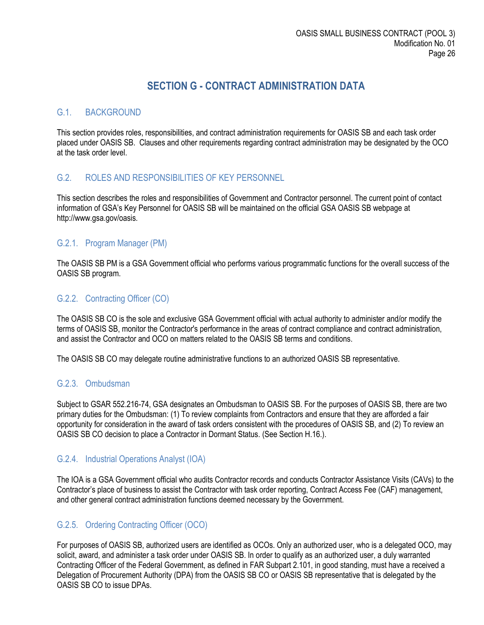# **SECTION G - CONTRACT ADMINISTRATION DATA**

#### <span id="page-25-1"></span><span id="page-25-0"></span>G.1. BACKGROUND

This section provides roles, responsibilities, and contract administration requirements for OASIS SB and each task order placed under OASIS SB. Clauses and other requirements regarding contract administration may be designated by the OCO at the task order level.

#### <span id="page-25-2"></span>G.2. ROLES AND RESPONSIBILITIES OF KEY PERSONNEL

This section describes the roles and responsibilities of Government and Contractor personnel. The current point of contact information of GSA's Key Personnel for OASIS SB will be maintained on the official GSA OASIS SB webpage at http://www.gsa.gov/oasis.

#### <span id="page-25-3"></span>G.2.1. Program Manager (PM)

The OASIS SB PM is a GSA Government official who performs various programmatic functions for the overall success of the OASIS SB program.

#### <span id="page-25-4"></span>G.2.2. Contracting Officer (CO)

The OASIS SB CO is the sole and exclusive GSA Government official with actual authority to administer and/or modify the terms of OASIS SB, monitor the Contractor's performance in the areas of contract compliance and contract administration, and assist the Contractor and OCO on matters related to the OASIS SB terms and conditions.

The OASIS SB CO may delegate routine administrative functions to an authorized OASIS SB representative.

#### <span id="page-25-5"></span>G.2.3. Ombudsman

Subject to GSAR 552.216-74, GSA designates an Ombudsman to OASIS SB. For the purposes of OASIS SB, there are two primary duties for the Ombudsman: (1) To review complaints from Contractors and ensure that they are afforded a fair opportunity for consideration in the award of task orders consistent with the procedures of OASIS SB, and (2) To review an OASIS SB CO decision to place a Contractor in Dormant Status. (See Section H.16.).

#### <span id="page-25-6"></span>G.2.4. Industrial Operations Analyst (IOA)

The IOA is a GSA Government official who audits Contractor records and conducts Contractor Assistance Visits (CAVs) to the Contractor's place of business to assist the Contractor with task order reporting, Contract Access Fee (CAF) management, and other general contract administration functions deemed necessary by the Government.

## <span id="page-25-7"></span>G.2.5. Ordering Contracting Officer (OCO)

For purposes of OASIS SB, authorized users are identified as OCOs. Only an authorized user, who is a delegated OCO, may solicit, award, and administer a task order under OASIS SB. In order to qualify as an authorized user, a duly warranted Contracting Officer of the Federal Government, as defined in FAR Subpart 2.101, in good standing, must have a received a Delegation of Procurement Authority (DPA) from the OASIS SB CO or OASIS SB representative that is delegated by the OASIS SB CO to issue DPAs.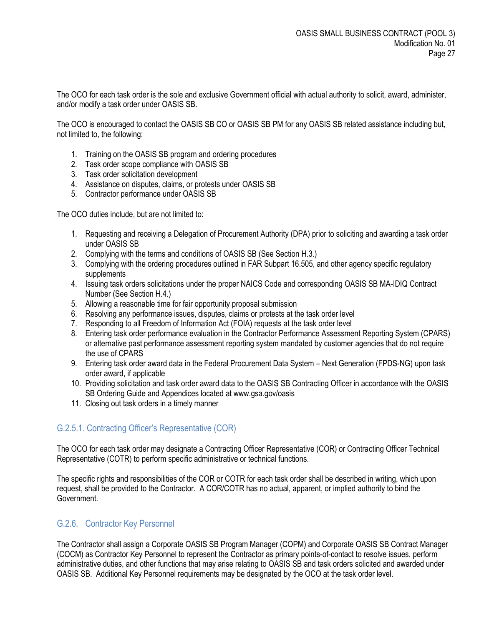The OCO for each task order is the sole and exclusive Government official with actual authority to solicit, award, administer, and/or modify a task order under OASIS SB.

The OCO is encouraged to contact the OASIS SB CO or OASIS SB PM for any OASIS SB related assistance including but, not limited to, the following:

- 1. Training on the OASIS SB program and ordering procedures
- 2. Task order scope compliance with OASIS SB
- 3. Task order solicitation development
- 4. Assistance on disputes, claims, or protests under OASIS SB
- 5. Contractor performance under OASIS SB

The OCO duties include, but are not limited to:

- 1. Requesting and receiving a Delegation of Procurement Authority (DPA) prior to soliciting and awarding a task order under OASIS SB
- 2. Complying with the terms and conditions of OASIS SB (See Section H.3.)
- 3. Complying with the ordering procedures outlined in FAR Subpart 16.505, and other agency specific regulatory supplements
- 4. Issuing task orders solicitations under the proper NAICS Code and corresponding OASIS SB MA-IDIQ Contract Number (See Section H.4.)
- 5. Allowing a reasonable time for fair opportunity proposal submission
- 6. Resolving any performance issues, disputes, claims or protests at the task order level
- 7. Responding to all Freedom of Information Act (FOIA) requests at the task order level
- 8. Entering task order performance evaluation in the Contractor Performance Assessment Reporting System (CPARS) or alternative past performance assessment reporting system mandated by customer agencies that do not require the use of CPARS
- 9. Entering task order award data in the Federal Procurement Data System Next Generation (FPDS-NG) upon task order award, if applicable
- 10. Providing solicitation and task order award data to the OASIS SB Contracting Officer in accordance with the OASIS SB Ordering Guide and Appendices located at www.gsa.gov/oasis
- 11. Closing out task orders in a timely manner

#### <span id="page-26-0"></span>G.2.5.1. Contracting Officer's Representative (COR)

The OCO for each task order may designate a Contracting Officer Representative (COR) or Contracting Officer Technical Representative (COTR) to perform specific administrative or technical functions.

The specific rights and responsibilities of the COR or COTR for each task order shall be described in writing, which upon request, shall be provided to the Contractor. A COR/COTR has no actual, apparent, or implied authority to bind the Government.

#### <span id="page-26-1"></span>G.2.6. Contractor Key Personnel

The Contractor shall assign a Corporate OASIS SB Program Manager (COPM) and Corporate OASIS SB Contract Manager (COCM) as Contractor Key Personnel to represent the Contractor as primary points-of-contact to resolve issues, perform administrative duties, and other functions that may arise relating to OASIS SB and task orders solicited and awarded under OASIS SB. Additional Key Personnel requirements may be designated by the OCO at the task order level.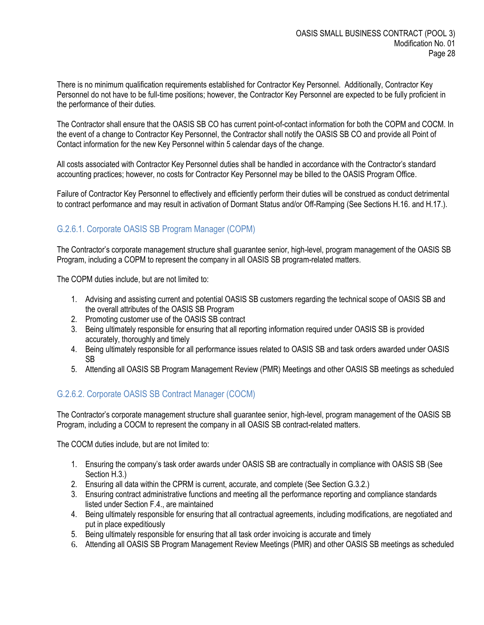There is no minimum qualification requirements established for Contractor Key Personnel. Additionally, Contractor Key Personnel do not have to be full-time positions; however, the Contractor Key Personnel are expected to be fully proficient in the performance of their duties.

The Contractor shall ensure that the OASIS SB CO has current point-of-contact information for both the COPM and COCM. In the event of a change to Contractor Key Personnel, the Contractor shall notify the OASIS SB CO and provide all Point of Contact information for the new Key Personnel within 5 calendar days of the change.

All costs associated with Contractor Key Personnel duties shall be handled in accordance with the Contractor's standard accounting practices; however, no costs for Contractor Key Personnel may be billed to the OASIS Program Office.

Failure of Contractor Key Personnel to effectively and efficiently perform their duties will be construed as conduct detrimental to contract performance and may result in activation of Dormant Status and/or Off-Ramping (See Sections H.16. and H.17.).

# <span id="page-27-0"></span>G.2.6.1. Corporate OASIS SB Program Manager (COPM)

The Contractor's corporate management structure shall guarantee senior, high-level, program management of the OASIS SB Program, including a COPM to represent the company in all OASIS SB program-related matters.

The COPM duties include, but are not limited to:

- 1. Advising and assisting current and potential OASIS SB customers regarding the technical scope of OASIS SB and the overall attributes of the OASIS SB Program
- 2. Promoting customer use of the OASIS SB contract
- 3. Being ultimately responsible for ensuring that all reporting information required under OASIS SB is provided accurately, thoroughly and timely
- 4. Being ultimately responsible for all performance issues related to OASIS SB and task orders awarded under OASIS SB
- 5. Attending all OASIS SB Program Management Review (PMR) Meetings and other OASIS SB meetings as scheduled

## <span id="page-27-1"></span>G.2.6.2. Corporate OASIS SB Contract Manager (COCM)

The Contractor's corporate management structure shall guarantee senior, high-level, program management of the OASIS SB Program, including a COCM to represent the company in all OASIS SB contract-related matters.

The COCM duties include, but are not limited to:

- 1. Ensuring the company's task order awards under OASIS SB are contractually in compliance with OASIS SB (See Section H.3.)
- 2. Ensuring all data within the CPRM is current, accurate, and complete (See Section G.3.2.)
- 3. Ensuring contract administrative functions and meeting all the performance reporting and compliance standards listed under Section F.4., are maintained
- 4. Being ultimately responsible for ensuring that all contractual agreements, including modifications, are negotiated and put in place expeditiously
- 5. Being ultimately responsible for ensuring that all task order invoicing is accurate and timely
- 6. Attending all OASIS SB Program Management Review Meetings (PMR) and other OASIS SB meetings as scheduled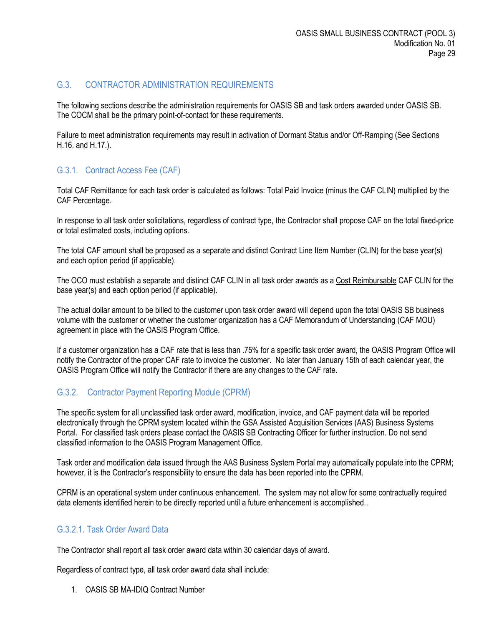# <span id="page-28-0"></span>G.3. CONTRACTOR ADMINISTRATION REQUIREMENTS

The following sections describe the administration requirements for OASIS SB and task orders awarded under OASIS SB. The COCM shall be the primary point-of-contact for these requirements.

Failure to meet administration requirements may result in activation of Dormant Status and/or Off-Ramping (See Sections H.16. and H.17.).

## <span id="page-28-1"></span>G.3.1. Contract Access Fee (CAF)

Total CAF Remittance for each task order is calculated as follows: Total Paid Invoice (minus the CAF CLIN) multiplied by the CAF Percentage.

In response to all task order solicitations, regardless of contract type, the Contractor shall propose CAF on the total fixed-price or total estimated costs, including options.

The total CAF amount shall be proposed as a separate and distinct Contract Line Item Number (CLIN) for the base year(s) and each option period (if applicable).

The OCO must establish a separate and distinct CAF CLIN in all task order awards as a Cost Reimbursable CAF CLIN for the base year(s) and each option period (if applicable).

The actual dollar amount to be billed to the customer upon task order award will depend upon the total OASIS SB business volume with the customer or whether the customer organization has a CAF Memorandum of Understanding (CAF MOU) agreement in place with the OASIS Program Office.

If a customer organization has a CAF rate that is less than .75% for a specific task order award, the OASIS Program Office will notify the Contractor of the proper CAF rate to invoice the customer. No later than January 15th of each calendar year, the OASIS Program Office will notify the Contractor if there are any changes to the CAF rate.

# <span id="page-28-2"></span>G.3.2. Contractor Payment Reporting Module (CPRM)

The specific system for all unclassified task order award, modification, invoice, and CAF payment data will be reported electronically through the CPRM system located within the GSA Assisted Acquisition Services (AAS) Business Systems Portal. For classified task orders please contact the OASIS SB Contracting Officer for further instruction. Do not send classified information to the OASIS Program Management Office.

Task order and modification data issued through the AAS Business System Portal may automatically populate into the CPRM; however, it is the Contractor's responsibility to ensure the data has been reported into the CPRM.

CPRM is an operational system under continuous enhancement. The system may not allow for some contractually required data elements identified herein to be directly reported until a future enhancement is accomplished..

## <span id="page-28-3"></span>G.3.2.1. Task Order Award Data

The Contractor shall report all task order award data within 30 calendar days of award.

Regardless of contract type, all task order award data shall include:

1. OASIS SB MA-IDIQ Contract Number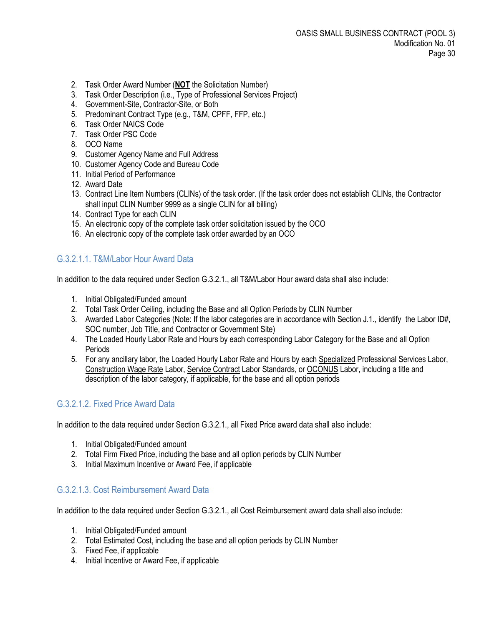- 2. Task Order Award Number (**NOT** the Solicitation Number)
- 3. Task Order Description (i.e., Type of Professional Services Project)
- 4. Government-Site, Contractor-Site, or Both
- 5. Predominant Contract Type (e.g., T&M, CPFF, FFP, etc.)
- 6. Task Order NAICS Code
- 7. Task Order PSC Code
- 8. OCO Name
- 9. Customer Agency Name and Full Address
- 10. Customer Agency Code and Bureau Code
- 11. Initial Period of Performance
- 12. Award Date
- 13. Contract Line Item Numbers (CLINs) of the task order. (If the task order does not establish CLINs, the Contractor shall input CLIN Number 9999 as a single CLIN for all billing)
- 14. Contract Type for each CLIN
- 15. An electronic copy of the complete task order solicitation issued by the OCO
- 16. An electronic copy of the complete task order awarded by an OCO

# <span id="page-29-0"></span>G.3.2.1.1. T&M/Labor Hour Award Data

In addition to the data required under Section G.3.2.1., all T&M/Labor Hour award data shall also include:

- 1. Initial Obligated/Funded amount
- 2. Total Task Order Ceiling, including the Base and all Option Periods by CLIN Number
- 3. Awarded Labor Categories (Note: If the labor categories are in accordance with Section J.1., identify the Labor ID#, SOC number, Job Title, and Contractor or Government Site)
- 4. The Loaded Hourly Labor Rate and Hours by each corresponding Labor Category for the Base and all Option Periods
- 5. For any ancillary labor, the Loaded Hourly Labor Rate and Hours by each Specialized Professional Services Labor, Construction Wage Rate Labor, Service Contract Labor Standards, or OCONUS Labor, including a title and description of the labor category, if applicable, for the base and all option periods

# <span id="page-29-1"></span>G.3.2.1.2. Fixed Price Award Data

In addition to the data required under Section G.3.2.1., all Fixed Price award data shall also include:

- 1. Initial Obligated/Funded amount
- 2. Total Firm Fixed Price, including the base and all option periods by CLIN Number
- 3. Initial Maximum Incentive or Award Fee, if applicable

## <span id="page-29-2"></span>G.3.2.1.3. Cost Reimbursement Award Data

In addition to the data required under Section G.3.2.1., all Cost Reimbursement award data shall also include:

- 1. Initial Obligated/Funded amount
- 2. Total Estimated Cost, including the base and all option periods by CLIN Number
- 3. Fixed Fee, if applicable
- 4. Initial Incentive or Award Fee, if applicable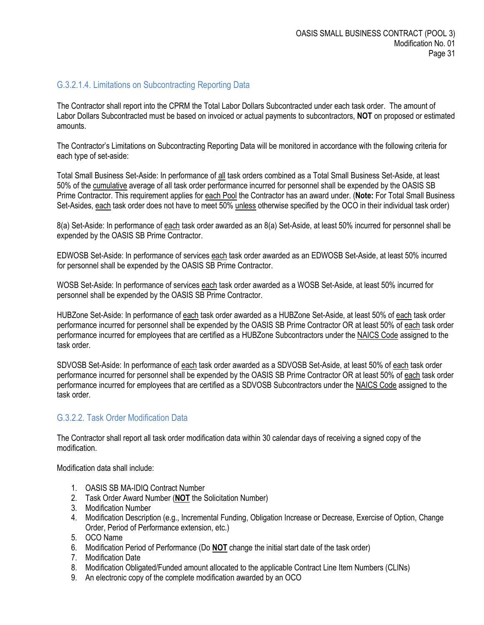#### <span id="page-30-0"></span>G.3.2.1.4. Limitations on Subcontracting Reporting Data

The Contractor shall report into the CPRM the Total Labor Dollars Subcontracted under each task order. The amount of Labor Dollars Subcontracted must be based on invoiced or actual payments to subcontractors, **NOT** on proposed or estimated amounts.

The Contractor's Limitations on Subcontracting Reporting Data will be monitored in accordance with the following criteria for each type of set-aside:

Total Small Business Set-Aside: In performance of all task orders combined as a Total Small Business Set-Aside, at least 50% of the cumulative average of all task order performance incurred for personnel shall be expended by the OASIS SB Prime Contractor. This requirement applies for each Pool the Contractor has an award under. (**Note:** For Total Small Business Set-Asides, each task order does not have to meet 50% unless otherwise specified by the OCO in their individual task order)

8(a) Set-Aside: In performance of each task order awarded as an 8(a) Set-Aside, at least 50% incurred for personnel shall be expended by the OASIS SB Prime Contractor.

EDWOSB Set-Aside: In performance of services each task order awarded as an EDWOSB Set-Aside, at least 50% incurred for personnel shall be expended by the OASIS SB Prime Contractor.

WOSB Set-Aside: In performance of services each task order awarded as a WOSB Set-Aside, at least 50% incurred for personnel shall be expended by the OASIS SB Prime Contractor.

HUBZone Set-Aside: In performance of each task order awarded as a HUBZone Set-Aside, at least 50% of each task order performance incurred for personnel shall be expended by the OASIS SB Prime Contractor OR at least 50% of each task order performance incurred for employees that are certified as a HUBZone Subcontractors under the NAICS Code assigned to the task order.

SDVOSB Set-Aside: In performance of each task order awarded as a SDVOSB Set-Aside, at least 50% of each task order performance incurred for personnel shall be expended by the OASIS SB Prime Contractor OR at least 50% of each task order performance incurred for employees that are certified as a SDVOSB Subcontractors under the NAICS Code assigned to the task order.

#### <span id="page-30-1"></span>G.3.2.2. Task Order Modification Data

The Contractor shall report all task order modification data within 30 calendar days of receiving a signed copy of the modification.

Modification data shall include:

- 1. OASIS SB MA-IDIQ Contract Number
- 2. Task Order Award Number (**NOT** the Solicitation Number)
- 3. Modification Number
- 4. Modification Description (e.g., Incremental Funding, Obligation Increase or Decrease, Exercise of Option, Change Order, Period of Performance extension, etc.)
- 5. OCO Name
- 6. Modification Period of Performance (Do **NOT** change the initial start date of the task order)
- 7. Modification Date
- 8. Modification Obligated/Funded amount allocated to the applicable Contract Line Item Numbers (CLINs)
- 9. An electronic copy of the complete modification awarded by an OCO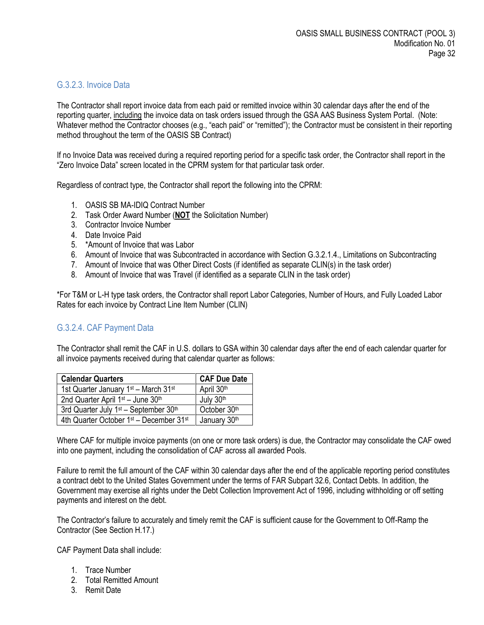#### <span id="page-31-0"></span>G.3.2.3. Invoice Data

The Contractor shall report invoice data from each paid or remitted invoice within 30 calendar days after the end of the reporting quarter, including the invoice data on task orders issued through the GSA AAS Business System Portal. (Note: Whatever method the Contractor chooses (e.g., "each paid" or "remitted"); the Contractor must be consistent in their reporting method throughout the term of the OASIS SB Contract)

If no Invoice Data was received during a required reporting period for a specific task order, the Contractor shall report in the "Zero Invoice Data" screen located in the CPRM system for that particular task order.

Regardless of contract type, the Contractor shall report the following into the CPRM:

- 1. OASIS SB MA-IDIQ Contract Number
- 2. Task Order Award Number (**NOT** the Solicitation Number)
- 3. Contractor Invoice Number
- 4. Date Invoice Paid
- 5. \*Amount of Invoice that was Labor
- 6. Amount of Invoice that was Subcontracted in accordance with Section G.3.2.1.4., Limitations on Subcontracting
- 7. Amount of Invoice that was Other Direct Costs (if identified as separate CLIN(s) in the task order)
- 8. Amount of Invoice that was Travel (if identified as a separate CLIN in the task order)

\*For T&M or L-H type task orders, the Contractor shall report Labor Categories, Number of Hours, and Fully Loaded Labor Rates for each invoice by Contract Line Item Number (CLIN)

#### <span id="page-31-1"></span>G.3.2.4. CAF Payment Data

The Contractor shall remit the CAF in U.S. dollars to GSA within 30 calendar days after the end of each calendar quarter for all invoice payments received during that calendar quarter as follows:

| <b>Calendar Quarters</b>                                        | <b>CAF Due Date</b> |
|-----------------------------------------------------------------|---------------------|
| 1st Quarter January 1 <sup>st</sup> - March 31 <sup>st</sup>    | April 30th          |
| 2nd Quarter April 1st - June 30th                               | July 30th           |
| 3rd Quarter July 1 <sup>st</sup> - September 30 <sup>th</sup>   | October 30th        |
| 4th Quarter October 1 <sup>st</sup> - December 31 <sup>st</sup> | January 30th        |

Where CAF for multiple invoice payments (on one or more task orders) is due, the Contractor may consolidate the CAF owed into one payment, including the consolidation of CAF across all awarded Pools.

Failure to remit the full amount of the CAF within 30 calendar days after the end of the applicable reporting period constitutes a contract debt to the United States Government under the terms of FAR Subpart 32.6, Contact Debts. In addition, the Government may exercise all rights under the Debt Collection Improvement Act of 1996, including withholding or off setting payments and interest on the debt.

The Contractor's failure to accurately and timely remit the CAF is sufficient cause for the Government to Off-Ramp the Contractor (See Section H.17.)

CAF Payment Data shall include:

- 1. Trace Number
- 2. Total Remitted Amount
- 3. Remit Date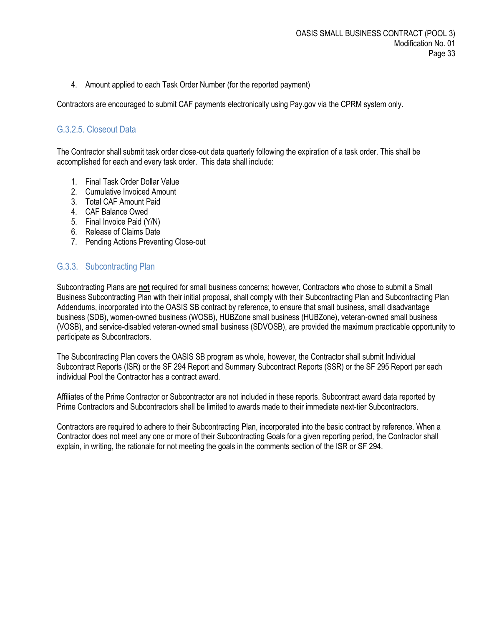4. Amount applied to each Task Order Number (for the reported payment)

Contractors are encouraged to submit CAF payments electronically using Pay.gov via the CPRM system only.

#### <span id="page-32-0"></span>G.3.2.5. Closeout Data

The Contractor shall submit task order close-out data quarterly following the expiration of a task order. This shall be accomplished for each and every task order. This data shall include:

- 1. Final Task Order Dollar Value
- 2. Cumulative Invoiced Amount
- 3. Total CAF Amount Paid
- 4. CAF Balance Owed
- 5. Final Invoice Paid (Y/N)
- 6. Release of Claims Date
- 7. Pending Actions Preventing Close-out

#### <span id="page-32-1"></span>G.3.3. Subcontracting Plan

Subcontracting Plans are **not** required for small business concerns; however, Contractors who chose to submit a Small Business Subcontracting Plan with their initial proposal, shall comply with their Subcontracting Plan and Subcontracting Plan Addendums, incorporated into the OASIS SB contract by reference, to ensure that small business, small disadvantage business (SDB), women-owned business (WOSB), HUBZone small business (HUBZone), veteran-owned small business (VOSB), and service-disabled veteran-owned small business (SDVOSB), are provided the maximum practicable opportunity to participate as Subcontractors.

The Subcontracting Plan covers the OASIS SB program as whole, however, the Contractor shall submit Individual Subcontract Reports (ISR) or the SF 294 Report and Summary Subcontract Reports (SSR) or the SF 295 Report per each individual Pool the Contractor has a contract award.

Affiliates of the Prime Contractor or Subcontractor are not included in these reports. Subcontract award data reported by Prime Contractors and Subcontractors shall be limited to awards made to their immediate next-tier Subcontractors.

Contractors are required to adhere to their Subcontracting Plan, incorporated into the basic contract by reference. When a Contractor does not meet any one or more of their Subcontracting Goals for a given reporting period, the Contractor shall explain, in writing, the rationale for not meeting the goals in the comments section of the ISR or SF 294.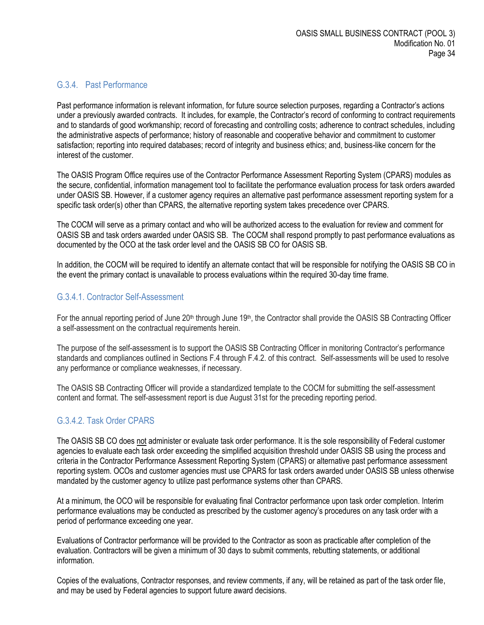#### <span id="page-33-0"></span>G.3.4. Past Performance

Past performance information is relevant information, for future source selection purposes, regarding a Contractor's actions under a previously awarded contracts. It includes, for example, the Contractor's record of conforming to contract requirements and to standards of good workmanship; record of forecasting and controlling costs; adherence to contract schedules, including the administrative aspects of performance; history of reasonable and cooperative behavior and commitment to customer satisfaction; reporting into required databases; record of integrity and business ethics; and, business-like concern for the interest of the customer.

The OASIS Program Office requires use of the Contractor Performance Assessment Reporting System (CPARS) modules as the secure, confidential, information management tool to facilitate the performance evaluation process for task orders awarded under OASIS SB. However, if a customer agency requires an alternative past performance assessment reporting system for a specific task order(s) other than CPARS, the alternative reporting system takes precedence over CPARS.

The COCM will serve as a primary contact and who will be authorized access to the evaluation for review and comment for OASIS SB and task orders awarded under OASIS SB. The COCM shall respond promptly to past performance evaluations as documented by the OCO at the task order level and the OASIS SB CO for OASIS SB.

In addition, the COCM will be required to identify an alternate contact that will be responsible for notifying the OASIS SB CO in the event the primary contact is unavailable to process evaluations within the required 30-day time frame.

#### <span id="page-33-1"></span>G.3.4.1. Contractor Self-Assessment

For the annual reporting period of June  $20<sup>th</sup>$  through June  $19<sup>th</sup>$ , the Contractor shall provide the OASIS SB Contracting Officer a self-assessment on the contractual requirements herein.

The purpose of the self-assessment is to support the OASIS SB Contracting Officer in monitoring Contractor's performance standards and compliances outlined in Sections F.4 through F.4.2. of this contract. Self-assessments will be used to resolve any performance or compliance weaknesses, if necessary.

The OASIS SB Contracting Officer will provide a standardized template to the COCM for submitting the self-assessment content and format. The self-assessment report is due August 31st for the preceding reporting period.

## <span id="page-33-2"></span>G.3.4.2. Task Order CPARS

The OASIS SB CO does not administer or evaluate task order performance. It is the sole responsibility of Federal customer agencies to evaluate each task order exceeding the simplified acquisition threshold under OASIS SB using the process and criteria in the Contractor Performance Assessment Reporting System (CPARS) or alternative past performance assessment reporting system. OCOs and customer agencies must use CPARS for task orders awarded under OASIS SB unless otherwise mandated by the customer agency to utilize past performance systems other than CPARS.

At a minimum, the OCO will be responsible for evaluating final Contractor performance upon task order completion. Interim performance evaluations may be conducted as prescribed by the customer agency's procedures on any task order with a period of performance exceeding one year.

Evaluations of Contractor performance will be provided to the Contractor as soon as practicable after completion of the evaluation. Contractors will be given a minimum of 30 days to submit comments, rebutting statements, or additional information.

Copies of the evaluations, Contractor responses, and review comments, if any, will be retained as part of the task order file, and may be used by Federal agencies to support future award decisions.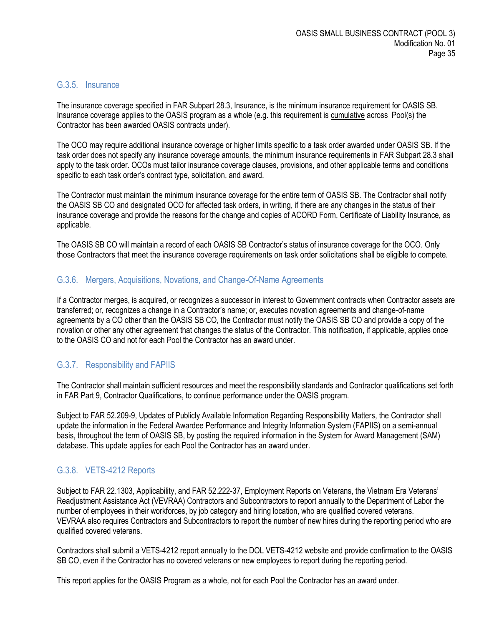#### <span id="page-34-0"></span>G.3.5. Insurance

The insurance coverage specified in FAR Subpart 28.3, Insurance, is the minimum insurance requirement for OASIS SB. Insurance coverage applies to the OASIS program as a whole (e.g. this requirement is cumulative across Pool(s) the Contractor has been awarded OASIS contracts under).

The OCO may require additional insurance coverage or higher limits specific to a task order awarded under OASIS SB. If the task order does not specify any insurance coverage amounts, the minimum insurance requirements in FAR Subpart 28.3 shall apply to the task order. OCOs must tailor insurance coverage clauses, provisions, and other applicable terms and conditions specific to each task order's contract type, solicitation, and award.

The Contractor must maintain the minimum insurance coverage for the entire term of OASIS SB. The Contractor shall notify the OASIS SB CO and designated OCO for affected task orders, in writing, if there are any changes in the status of their insurance coverage and provide the reasons for the change and copies of ACORD Form, Certificate of Liability Insurance, as applicable.

The OASIS SB CO will maintain a record of each OASIS SB Contractor's status of insurance coverage for the OCO. Only those Contractors that meet the insurance coverage requirements on task order solicitations shall be eligible to compete.

#### <span id="page-34-1"></span>G.3.6. Mergers, Acquisitions, Novations, and Change-Of-Name Agreements

If a Contractor merges, is acquired, or recognizes a successor in interest to Government contracts when Contractor assets are transferred; or, recognizes a change in a Contractor's name; or, executes novation agreements and change-of-name agreements by a CO other than the OASIS SB CO, the Contractor must notify the OASIS SB CO and provide a copy of the novation or other any other agreement that changes the status of the Contractor. This notification, if applicable, applies once to the OASIS CO and not for each Pool the Contractor has an award under.

## <span id="page-34-2"></span>G.3.7. Responsibility and FAPIIS

The Contractor shall maintain sufficient resources and meet the responsibility standards and Contractor qualifications set forth in FAR Part 9, Contractor Qualifications, to continue performance under the OASIS program.

Subject to FAR 52.209-9, Updates of Publicly Available Information Regarding Responsibility Matters, the Contractor shall update the information in the Federal Awardee Performance and Integrity Information System (FAPIIS) on a semi-annual basis, throughout the term of OASIS SB, by posting the required information in the System for Award Management (SAM) database. This update applies for each Pool the Contractor has an award under.

## <span id="page-34-3"></span>G.3.8. VETS-4212 Reports

Subject to FAR 22.1303, Applicability, and FAR 52.222-37, Employment Reports on Veterans, the Vietnam Era Veterans' Readjustment Assistance Act (VEVRAA) Contractors and Subcontractors to report annually to the Department of Labor the number of employees in their workforces, by job category and hiring location, who are qualified covered veterans. VEVRAA also requires Contractors and Subcontractors to report the number of new hires during the reporting period who are qualified covered veterans.

Contractors shall submit a VETS-4212 report annually to the DOL VETS-4212 website and provide confirmation to the OASIS SB CO, even if the Contractor has no covered veterans or new employees to report during the reporting period.

This report applies for the OASIS Program as a whole, not for each Pool the Contractor has an award under.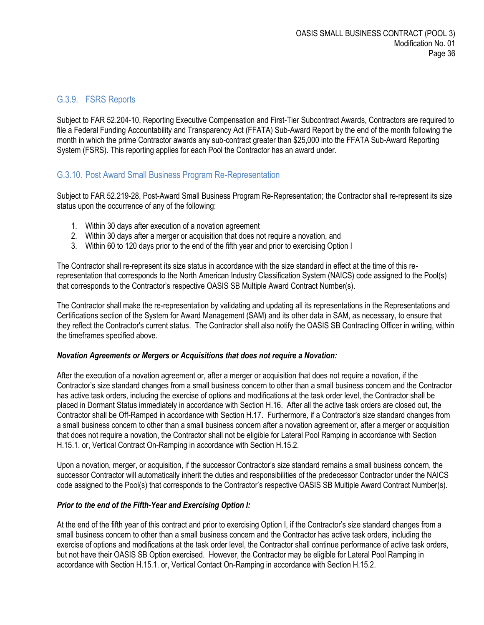#### <span id="page-35-0"></span>G.3.9. FSRS Reports

Subject to FAR 52.204-10, Reporting Executive Compensation and First-Tier Subcontract Awards, Contractors are required to file a Federal Funding Accountability and Transparency Act (FFATA) Sub-Award Report by the end of the month following the month in which the prime Contractor awards any sub-contract greater than \$25,000 into the FFATA Sub-Award Reporting System (FSRS). This reporting applies for each Pool the Contractor has an award under.

#### <span id="page-35-1"></span>G.3.10. Post Award Small Business Program Re-Representation

Subject to FAR 52.219-28, Post-Award Small Business Program Re-Representation; the Contractor shall re-represent its size status upon the occurrence of any of the following:

- 1. Within 30 days after execution of a novation agreement
- 2. Within 30 days after a merger or acquisition that does not require a novation, and
- 3. Within 60 to 120 days prior to the end of the fifth year and prior to exercising Option I

The Contractor shall re-represent its size status in accordance with the size standard in effect at the time of this rerepresentation that corresponds to the North American Industry Classification System (NAICS) code assigned to the Pool(s) that corresponds to the Contractor's respective OASIS SB Multiple Award Contract Number(s).

The Contractor shall make the re-representation by validating and updating all its representations in the Representations and Certifications section of the System for Award Management (SAM) and its other data in SAM, as necessary, to ensure that they reflect the Contractor's current status. The Contractor shall also notify the OASIS SB Contracting Officer in writing, within the timeframes specified above.

#### *Novation Agreements or Mergers or Acquisitions that does not require a Novation:*

After the execution of a novation agreement or, after a merger or acquisition that does not require a novation, if the Contractor's size standard changes from a small business concern to other than a small business concern and the Contractor has active task orders, including the exercise of options and modifications at the task order level, the Contractor shall be placed in Dormant Status immediately in accordance with Section H.16. After all the active task orders are closed out, the Contractor shall be Off-Ramped in accordance with Section H.17. Furthermore, if a Contractor's size standard changes from a small business concern to other than a small business concern after a novation agreement or, after a merger or acquisition that does not require a novation, the Contractor shall not be eligible for Lateral Pool Ramping in accordance with Section H.15.1. or, Vertical Contract On-Ramping in accordance with Section H.15.2.

Upon a novation, merger, or acquisition, if the successor Contractor's size standard remains a small business concern, the successor Contractor will automatically inherit the duties and responsibilities of the predecessor Contractor under the NAICS code assigned to the Pool(s) that corresponds to the Contractor's respective OASIS SB Multiple Award Contract Number(s).

#### *Prior to the end of the Fifth-Year and Exercising Option I:*

At the end of the fifth year of this contract and prior to exercising Option I, if the Contractor's size standard changes from a small business concern to other than a small business concern and the Contractor has active task orders, including the exercise of options and modifications at the task order level, the Contractor shall continue performance of active task orders, but not have their OASIS SB Option exercised. However, the Contractor may be eligible for Lateral Pool Ramping in accordance with Section H.15.1. or, Vertical Contact On-Ramping in accordance with Section H.15.2.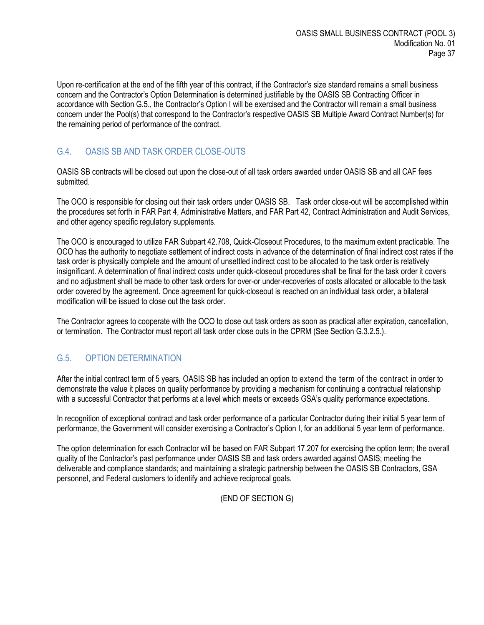Upon re-certification at the end of the fifth year of this contract, if the Contractor's size standard remains a small business concern and the Contractor's Option Determination is determined justifiable by the OASIS SB Contracting Officer in accordance with Section G.5., the Contractor's Option I will be exercised and the Contractor will remain a small business concern under the Pool(s) that correspond to the Contractor's respective OASIS SB Multiple Award Contract Number(s) for the remaining period of performance of the contract.

# <span id="page-36-0"></span>G.4. OASIS SB AND TASK ORDER CLOSE-OUTS

OASIS SB contracts will be closed out upon the close-out of all task orders awarded under OASIS SB and all CAF fees submitted.

The OCO is responsible for closing out their task orders under OASIS SB. Task order close-out will be accomplished within the procedures set forth in FAR Part 4, Administrative Matters, and FAR Part 42, Contract Administration and Audit Services, and other agency specific regulatory supplements.

The OCO is encouraged to utilize FAR Subpart 42.708, Quick-Closeout Procedures, to the maximum extent practicable. The OCO has the authority to negotiate settlement of indirect costs in advance of the determination of final indirect cost rates if the task order is physically complete and the amount of unsettled indirect cost to be allocated to the task order is relatively insignificant. A determination of final indirect costs under quick-closeout procedures shall be final for the task order it covers and no adjustment shall be made to other task orders for over-or under-recoveries of costs allocated or allocable to the task order covered by the agreement. Once agreement for quick-closeout is reached on an individual task order, a bilateral modification will be issued to close out the task order.

The Contractor agrees to cooperate with the OCO to close out task orders as soon as practical after expiration, cancellation, or termination. The Contractor must report all task order close outs in the CPRM (See Section G.3.2.5.).

# <span id="page-36-1"></span>G.5. OPTION DETERMINATION

After the initial contract term of 5 years, OASIS SB has included an option to extend the term of the contract in order to demonstrate the value it places on quality performance by providing a mechanism for continuing a contractual relationship with a successful Contractor that performs at a level which meets or exceeds GSA's quality performance expectations.

In recognition of exceptional contract and task order performance of a particular Contractor during their initial 5 year term of performance, the Government will consider exercising a Contractor's Option I, for an additional 5 year term of performance.

The option determination for each Contractor will be based on FAR Subpart 17.207 for exercising the option term; the overall quality of the Contractor's past performance under OASIS SB and task orders awarded against OASIS; meeting the deliverable and compliance standards; and maintaining a strategic partnership between the OASIS SB Contractors, GSA personnel, and Federal customers to identify and achieve reciprocal goals.

(END OF SECTION G)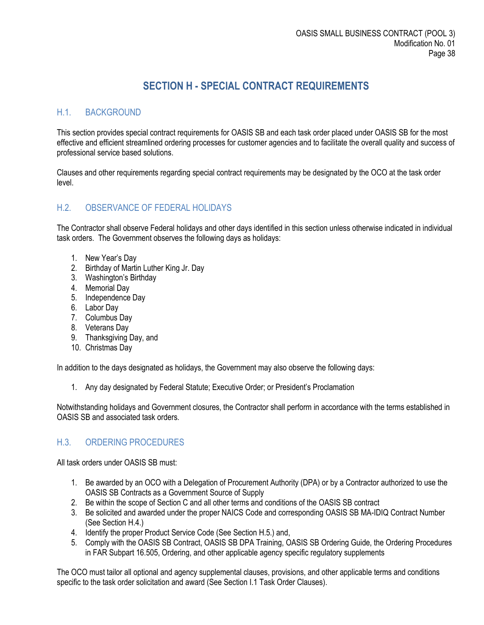# **SECTION H - SPECIAL CONTRACT REQUIREMENTS**

# <span id="page-37-1"></span><span id="page-37-0"></span>H.1. BACKGROUND

This section provides special contract requirements for OASIS SB and each task order placed under OASIS SB for the most effective and efficient streamlined ordering processes for customer agencies and to facilitate the overall quality and success of professional service based solutions.

Clauses and other requirements regarding special contract requirements may be designated by the OCO at the task order level.

#### <span id="page-37-2"></span>H.2. OBSERVANCE OF FEDERAL HOLIDAYS

The Contractor shall observe Federal holidays and other days identified in this section unless otherwise indicated in individual task orders. The Government observes the following days as holidays:

- 1. New Year's Day
- 2. Birthday of Martin Luther King Jr. Day
- 3. Washington's Birthday
- 4. Memorial Day
- 5. Independence Day
- 6. Labor Day
- 7. Columbus Day
- 8. Veterans Day
- 9. Thanksgiving Day, and
- 10. Christmas Day

In addition to the days designated as holidays, the Government may also observe the following days:

1. Any day designated by Federal Statute; Executive Order; or President's Proclamation

Notwithstanding holidays and Government closures, the Contractor shall perform in accordance with the terms established in OASIS SB and associated task orders.

## <span id="page-37-3"></span>H.3. ORDERING PROCEDURES

All task orders under OASIS SB must:

- 1. Be awarded by an OCO with a Delegation of Procurement Authority (DPA) or by a Contractor authorized to use the OASIS SB Contracts as a Government Source of Supply
- 2. Be within the scope of Section C and all other terms and conditions of the OASIS SB contract
- 3. Be solicited and awarded under the proper NAICS Code and corresponding OASIS SB MA-IDIQ Contract Number (See Section H.4.)
- 4. Identify the proper Product Service Code (See Section H.5.) and,
- 5. Comply with the OASIS SB Contract, OASIS SB DPA Training, OASIS SB Ordering Guide, the Ordering Procedures in FAR Subpart 16.505, Ordering, and other applicable agency specific regulatory supplements

The OCO must tailor all optional and agency supplemental clauses, provisions, and other applicable terms and conditions specific to the task order solicitation and award (See Section I.1 Task Order Clauses).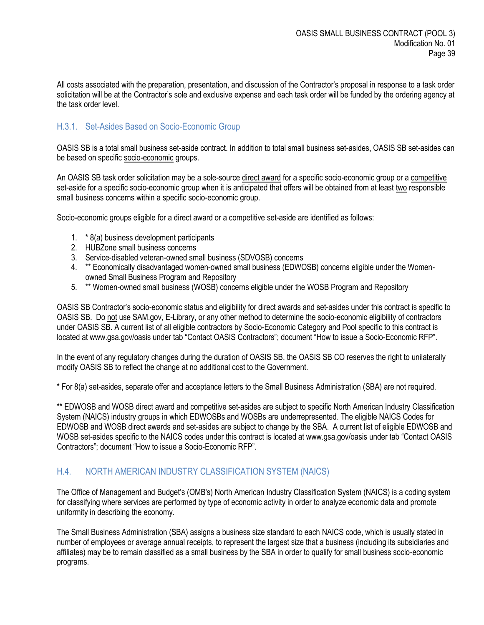All costs associated with the preparation, presentation, and discussion of the Contractor's proposal in response to a task order solicitation will be at the Contractor's sole and exclusive expense and each task order will be funded by the ordering agency at the task order level.

# <span id="page-38-0"></span>H.3.1. Set-Asides Based on Socio-Economic Group

OASIS SB is a total small business set-aside contract. In addition to total small business set-asides, OASIS SB set-asides can be based on specific socio-economic groups.

An OASIS SB task order solicitation may be a sole-source direct award for a specific socio-economic group or a competitive set-aside for a specific socio-economic group when it is anticipated that offers will be obtained from at least two responsible small business concerns within a specific socio-economic group.

Socio-economic groups eligible for a direct award or a competitive set-aside are identified as follows:

- 1. \* 8(a) business development participants
- 2. HUBZone small business concerns
- 3. Service-disabled veteran-owned small business (SDVOSB) concerns
- 4. \*\* Economically disadvantaged women-owned small business (EDWOSB) concerns eligible under the Womenowned Small Business Program and Repository
- 5. \*\* Women-owned small business (WOSB) concerns eligible under the WOSB Program and Repository

OASIS SB Contractor's socio-economic status and eligibility for direct awards and set-asides under this contract is specific to OASIS SB. Do not use SAM.gov, E-Library, or any other method to determine the socio-economic eligibility of contractors under OASIS SB. A current list of all eligible contractors by Socio-Economic Category and Pool specific to this contract is located at www.gsa.gov/oasis under tab "Contact OASIS Contractors"; document "How to issue a Socio-Economic RFP".

In the event of any regulatory changes during the duration of OASIS SB, the OASIS SB CO reserves the right to unilaterally modify OASIS SB to reflect the change at no additional cost to the Government.

\* For 8(a) set-asides, separate offer and acceptance letters to the Small Business Administration (SBA) are not required.

\*\* EDWOSB and WOSB direct award and competitive set-asides are subject to specific North American Industry Classification System (NAICS) industry groups in which EDWOSBs and WOSBs are underrepresented. The eligible NAICS Codes for EDWOSB and WOSB direct awards and set-asides are subject to change by the SBA. A current list of eligible EDWOSB and WOSB set-asides specific to the NAICS codes under this contract is located at www.gsa.gov/oasis under tab "Contact OASIS" Contractors"; document "How to issue a Socio-Economic RFP".

#### <span id="page-38-1"></span>H.4. NORTH AMERICAN INDUSTRY CLASSIFICATION SYSTEM (NAICS)

The Office of Management and Budget's (OMB's) North American Industry Classification System (NAICS) is a coding system for classifying where services are performed by type of economic activity in order to analyze economic data and promote uniformity in describing the economy.

The Small Business Administration (SBA) assigns a business size standard to each NAICS code, which is usually stated in number of employees or average annual receipts, to represent the largest size that a business (including its subsidiaries and affiliates) may be to remain classified as a small business by the SBA in order to qualify for small business socio-economic programs.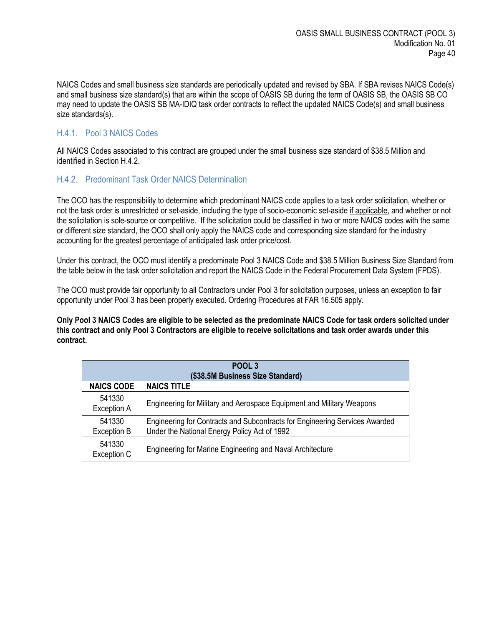NAICS Codes and small business size standards are periodically updated and revised by SBA. If SBA revises NAICS Code(s) and small business size standard(s) that are within the scope of OASIS SB during the term of OASIS SB, the OASIS SB CO may need to update the OASIS SB MA-IDIQ task order contracts to reflect the updated NAICS Code(s) and small business size standards(s).

#### <span id="page-39-0"></span>H.4.1. Pool 3 NAICS Codes

All NAICS Codes associated to this contract are grouped under the small business size standard of \$38.5 Million and identified in Section H.4.2.

#### <span id="page-39-1"></span>H.4.2. Predominant Task Order NAICS Determination

The OCO has the responsibility to determine which predominant NAICS code applies to a task order solicitation, whether or not the task order is unrestricted or set-aside, including the type of socio-economic set-aside if applicable, and whether or not the solicitation is sole-source or competitive. If the solicitation could be classified in two or more NAICS codes with the same or different size standard, the OCO shall only apply the NAICS code and corresponding size standard for the industry accounting for the greatest percentage of anticipated task order price/cost.

Under this contract, the OCO must identify a predominate Pool 3 NAICS Code and \$38.5 Million Business Size Standard from the table below in the task order solicitation and report the NAICS Code in the Federal Procurement Data System (FPDS).

The OCO must provide fair opportunity to all Contractors under Pool 3 for solicitation purposes, unless an exception to fair opportunity under Pool 3 has been properly executed. Ordering Procedures at FAR 16.505 apply.

**Only Pool 3 NAICS Codes are eligible to be selected as the predominate NAICS Code for task orders solicited under this contract and only Pool 3 Contractors are eligible to receive solicitations and task order awards under this contract.**

| POOL <sub>3</sub>                |                                                                                                                             |  |  |
|----------------------------------|-----------------------------------------------------------------------------------------------------------------------------|--|--|
| (\$38.5M Business Size Standard) |                                                                                                                             |  |  |
| <b>NAICS CODE</b>                | <b>NAICS TITLE</b>                                                                                                          |  |  |
| 541330<br><b>Exception A</b>     | Engineering for Military and Aerospace Equipment and Military Weapons                                                       |  |  |
| 541330<br><b>Exception B</b>     | Engineering for Contracts and Subcontracts for Engineering Services Awarded<br>Under the National Energy Policy Act of 1992 |  |  |
| 541330<br>Exception C            | Engineering for Marine Engineering and Naval Architecture                                                                   |  |  |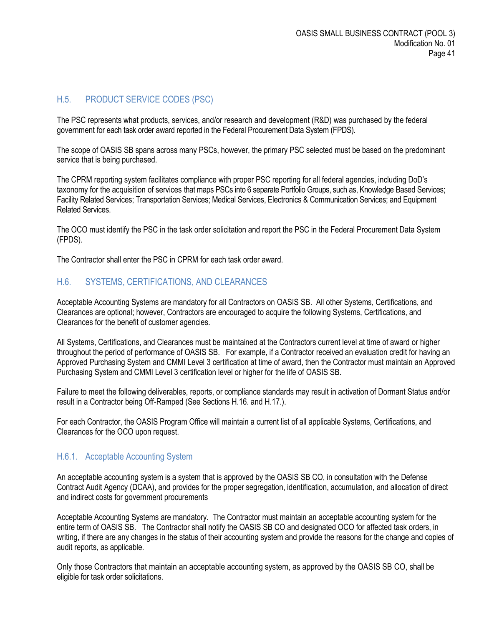# <span id="page-40-0"></span>H.5. PRODUCT SERVICE CODES (PSC)

The PSC represents what products, services, and/or research and development (R&D) was purchased by the federal government for each task order award reported in the Federal Procurement Data System (FPDS).

The scope of OASIS SB spans across many PSCs, however, the primary PSC selected must be based on the predominant service that is being purchased.

The CPRM reporting system facilitates compliance with proper PSC reporting for all federal agencies, including DoD's taxonomy for the acquisition of services that maps PSCs into 6 separate Portfolio Groups, such as, Knowledge Based Services; Facility Related Services; Transportation Services; Medical Services, Electronics & Communication Services; and Equipment Related Services.

The OCO must identify the PSC in the task order solicitation and report the PSC in the Federal Procurement Data System (FPDS).

The Contractor shall enter the PSC in CPRM for each task order award.

## <span id="page-40-1"></span>H.6. SYSTEMS, CERTIFICATIONS, AND CLEARANCES

Acceptable Accounting Systems are mandatory for all Contractors on OASIS SB. All other Systems, Certifications, and Clearances are optional; however, Contractors are encouraged to acquire the following Systems, Certifications, and Clearances for the benefit of customer agencies.

All Systems, Certifications, and Clearances must be maintained at the Contractors current level at time of award or higher throughout the period of performance of OASIS SB. For example, if a Contractor received an evaluation credit for having an Approved Purchasing System and CMMI Level 3 certification at time of award, then the Contractor must maintain an Approved Purchasing System and CMMI Level 3 certification level or higher for the life of OASIS SB.

Failure to meet the following deliverables, reports, or compliance standards may result in activation of Dormant Status and/or result in a Contractor being Off-Ramped (See Sections H.16. and H.17.).

For each Contractor, the OASIS Program Office will maintain a current list of all applicable Systems, Certifications, and Clearances for the OCO upon request.

#### <span id="page-40-2"></span>H.6.1. Acceptable Accounting System

An acceptable accounting system is a system that is approved by the OASIS SB CO, in consultation with the Defense Contract Audit Agency (DCAA), and provides for the proper segregation, identification, accumulation, and allocation of direct and indirect costs for government procurements

Acceptable Accounting Systems are mandatory. The Contractor must maintain an acceptable accounting system for the entire term of OASIS SB. The Contractor shall notify the OASIS SB CO and designated OCO for affected task orders, in writing, if there are any changes in the status of their accounting system and provide the reasons for the change and copies of audit reports, as applicable.

Only those Contractors that maintain an acceptable accounting system, as approved by the OASIS SB CO, shall be eligible for task order solicitations.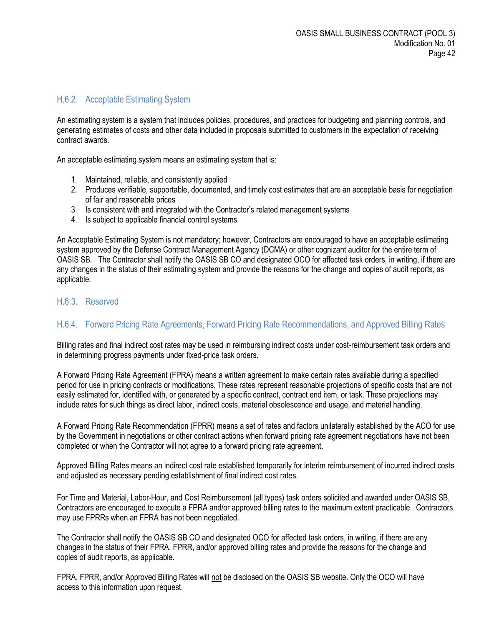#### <span id="page-41-0"></span>H.6.2. Acceptable Estimating System

An estimating system is a system that includes policies, procedures, and practices for budgeting and planning controls, and generating estimates of costs and other data included in proposals submitted to customers in the expectation of receiving contract awards.

An acceptable estimating system means an estimating system that is:

- 1. Maintained, reliable, and consistently applied
- 2. Produces verifiable, supportable, documented, and timely cost estimates that are an acceptable basis for negotiation of fair and reasonable prices
- 3. Is consistent with and integrated with the Contractor's related management systems
- 4. Is subject to applicable financial control systems

An Acceptable Estimating System is not mandatory; however, Contractors are encouraged to have an acceptable estimating system approved by the Defense Contract Management Agency (DCMA) or other cognizant auditor for the entire term of OASIS SB. The Contractor shall notify the OASIS SB CO and designated OCO for affected task orders, in writing, if there are any changes in the status of their estimating system and provide the reasons for the change and copies of audit reports, as applicable.

#### <span id="page-41-1"></span>H.6.3. Reserved

## <span id="page-41-2"></span>H.6.4. Forward Pricing Rate Agreements, Forward Pricing Rate Recommendations, and Approved Billing Rates

Billing rates and final indirect cost rates may be used in reimbursing indirect costs under cost-reimbursement task orders and in determining progress payments under fixed-price task orders.

A Forward Pricing Rate Agreement (FPRA) means a written agreement to make certain rates available during a specified period for use in pricing contracts or modifications. These rates represent reasonable projections of specific costs that are not easily estimated for, identified with, or generated by a specific contract, contract end item, or task. These projections may include rates for such things as direct labor, indirect costs, material obsolescence and usage, and material handling.

A Forward Pricing Rate Recommendation (FPRR) means a set of rates and factors unilaterally established by the ACO for use by the Government in negotiations or other contract actions when forward pricing rate agreement negotiations have not been completed or when the Contractor will not agree to a forward pricing rate agreement.

Approved Billing Rates means an indirect cost rate established temporarily for interim reimbursement of incurred indirect costs and adjusted as necessary pending establishment of final indirect cost rates.

For Time and Material, Labor-Hour, and Cost Reimbursement (all types) task orders solicited and awarded under OASIS SB, Contractors are encouraged to execute a FPRA and/or approved billing rates to the maximum extent practicable. Contractors may use FPRRs when an FPRA has not been negotiated.

The Contractor shall notify the OASIS SB CO and designated OCO for affected task orders, in writing, if there are any changes in the status of their FPRA, FPRR, and/or approved billing rates and provide the reasons for the change and copies of audit reports, as applicable.

FPRA, FPRR, and/or Approved Billing Rates will not be disclosed on the OASIS SB website. Only the OCO will have access to this information upon request.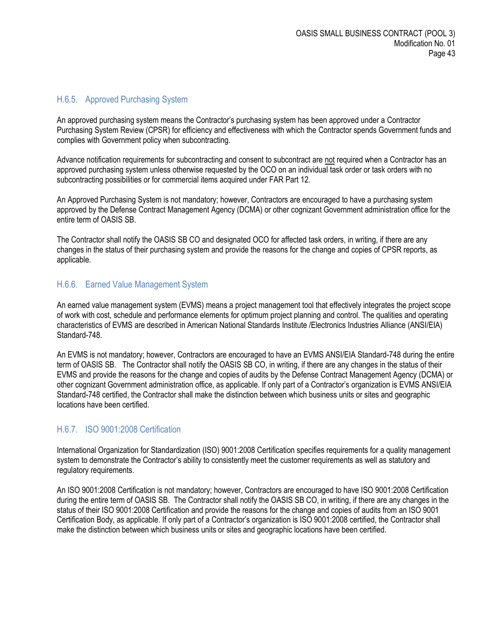#### <span id="page-42-0"></span>H.6.5. Approved Purchasing System

An approved purchasing system means the Contractor's purchasing system has been approved under a Contractor Purchasing System Review (CPSR) for efficiency and effectiveness with which the Contractor spends Government funds and complies with Government policy when subcontracting.

Advance notification requirements for subcontracting and consent to subcontract are not required when a Contractor has an approved purchasing system unless otherwise requested by the OCO on an individual task order or task orders with no subcontracting possibilities or for commercial items acquired under FAR Part 12.

An Approved Purchasing System is not mandatory; however, Contractors are encouraged to have a purchasing system approved by the Defense Contract Management Agency (DCMA) or other cognizant Government administration office for the entire term of OASIS SB.

The Contractor shall notify the OASIS SB CO and designated OCO for affected task orders, in writing, if there are any changes in the status of their purchasing system and provide the reasons for the change and copies of CPSR reports, as applicable.

#### <span id="page-42-1"></span>H.6.6. Earned Value Management System

An earned value management system (EVMS) means a project management tool that effectively integrates the project scope of work with cost, schedule and performance elements for optimum project planning and control. The qualities and operating characteristics of EVMS are described in American National Standards Institute /Electronics Industries Alliance (ANSI/EIA) Standard-748.

An EVMS is not mandatory; however, Contractors are encouraged to have an EVMS ANSI/EIA Standard-748 during the entire term of OASIS SB. The Contractor shall notify the OASIS SB CO, in writing, if there are any changes in the status of their EVMS and provide the reasons for the change and copies of audits by the Defense Contract Management Agency (DCMA) or other cognizant Government administration office, as applicable. If only part of a Contractor's organization is EVMS ANSI/EIA Standard-748 certified, the Contractor shall make the distinction between which business units or sites and geographic locations have been certified.

#### <span id="page-42-2"></span>H.6.7. ISO 9001:2008 Certification

International Organization for Standardization (ISO) 9001:2008 Certification specifies requirements for a quality management system to demonstrate the Contractor's ability to consistently meet the customer requirements as well as statutory and regulatory requirements.

An ISO 9001:2008 Certification is not mandatory; however, Contractors are encouraged to have ISO 9001:2008 Certification during the entire term of OASIS SB. The Contractor shall notify the OASIS SB CO, in writing, if there are any changes in the status of their ISO 9001:2008 Certification and provide the reasons for the change and copies of audits from an ISO 9001 Certification Body, as applicable. If only part of a Contractor's organization is ISO 9001:2008 certified, the Contractor shall make the distinction between which business units or sites and geographic locations have been certified.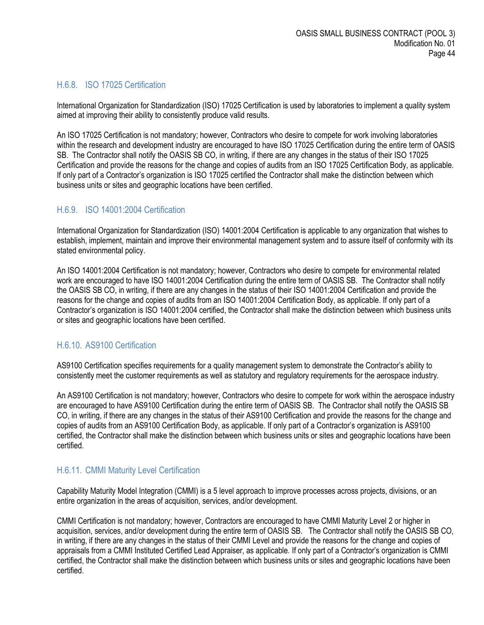## <span id="page-43-0"></span>H.6.8. ISO 17025 Certification

International Organization for Standardization (ISO) 17025 Certification is used by laboratories to implement a quality system aimed at improving their ability to consistently produce valid results.

An ISO 17025 Certification is not mandatory; however, Contractors who desire to compete for work involving laboratories within the research and development industry are encouraged to have ISO 17025 Certification during the entire term of OASIS SB. The Contractor shall notify the OASIS SB CO, in writing, if there are any changes in the status of their ISO 17025 Certification and provide the reasons for the change and copies of audits from an ISO 17025 Certification Body, as applicable. If only part of a Contractor's organization is ISO 17025 certified the Contractor shall make the distinction between which business units or sites and geographic locations have been certified.

#### <span id="page-43-1"></span>H.6.9. ISO 14001:2004 Certification

International Organization for Standardization (ISO) 14001:2004 Certification is applicable to any organization that wishes to establish, implement, maintain and improve their environmental management system and to assure itself of conformity with its stated environmental policy.

An ISO 14001:2004 Certification is not mandatory; however, Contractors who desire to compete for environmental related work are encouraged to have ISO 14001:2004 Certification during the entire term of OASIS SB. The Contractor shall notify the OASIS SB CO, in writing, if there are any changes in the status of their ISO 14001:2004 Certification and provide the reasons for the change and copies of audits from an ISO 14001:2004 Certification Body, as applicable. If only part of a Contractor's organization is ISO 14001:2004 certified, the Contractor shall make the distinction between which business units or sites and geographic locations have been certified.

## <span id="page-43-2"></span>H.6.10. AS9100 Certification

AS9100 Certification specifies requirements for a quality management system to demonstrate the Contractor's ability to consistently meet the customer requirements as well as statutory and regulatory requirements for the aerospace industry.

An AS9100 Certification is not mandatory; however, Contractors who desire to compete for work within the aerospace industry are encouraged to have AS9100 Certification during the entire term of OASIS SB. The Contractor shall notify the OASIS SB CO, in writing, if there are any changes in the status of their AS9100 Certification and provide the reasons for the change and copies of audits from an AS9100 Certification Body, as applicable. If only part of a Contractor's organization is AS9100 certified, the Contractor shall make the distinction between which business units or sites and geographic locations have been certified.

#### <span id="page-43-3"></span>H.6.11. CMMI Maturity Level Certification

Capability Maturity Model Integration (CMMI) is a 5 level approach to improve processes across projects, divisions, or an entire organization in the areas of acquisition, services, and/or development.

CMMI Certification is not mandatory; however, Contractors are encouraged to have CMMI Maturity Level 2 or higher in acquisition, services, and/or development during the entire term of OASIS SB. The Contractor shall notify the OASIS SB CO, in writing, if there are any changes in the status of their CMMI Level and provide the reasons for the change and copies of appraisals from a CMMI Instituted Certified Lead Appraiser, as applicable. If only part of a Contractor's organization is CMMI certified, the Contractor shall make the distinction between which business units or sites and geographic locations have been certified.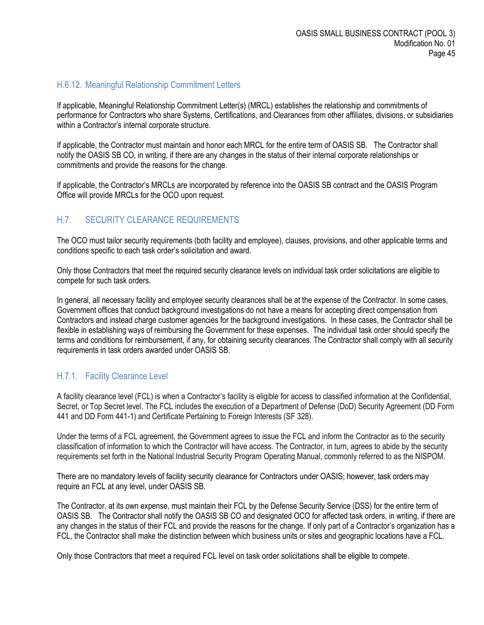#### <span id="page-44-0"></span>H.6.12. Meaningful Relationship Commitment Letters

If applicable, Meaningful Relationship Commitment Letter(s) (MRCL) establishes the relationship and commitments of performance for Contractors who share Systems, Certifications, and Clearances from other affiliates, divisions, or subsidiaries within a Contractor's internal corporate structure.

If applicable, the Contractor must maintain and honor each MRCL for the entire term of OASIS SB. The Contractor shall notify the OASIS SB CO, in writing, if there are any changes in the status of their internal corporate relationships or commitments and provide the reasons for the change.

If applicable, the Contractor's MRCLs are incorporated by reference into the OASIS SB contract and the OASIS Program Office will provide MRCLs for the OCO upon request.

#### <span id="page-44-1"></span>H.7. SECURITY CLEARANCE REQUIREMENTS

The OCO must tailor security requirements (both facility and employee), clauses, provisions, and other applicable terms and conditions specific to each task order's solicitation and award.

Only those Contractors that meet the required security clearance levels on individual task order solicitations are eligible to compete for such task orders.

In general, all necessary facility and employee security clearances shall be at the expense of the Contractor. In some cases, Government offices that conduct background investigations do not have a means for accepting direct compensation from Contractors and instead charge customer agencies for the background investigations. In these cases, the Contractor shall be flexible in establishing ways of reimbursing the Government for these expenses. The individual task order should specify the terms and conditions for reimbursement, if any, for obtaining security clearances. The Contractor shall comply with all security requirements in task orders awarded under OASIS SB.

#### <span id="page-44-2"></span>H.7.1. Facility Clearance Level

A facility clearance level (FCL) is when a Contractor's facility is eligible for access to classified information at the Confidential, Secret, or Top Secret level. The FCL includes the execution of a Department of Defense (DoD) Security Agreement (DD Form 441 and DD Form 441-1) and Certificate Pertaining to Foreign Interests (SF 328).

Under the terms of a FCL agreement, the Government agrees to issue the FCL and inform the Contractor as to the security classification of information to which the Contractor will have access. The Contractor, in turn, agrees to abide by the security requirements set forth in the National Industrial Security Program Operating Manual, commonly referred to as the NISPOM.

There are no mandatory levels of facility security clearance for Contractors under OASIS; however, task orders may require an FCL at any level, under OASIS SB.

The Contractor, at its own expense, must maintain their FCL by the Defense Security Service (DSS) for the entire term of OASIS SB. The Contractor shall notify the OASIS SB CO and designated OCO for affected task orders, in writing, if there are any changes in the status of their FCL and provide the reasons for the change. If only part of a Contractor's organization has a FCL, the Contractor shall make the distinction between which business units or sites and geographic locations have a FCL.

Only those Contractors that meet a required FCL level on task order solicitations shall be eligible to compete.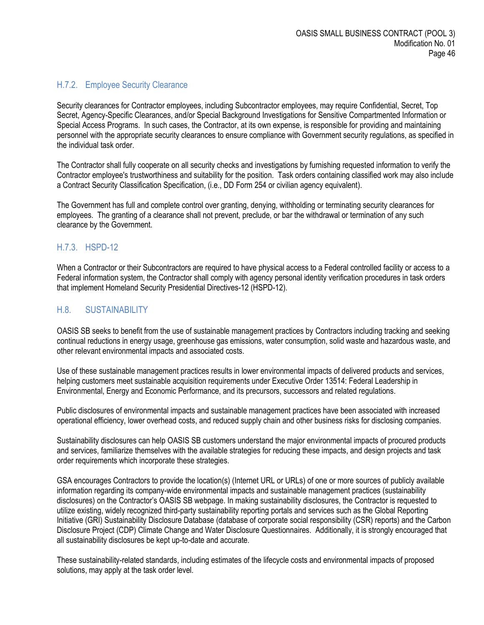# <span id="page-45-0"></span>H.7.2. Employee Security Clearance

Security clearances for Contractor employees, including Subcontractor employees, may require Confidential, Secret, Top Secret, Agency-Specific Clearances, and/or Special Background Investigations for Sensitive Compartmented Information or Special Access Programs. In such cases, the Contractor, at its own expense, is responsible for providing and maintaining personnel with the appropriate security clearances to ensure compliance with Government security regulations, as specified in the individual task order.

The Contractor shall fully cooperate on all security checks and investigations by furnishing requested information to verify the Contractor employee's trustworthiness and suitability for the position. Task orders containing classified work may also include a Contract Security Classification Specification, (i.e., DD Form 254 or civilian agency equivalent).

The Government has full and complete control over granting, denying, withholding or terminating security clearances for employees. The granting of a clearance shall not prevent, preclude, or bar the withdrawal or termination of any such clearance by the Government.

## <span id="page-45-1"></span>H.7.3. HSPD-12

When a Contractor or their Subcontractors are required to have physical access to a Federal controlled facility or access to a Federal information system, the Contractor shall comply with agency personal identity verification procedures in task orders that implement Homeland Security Presidential Directives-12 (HSPD-12).

# <span id="page-45-2"></span>H.8. SUSTAINABILITY

OASIS SB seeks to benefit from the use of sustainable management practices by Contractors including tracking and seeking continual reductions in energy usage, greenhouse gas emissions, water consumption, solid waste and hazardous waste, and other relevant environmental impacts and associated costs.

Use of these sustainable management practices results in lower environmental impacts of delivered products and services, helping customers meet sustainable acquisition requirements under Executive Order 13514: Federal Leadership in Environmental, Energy and Economic Performance, and its precursors, successors and related regulations.

Public disclosures of environmental impacts and sustainable management practices have been associated with increased operational efficiency, lower overhead costs, and reduced supply chain and other business risks for disclosing companies.

Sustainability disclosures can help OASIS SB customers understand the major environmental impacts of procured products and services, familiarize themselves with the available strategies for reducing these impacts, and design projects and task order requirements which incorporate these strategies.

GSA encourages Contractors to provide the location(s) (Internet URL or URLs) of one or more sources of publicly available information regarding its company-wide environmental impacts and sustainable management practices (sustainability disclosures) on the Contractor's OASIS SB webpage. In making sustainability disclosures, the Contractor is requested to utilize existing, widely recognized third-party sustainability reporting portals and services such as the Global Reporting Initiative (GRI) Sustainability Disclosure Database (database of corporate social responsibility (CSR) reports) and the Carbon Disclosure Project (CDP) Climate Change and Water Disclosure Questionnaires. Additionally, it is strongly encouraged that all sustainability disclosures be kept up-to-date and accurate.

These sustainability-related standards, including estimates of the lifecycle costs and environmental impacts of proposed solutions, may apply at the task order level.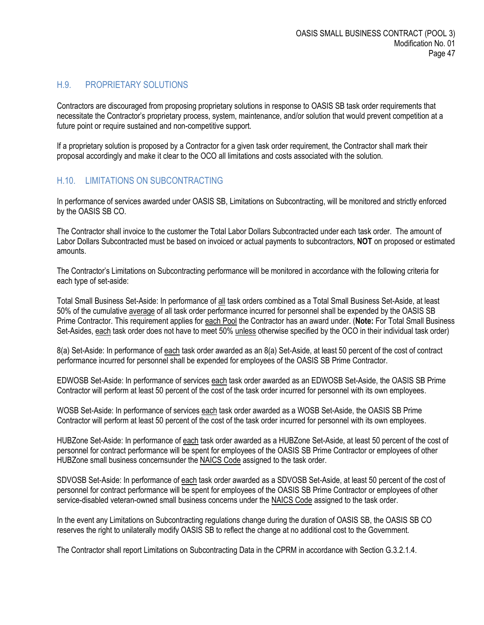#### <span id="page-46-0"></span>H.9. PROPRIETARY SOLUTIONS

Contractors are discouraged from proposing proprietary solutions in response to OASIS SB task order requirements that necessitate the Contractor's proprietary process, system, maintenance, and/or solution that would prevent competition at a future point or require sustained and non-competitive support.

If a proprietary solution is proposed by a Contractor for a given task order requirement, the Contractor shall mark their proposal accordingly and make it clear to the OCO all limitations and costs associated with the solution.

#### <span id="page-46-1"></span>H.10. LIMITATIONS ON SUBCONTRACTING

In performance of services awarded under OASIS SB, Limitations on Subcontracting, will be monitored and strictly enforced by the OASIS SB CO.

The Contractor shall invoice to the customer the Total Labor Dollars Subcontracted under each task order. The amount of Labor Dollars Subcontracted must be based on invoiced or actual payments to subcontractors, **NOT** on proposed or estimated amounts.

The Contractor's Limitations on Subcontracting performance will be monitored in accordance with the following criteria for each type of set-aside:

Total Small Business Set-Aside: In performance of all task orders combined as a Total Small Business Set-Aside, at least 50% of the cumulative average of all task order performance incurred for personnel shall be expended by the OASIS SB Prime Contractor. This requirement applies for each Pool the Contractor has an award under. (**Note:** For Total Small Business Set-Asides, each task order does not have to meet 50% unless otherwise specified by the OCO in their individual task order)

8(a) Set-Aside: In performance of each task order awarded as an 8(a) Set-Aside, at least 50 percent of the cost of contract performance incurred for personnel shall be expended for employees of the OASIS SB Prime Contractor.

EDWOSB Set-Aside: In performance of services each task order awarded as an EDWOSB Set-Aside, the OASIS SB Prime Contractor will perform at least 50 percent of the cost of the task order incurred for personnel with its own employees.

WOSB Set-Aside: In performance of services each task order awarded as a WOSB Set-Aside, the OASIS SB Prime Contractor will perform at least 50 percent of the cost of the task order incurred for personnel with its own employees.

HUBZone Set-Aside: In performance of each task order awarded as a HUBZone Set-Aside, at least 50 percent of the cost of personnel for contract performance will be spent for employees of the OASIS SB Prime Contractor or employees of other HUBZone small business concernsunder the NAICS Code assigned to the task order.

SDVOSB Set-Aside: In performance of each task order awarded as a SDVOSB Set-Aside, at least 50 percent of the cost of personnel for contract performance will be spent for employees of the OASIS SB Prime Contractor or employees of other service-disabled veteran-owned small business concerns under the NAICS Code assigned to the task order.

In the event any Limitations on Subcontracting regulations change during the duration of OASIS SB, the OASIS SB CO reserves the right to unilaterally modify OASIS SB to reflect the change at no additional cost to the Government.

The Contractor shall report Limitations on Subcontracting Data in the CPRM in accordance with Section G.3.2.1.4.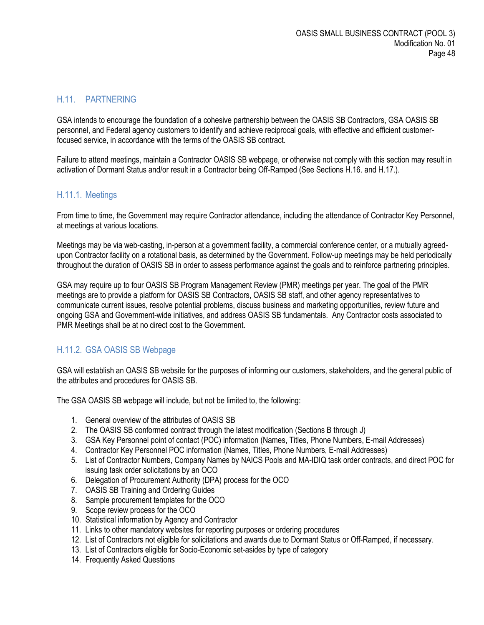## <span id="page-47-0"></span>H.11. PARTNERING

GSA intends to encourage the foundation of a cohesive partnership between the OASIS SB Contractors, GSA OASIS SB personnel, and Federal agency customers to identify and achieve reciprocal goals, with effective and efficient customerfocused service, in accordance with the terms of the OASIS SB contract.

Failure to attend meetings, maintain a Contractor OASIS SB webpage, or otherwise not comply with this section may result in activation of Dormant Status and/or result in a Contractor being Off-Ramped (See Sections H.16. and H.17.).

#### <span id="page-47-1"></span>H.11.1. Meetings

From time to time, the Government may require Contractor attendance, including the attendance of Contractor Key Personnel, at meetings at various locations.

Meetings may be via web-casting, in-person at a government facility, a commercial conference center, or a mutually agreedupon Contractor facility on a rotational basis, as determined by the Government. Follow-up meetings may be held periodically throughout the duration of OASIS SB in order to assess performance against the goals and to reinforce partnering principles.

GSA may require up to four OASIS SB Program Management Review (PMR) meetings per year. The goal of the PMR meetings are to provide a platform for OASIS SB Contractors, OASIS SB staff, and other agency representatives to communicate current issues, resolve potential problems, discuss business and marketing opportunities, review future and ongoing GSA and Government-wide initiatives, and address OASIS SB fundamentals. Any Contractor costs associated to PMR Meetings shall be at no direct cost to the Government.

## <span id="page-47-2"></span>H.11.2. GSA OASIS SB Webpage

GSA will establish an OASIS SB website for the purposes of informing our customers, stakeholders, and the general public of the attributes and procedures for OASIS SB.

The GSA OASIS SB webpage will include, but not be limited to, the following:

- 1. General overview of the attributes of OASIS SB
- 2. The OASIS SB conformed contract through the latest modification (Sections B through J)
- 3. GSA Key Personnel point of contact (POC) information (Names, Titles, Phone Numbers, E-mail Addresses)
- 4. Contractor Key Personnel POC information (Names, Titles, Phone Numbers, E-mail Addresses)
- 5. List of Contractor Numbers, Company Names by NAICS Pools and MA-IDIQ task order contracts, and direct POC for issuing task order solicitations by an OCO
- 6. Delegation of Procurement Authority (DPA) process for the OCO
- 7. OASIS SB Training and Ordering Guides
- 8. Sample procurement templates for the OCO
- 9. Scope review process for the OCO
- 10. Statistical information by Agency and Contractor
- 11. Links to other mandatory websites for reporting purposes or ordering procedures
- 12. List of Contractors not eligible for solicitations and awards due to Dormant Status or Off-Ramped, if necessary.
- 13. List of Contractors eligible for Socio-Economic set-asides by type of category
- 14. Frequently Asked Questions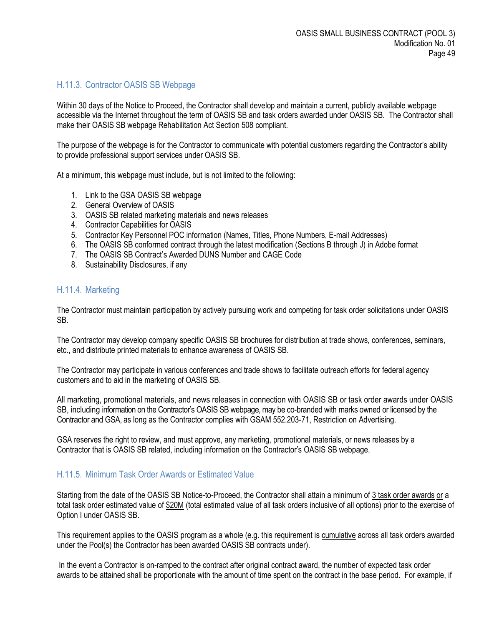#### <span id="page-48-0"></span>H.11.3. Contractor OASIS SB Webpage

Within 30 days of the Notice to Proceed, the Contractor shall develop and maintain a current, publicly available webpage accessible via the Internet throughout the term of OASIS SB and task orders awarded under OASIS SB. The Contractor shall make their OASIS SB webpage Rehabilitation Act Section 508 compliant.

The purpose of the webpage is for the Contractor to communicate with potential customers regarding the Contractor's ability to provide professional support services under OASIS SB.

At a minimum, this webpage must include, but is not limited to the following:

- 1. Link to the GSA OASIS SB webpage
- 2. General Overview of OASIS
- 3. OASIS SB related marketing materials and news releases
- 4. Contractor Capabilities for OASIS
- 5. Contractor Key Personnel POC information (Names, Titles, Phone Numbers, E-mail Addresses)
- 6. The OASIS SB conformed contract through the latest modification (Sections B through J) in Adobe format
- 7. The OASIS SB Contract's Awarded DUNS Number and CAGE Code
- 8. Sustainability Disclosures, if any

#### <span id="page-48-1"></span>H.11.4. Marketing

The Contractor must maintain participation by actively pursuing work and competing for task order solicitations under OASIS SB.

The Contractor may develop company specific OASIS SB brochures for distribution at trade shows, conferences, seminars, etc., and distribute printed materials to enhance awareness of OASIS SB.

The Contractor may participate in various conferences and trade shows to facilitate outreach efforts for federal agency customers and to aid in the marketing of OASIS SB.

All marketing, promotional materials, and news releases in connection with OASIS SB or task order awards under OASIS SB, including information on the Contractor's OASIS SB webpage, may be co-branded with marks owned or licensed by the Contractor and GSA, as long as the Contractor complies with GSAM 552.203-71, Restriction on Advertising.

GSA reserves the right to review, and must approve, any marketing, promotional materials, or news releases by a Contractor that is OASIS SB related, including information on the Contractor's OASIS SB webpage.

#### <span id="page-48-2"></span>H.11.5. Minimum Task Order Awards or Estimated Value

Starting from the date of the OASIS SB Notice-to-Proceed, the Contractor shall attain a minimum of 3 task order awards or a total task order estimated value of \$20M (total estimated value of all task orders inclusive of all options) prior to the exercise of Option I under OASIS SB.

This requirement applies to the OASIS program as a whole (e.g. this requirement is cumulative across all task orders awarded under the Pool(s) the Contractor has been awarded OASIS SB contracts under).

In the event a Contractor is on-ramped to the contract after original contract award, the number of expected task order awards to be attained shall be proportionate with the amount of time spent on the contract in the base period. For example, if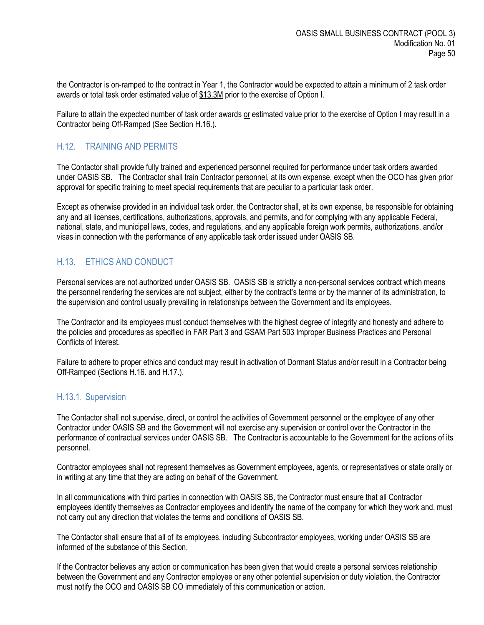the Contractor is on-ramped to the contract in Year 1, the Contractor would be expected to attain a minimum of 2 task order awards or total task order estimated value of \$13.3M prior to the exercise of Option I.

Failure to attain the expected number of task order awards or estimated value prior to the exercise of Option I may result in a Contractor being Off-Ramped (See Section H.16.).

#### <span id="page-49-0"></span>H.12. TRAINING AND PERMITS

The Contactor shall provide fully trained and experienced personnel required for performance under task orders awarded under OASIS SB. The Contractor shall train Contractor personnel, at its own expense, except when the OCO has given prior approval for specific training to meet special requirements that are peculiar to a particular task order.

Except as otherwise provided in an individual task order, the Contractor shall, at its own expense, be responsible for obtaining any and all licenses, certifications, authorizations, approvals, and permits, and for complying with any applicable Federal, national, state, and municipal laws, codes, and regulations, and any applicable foreign work permits, authorizations, and/or visas in connection with the performance of any applicable task order issued under OASIS SB.

#### <span id="page-49-1"></span>H.13. ETHICS AND CONDUCT

Personal services are not authorized under OASIS SB. OASIS SB is strictly a non-personal services contract which means the personnel rendering the services are not subject, either by the contract's terms or by the manner of its administration, to the supervision and control usually prevailing in relationships between the Government and its employees.

The Contractor and its employees must conduct themselves with the highest degree of integrity and honesty and adhere to the policies and procedures as specified in FAR Part 3 and GSAM Part 503 Improper Business Practices and Personal Conflicts of Interest.

Failure to adhere to proper ethics and conduct may result in activation of Dormant Status and/or result in a Contractor being Off-Ramped (Sections H.16. and H.17.).

#### <span id="page-49-2"></span>H.13.1. Supervision

The Contactor shall not supervise, direct, or control the activities of Government personnel or the employee of any other Contractor under OASIS SB and the Government will not exercise any supervision or control over the Contractor in the performance of contractual services under OASIS SB. The Contractor is accountable to the Government for the actions of its personnel.

Contractor employees shall not represent themselves as Government employees, agents, or representatives or state orally or in writing at any time that they are acting on behalf of the Government.

In all communications with third parties in connection with OASIS SB, the Contractor must ensure that all Contractor employees identify themselves as Contractor employees and identify the name of the company for which they work and, must not carry out any direction that violates the terms and conditions of OASIS SB.

The Contactor shall ensure that all of its employees, including Subcontractor employees, working under OASIS SB are informed of the substance of this Section.

If the Contractor believes any action or communication has been given that would create a personal services relationship between the Government and any Contractor employee or any other potential supervision or duty violation, the Contractor must notify the OCO and OASIS SB CO immediately of this communication or action.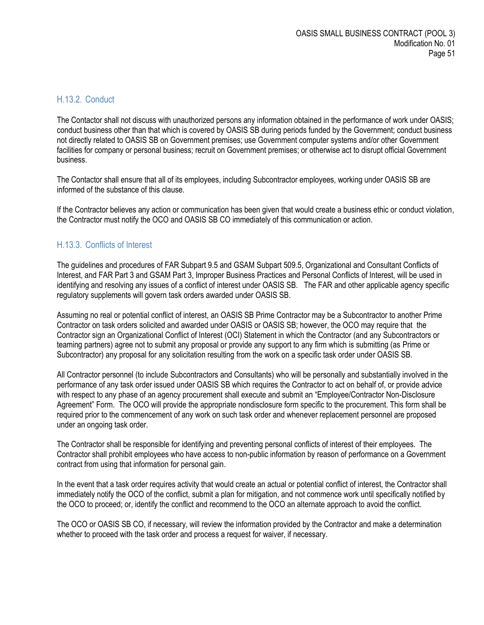#### <span id="page-50-0"></span>H.13.2. Conduct

The Contactor shall not discuss with unauthorized persons any information obtained in the performance of work under OASIS; conduct business other than that which is covered by OASIS SB during periods funded by the Government; conduct business not directly related to OASIS SB on Government premises; use Government computer systems and/or other Government facilities for company or personal business; recruit on Government premises; or otherwise act to disrupt official Government business.

The Contactor shall ensure that all of its employees, including Subcontractor employees, working under OASIS SB are informed of the substance of this clause.

If the Contractor believes any action or communication has been given that would create a business ethic or conduct violation, the Contractor must notify the OCO and OASIS SB CO immediately of this communication or action.

## <span id="page-50-1"></span>H.13.3. Conflicts of Interest

The guidelines and procedures of FAR Subpart 9.5 and GSAM Subpart 509.5, Organizational and Consultant Conflicts of Interest, and FAR Part 3 and GSAM Part 3, Improper Business Practices and Personal Conflicts of Interest, will be used in identifying and resolving any issues of a conflict of interest under OASIS SB. The FAR and other applicable agency specific regulatory supplements will govern task orders awarded under OASIS SB.

Assuming no real or potential conflict of interest, an OASIS SB Prime Contractor may be a Subcontractor to another Prime Contractor on task orders solicited and awarded under OASIS or OASIS SB; however, the OCO may require that the Contractor sign an Organizational Conflict of Interest (OCI) Statement in which the Contractor (and any Subcontractors or teaming partners) agree not to submit any proposal or provide any support to any firm which is submitting (as Prime or Subcontractor) any proposal for any solicitation resulting from the work on a specific task order under OASIS SB.

All Contractor personnel (to include Subcontractors and Consultants) who will be personally and substantially involved in the performance of any task order issued under OASIS SB which requires the Contractor to act on behalf of, or provide advice with respect to any phase of an agency procurement shall execute and submit an "Employee/Contractor Non-Disclosure Agreement" Form. The OCO will provide the appropriate nondisclosure form specific to the procurement. This form shall be required prior to the commencement of any work on such task order and whenever replacement personnel are proposed under an ongoing task order.

The Contractor shall be responsible for identifying and preventing personal conflicts of interest of their employees. The Contractor shall prohibit employees who have access to non-public information by reason of performance on a Government contract from using that information for personal gain.

In the event that a task order requires activity that would create an actual or potential conflict of interest, the Contractor shall immediately notify the OCO of the conflict, submit a plan for mitigation, and not commence work until specifically notified by the OCO to proceed; or, identify the conflict and recommend to the OCO an alternate approach to avoid the conflict.

The OCO or OASIS SB CO, if necessary, will review the information provided by the Contractor and make a determination whether to proceed with the task order and process a request for waiver, if necessary.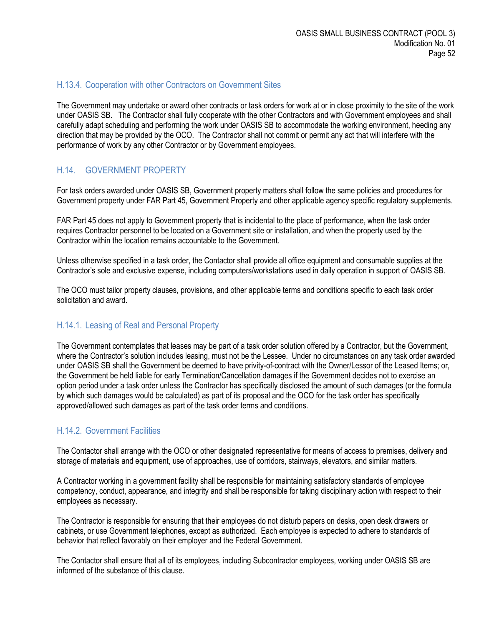#### <span id="page-51-0"></span>H.13.4. Cooperation with other Contractors on Government Sites

The Government may undertake or award other contracts or task orders for work at or in close proximity to the site of the work under OASIS SB. The Contractor shall fully cooperate with the other Contractors and with Government employees and shall carefully adapt scheduling and performing the work under OASIS SB to accommodate the working environment, heeding any direction that may be provided by the OCO. The Contractor shall not commit or permit any act that will interfere with the performance of work by any other Contractor or by Government employees.

#### <span id="page-51-1"></span>H.14. GOVERNMENT PROPERTY

For task orders awarded under OASIS SB, Government property matters shall follow the same policies and procedures for Government property under FAR Part 45, Government Property and other applicable agency specific regulatory supplements.

FAR Part 45 does not apply to Government property that is incidental to the place of performance, when the task order requires Contractor personnel to be located on a Government site or installation, and when the property used by the Contractor within the location remains accountable to the Government.

Unless otherwise specified in a task order, the Contactor shall provide all office equipment and consumable supplies at the Contractor's sole and exclusive expense, including computers/workstations used in daily operation in support of OASIS SB.

The OCO must tailor property clauses, provisions, and other applicable terms and conditions specific to each task order solicitation and award.

#### <span id="page-51-2"></span>H.14.1. Leasing of Real and Personal Property

The Government contemplates that leases may be part of a task order solution offered by a Contractor, but the Government, where the Contractor's solution includes leasing, must not be the Lessee. Under no circumstances on any task order awarded under OASIS SB shall the Government be deemed to have privity-of-contract with the Owner/Lessor of the Leased Items; or, the Government be held liable for early Termination/Cancellation damages if the Government decides not to exercise an option period under a task order unless the Contractor has specifically disclosed the amount of such damages (or the formula by which such damages would be calculated) as part of its proposal and the OCO for the task order has specifically approved/allowed such damages as part of the task order terms and conditions.

#### <span id="page-51-3"></span>H.14.2. Government Facilities

The Contactor shall arrange with the OCO or other designated representative for means of access to premises, delivery and storage of materials and equipment, use of approaches, use of corridors, stairways, elevators, and similar matters.

A Contractor working in a government facility shall be responsible for maintaining satisfactory standards of employee competency, conduct, appearance, and integrity and shall be responsible for taking disciplinary action with respect to their employees as necessary.

The Contractor is responsible for ensuring that their employees do not disturb papers on desks, open desk drawers or cabinets, or use Government telephones, except as authorized. Each employee is expected to adhere to standards of behavior that reflect favorably on their employer and the Federal Government.

The Contactor shall ensure that all of its employees, including Subcontractor employees, working under OASIS SB are informed of the substance of this clause.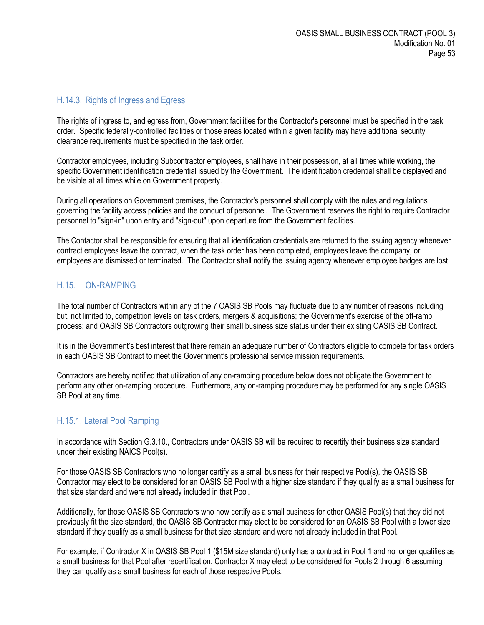#### <span id="page-52-0"></span>H.14.3. Rights of Ingress and Egress

The rights of ingress to, and egress from, Government facilities for the Contractor's personnel must be specified in the task order. Specific federally-controlled facilities or those areas located within a given facility may have additional security clearance requirements must be specified in the task order.

Contractor employees, including Subcontractor employees, shall have in their possession, at all times while working, the specific Government identification credential issued by the Government. The identification credential shall be displayed and be visible at all times while on Government property.

During all operations on Government premises, the Contractor's personnel shall comply with the rules and regulations governing the facility access policies and the conduct of personnel. The Government reserves the right to require Contractor personnel to "sign-in" upon entry and "sign-out" upon departure from the Government facilities.

The Contactor shall be responsible for ensuring that all identification credentials are returned to the issuing agency whenever contract employees leave the contract, when the task order has been completed, employees leave the company, or employees are dismissed or terminated. The Contractor shall notify the issuing agency whenever employee badges are lost.

#### <span id="page-52-1"></span>H.15. ON-RAMPING

The total number of Contractors within any of the 7 OASIS SB Pools may fluctuate due to any number of reasons including but, not limited to, competition levels on task orders, mergers & acquisitions; the Government's exercise of the off-ramp process; and OASIS SB Contractors outgrowing their small business size status under their existing OASIS SB Contract.

It is in the Government's best interest that there remain an adequate number of Contractors eligible to compete for task orders in each OASIS SB Contract to meet the Government's professional service mission requirements.

Contractors are hereby notified that utilization of any on-ramping procedure below does not obligate the Government to perform any other on-ramping procedure. Furthermore, any on-ramping procedure may be performed for any single OASIS SB Pool at any time.

#### <span id="page-52-2"></span>H.15.1. Lateral Pool Ramping

In accordance with Section G.3.10., Contractors under OASIS SB will be required to recertify their business size standard under their existing NAICS Pool(s).

For those OASIS SB Contractors who no longer certify as a small business for their respective Pool(s), the OASIS SB Contractor may elect to be considered for an OASIS SB Pool with a higher size standard if they qualify as a small business for that size standard and were not already included in that Pool.

Additionally, for those OASIS SB Contractors who now certify as a small business for other OASIS Pool(s) that they did not previously fit the size standard, the OASIS SB Contractor may elect to be considered for an OASIS SB Pool with a lower size standard if they qualify as a small business for that size standard and were not already included in that Pool.

For example, if Contractor X in OASIS SB Pool 1 (\$15M size standard) only has a contract in Pool 1 and no longer qualifies as a small business for that Pool after recertification, Contractor X may elect to be considered for Pools 2 through 6 assuming they can qualify as a small business for each of those respective Pools.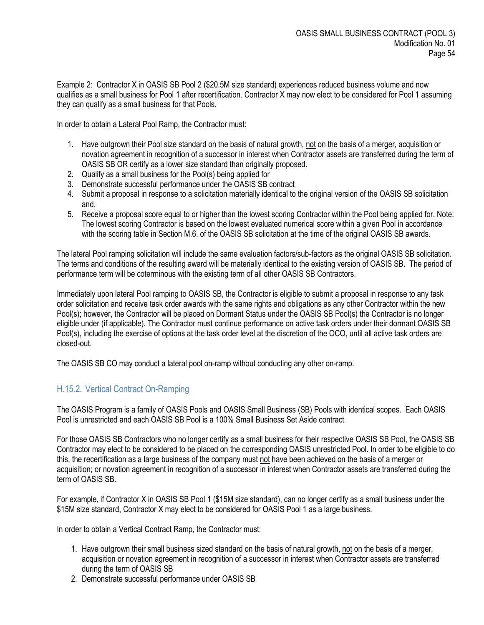Example 2: Contractor X in OASIS SB Pool 2 (\$20.5M size standard) experiences reduced business volume and now qualifies as a small business for Pool 1 after recertification. Contractor X may now elect to be considered for Pool 1 assuming they can qualify as a small business for that Pools.

In order to obtain a Lateral Pool Ramp, the Contractor must:

- 1. Have outgrown their Pool size standard on the basis of natural growth, not on the basis of a merger, acquisition or novation agreement in recognition of a successor in interest when Contractor assets are transferred during the term of OASIS SB OR certify as a lower size standard than originally proposed.
- 2. Qualify as a small business for the Pool(s) being applied for
- 3. Demonstrate successful performance under the OASIS SB contract
- 4. Submit a proposal in response to a solicitation materially identical to the original version of the OASIS SB solicitation and,
- 5. Receive a proposal score equal to or higher than the lowest scoring Contractor within the Pool being applied for. Note: The lowest scoring Contractor is based on the lowest evaluated numerical score within a given Pool in accordance with the scoring table in Section M.6. of the OASIS SB solicitation at the time of the original OASIS SB awards.

The lateral Pool ramping solicitation will include the same evaluation factors/sub-factors as the original OASIS SB solicitation. The terms and conditions of the resulting award will be materially identical to the existing version of OASIS SB. The period of performance term will be coterminous with the existing term of all other OASIS SB Contractors.

Immediately upon lateral Pool ramping to OASIS SB, the Contractor is eligible to submit a proposal in response to any task order solicitation and receive task order awards with the same rights and obligations as any other Contractor within the new Pool(s); however, the Contractor will be placed on Dormant Status under the OASIS SB Pool(s) the Contractor is no longer eligible under (if applicable). The Contractor must continue performance on active task orders under their dormant OASIS SB Pool(s), including the exercise of options at the task order level at the discretion of the OCO, until all active task orders are closed-out.

The OASIS SB CO may conduct a lateral pool on-ramp without conducting any other on-ramp.

## <span id="page-53-0"></span>H.15.2. Vertical Contract On-Ramping

The OASIS Program is a family of OASIS Pools and OASIS Small Business (SB) Pools with identical scopes. Each OASIS Pool is unrestricted and each OASIS SB Pool is a 100% Small Business Set Aside contract

For those OASIS SB Contractors who no longer certify as a small business for their respective OASIS SB Pool, the OASIS SB Contractor may elect to be considered to be placed on the corresponding OASIS unrestricted Pool. In order to be eligible to do this, the recertification as a large business of the company must not have been achieved on the basis of a merger or acquisition; or novation agreement in recognition of a successor in interest when Contractor assets are transferred during the term of OASIS SB.

For example, if Contractor X in OASIS SB Pool 1 (\$15M size standard), can no longer certify as a small business under the \$15M size standard, Contractor X may elect to be considered for OASIS Pool 1 as a large business.

In order to obtain a Vertical Contract Ramp, the Contractor must:

- 1. Have outgrown their small business sized standard on the basis of natural growth, not on the basis of a merger, acquisition or novation agreement in recognition of a successor in interest when Contractor assets are transferred during the term of OASIS SB
- 2. Demonstrate successful performance under OASIS SB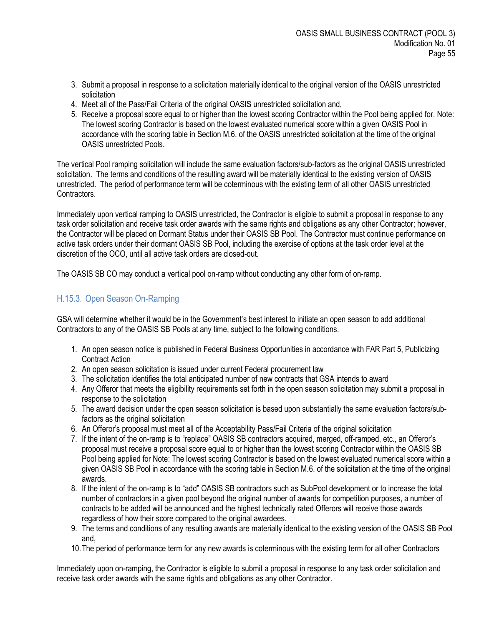- 3. Submit a proposal in response to a solicitation materially identical to the original version of the OASIS unrestricted solicitation
- 4. Meet all of the Pass/Fail Criteria of the original OASIS unrestricted solicitation and,
- 5. Receive a proposal score equal to or higher than the lowest scoring Contractor within the Pool being applied for. Note: The lowest scoring Contractor is based on the lowest evaluated numerical score within a given OASIS Pool in accordance with the scoring table in Section M.6. of the OASIS unrestricted solicitation at the time of the original OASIS unrestricted Pools.

The vertical Pool ramping solicitation will include the same evaluation factors/sub-factors as the original OASIS unrestricted solicitation. The terms and conditions of the resulting award will be materially identical to the existing version of OASIS unrestricted. The period of performance term will be coterminous with the existing term of all other OASIS unrestricted Contractors.

Immediately upon vertical ramping to OASIS unrestricted, the Contractor is eligible to submit a proposal in response to any task order solicitation and receive task order awards with the same rights and obligations as any other Contractor; however, the Contractor will be placed on Dormant Status under their OASIS SB Pool. The Contractor must continue performance on active task orders under their dormant OASIS SB Pool, including the exercise of options at the task order level at the discretion of the OCO, until all active task orders are closed-out.

The OASIS SB CO may conduct a vertical pool on-ramp without conducting any other form of on-ramp.

## <span id="page-54-0"></span>H.15.3. Open Season On-Ramping

GSA will determine whether it would be in the Government's best interest to initiate an open season to add additional Contractors to any of the OASIS SB Pools at any time, subject to the following conditions.

- 1. An open season notice is published in Federal Business Opportunities in accordance with FAR Part 5, Publicizing Contract Action
- 2. An open season solicitation is issued under current Federal procurement law
- 3. The solicitation identifies the total anticipated number of new contracts that GSA intends to award
- 4. Any Offeror that meets the eligibility requirements set forth in the open season solicitation may submit a proposal in response to the solicitation
- 5. The award decision under the open season solicitation is based upon substantially the same evaluation factors/subfactors as the original solicitation
- 6. An Offeror's proposal must meet all of the Acceptability Pass/Fail Criteria of the original solicitation
- 7. If the intent of the on-ramp is to "replace" OASIS SB contractors acquired, merged, off-ramped, etc., an Offeror's proposal must receive a proposal score equal to or higher than the lowest scoring Contractor within the OASIS SB Pool being applied for Note: The lowest scoring Contractor is based on the lowest evaluated numerical score within a given OASIS SB Pool in accordance with the scoring table in Section M.6. of the solicitation at the time of the original awards.
- 8. If the intent of the on-ramp is to "add" OASIS SB contractors such as SubPool development or to increase the total number of contractors in a given pool beyond the original number of awards for competition purposes, a number of contracts to be added will be announced and the highest technically rated Offerors will receive those awards regardless of how their score compared to the original awardees.
- 9. The terms and conditions of any resulting awards are materially identical to the existing version of the OASIS SB Pool and,
- 10.The period of performance term for any new awards is coterminous with the existing term for all other Contractors

Immediately upon on-ramping, the Contractor is eligible to submit a proposal in response to any task order solicitation and receive task order awards with the same rights and obligations as any other Contractor.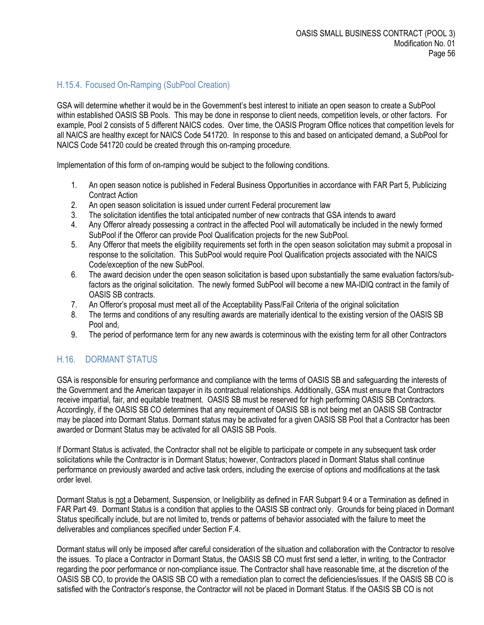# <span id="page-55-0"></span>H.15.4. Focused On-Ramping (SubPool Creation)

GSA will determine whether it would be in the Government's best interest to initiate an open season to create a SubPool within established OASIS SB Pools. This may be done in response to client needs, competition levels, or other factors. For example, Pool 2 consists of 5 different NAICS codes. Over time, the OASIS Program Office notices that competition levels for all NAICS are healthy except for NAICS Code 541720. In response to this and based on anticipated demand, a SubPool for NAICS Code 541720 could be created through this on-ramping procedure.

Implementation of this form of on-ramping would be subject to the following conditions.

- 1. An open season notice is published in Federal Business Opportunities in accordance with FAR Part 5, Publicizing Contract Action
- 2. An open season solicitation is issued under current Federal procurement law
- 3. The solicitation identifies the total anticipated number of new contracts that GSA intends to award
- 4. Any Offeror already possessing a contract in the affected Pool will automatically be included in the newly formed SubPool if the Offeror can provide Pool Qualification projects for the new SubPool.
- 5. Any Offeror that meets the eligibility requirements set forth in the open season solicitation may submit a proposal in response to the solicitation. This SubPool would require Pool Qualification projects associated with the NAICS Code/exception of the new SubPool.
- 6. The award decision under the open season solicitation is based upon substantially the same evaluation factors/subfactors as the original solicitation. The newly formed SubPool will become a new MA-IDIQ contract in the family of OASIS SB contracts.
- 7. An Offeror's proposal must meet all of the Acceptability Pass/Fail Criteria of the original solicitation
- 8. The terms and conditions of any resulting awards are materially identical to the existing version of the OASIS SB Pool and,
- 9. The period of performance term for any new awards is coterminous with the existing term for all other Contractors

## <span id="page-55-1"></span>H.16. DORMANT STATUS

GSA is responsible for ensuring performance and compliance with the terms of OASIS SB and safeguarding the interests of the Government and the American taxpayer in its contractual relationships. Additionally, GSA must ensure that Contractors receive impartial, fair, and equitable treatment. OASIS SB must be reserved for high performing OASIS SB Contractors. Accordingly, if the OASIS SB CO determines that any requirement of OASIS SB is not being met an OASIS SB Contractor may be placed into Dormant Status. Dormant status may be activated for a given OASIS SB Pool that a Contractor has been awarded or Dormant Status may be activated for all OASIS SB Pools.

If Dormant Status is activated, the Contractor shall not be eligible to participate or compete in any subsequent task order solicitations while the Contractor is in Dormant Status; however, Contractors placed in Dormant Status shall continue performance on previously awarded and active task orders, including the exercise of options and modifications at the task order level.

Dormant Status is not a Debarment, Suspension, or Ineligibility as defined in FAR Subpart 9.4 or a Termination as defined in FAR Part 49. Dormant Status is a condition that applies to the OASIS SB contract only. Grounds for being placed in Dormant Status specifically include, but are not limited to, trends or patterns of behavior associated with the failure to meet the deliverables and compliances specified under Section F.4.

Dormant status will only be imposed after careful consideration of the situation and collaboration with the Contractor to resolve the issues. To place a Contractor in Dormant Status, the OASIS SB CO must first send a letter, in writing, to the Contractor regarding the poor performance or non-compliance issue. The Contractor shall have reasonable time, at the discretion of the OASIS SB CO, to provide the OASIS SB CO with a remediation plan to correct the deficiencies/issues. If the OASIS SB CO is satisfied with the Contractor's response, the Contractor will not be placed in Dormant Status. If the OASIS SB CO is not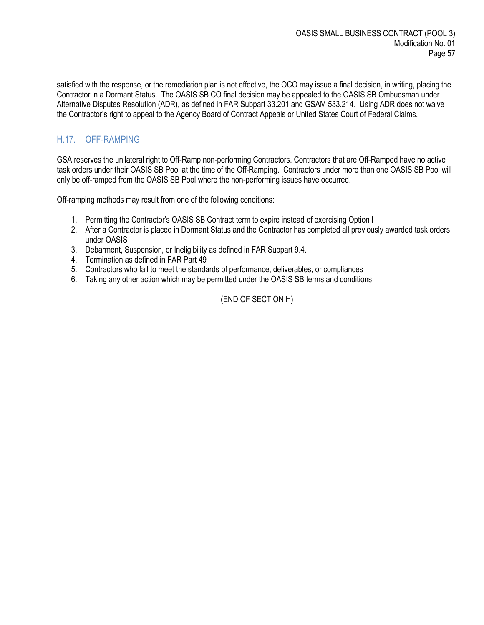satisfied with the response, or the remediation plan is not effective, the OCO may issue a final decision, in writing, placing the Contractor in a Dormant Status. The OASIS SB CO final decision may be appealed to the OASIS SB Ombudsman under Alternative Disputes Resolution (ADR), as defined in FAR Subpart 33.201 and GSAM 533.214. Using ADR does not waive the Contractor's right to appeal to the Agency Board of Contract Appeals or United States Court of Federal Claims.

# <span id="page-56-0"></span>H.17. OFF-RAMPING

GSA reserves the unilateral right to Off-Ramp non-performing Contractors. Contractors that are Off-Ramped have no active task orders under their OASIS SB Pool at the time of the Off-Ramping. Contractors under more than one OASIS SB Pool will only be off-ramped from the OASIS SB Pool where the non-performing issues have occurred.

Off-ramping methods may result from one of the following conditions:

- 1. Permitting the Contractor's OASIS SB Contract term to expire instead of exercising Option I
- 2. After a Contractor is placed in Dormant Status and the Contractor has completed all previously awarded task orders under OASIS
- 3. Debarment, Suspension, or Ineligibility as defined in FAR Subpart 9.4.
- 4. Termination as defined in FAR Part 49
- 5. Contractors who fail to meet the standards of performance, deliverables, or compliances
- 6. Taking any other action which may be permitted under the OASIS SB terms and conditions

(END OF SECTION H)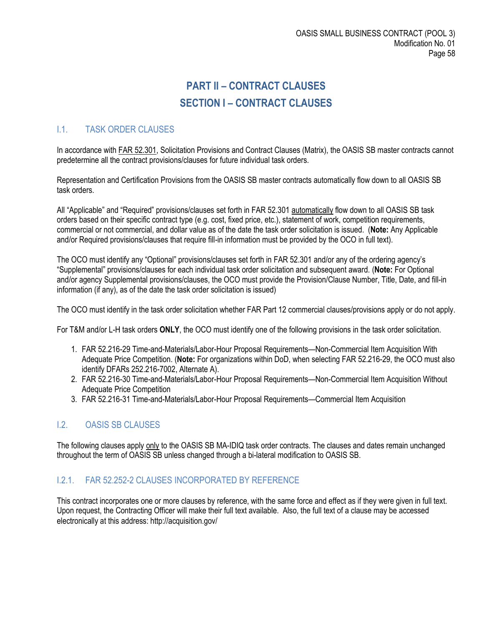# **PART II – CONTRACT CLAUSES SECTION I – CONTRACT CLAUSES**

# <span id="page-57-2"></span><span id="page-57-1"></span><span id="page-57-0"></span>I.1. TASK ORDER CLAUSES

In accordance with FAR 52.301, Solicitation Provisions and Contract Clauses (Matrix), the OASIS SB master contracts cannot predetermine all the contract provisions/clauses for future individual task orders.

Representation and Certification Provisions from the OASIS SB master contracts automatically flow down to all OASIS SB task orders.

All "Applicable" and "Required" provisions/clauses set forth in FAR 52.301 automatically flow down to all OASIS SB task orders based on their specific contract type (e.g. cost, fixed price, etc.), statement of work, competition requirements, commercial or not commercial, and dollar value as of the date the task order solicitation is issued. (**Note:** Any Applicable and/or Required provisions/clauses that require fill-in information must be provided by the OCO in full text).

The OCO must identify any "Optional" provisions/clauses set forth in FAR 52.301 and/or any of the ordering agency's "Supplemental" provisions/clauses for each individual task order solicitation and subsequent award. (**Note:** For Optional and/or agency Supplemental provisions/clauses, the OCO must provide the Provision/Clause Number, Title, Date, and fill-in information (if any), as of the date the task order solicitation is issued)

The OCO must identify in the task order solicitation whether FAR Part 12 commercial clauses/provisions apply or do not apply.

For T&M and/or L-H task orders **ONLY**, the OCO must identify one of the following provisions in the task order solicitation.

- 1. FAR 52.216-29 Time-and-Materials/Labor-Hour Proposal Requirements—Non-Commercial Item Acquisition With Adequate Price Competition. (**Note:** For organizations within DoD, when selecting FAR 52.216-29, the OCO must also identify DFARs 252.216-7002, Alternate A).
- 2. FAR 52.216-30 Time-and-Materials/Labor-Hour Proposal Requirements—Non-Commercial Item Acquisition Without Adequate Price Competition
- 3. FAR 52.216-31 Time-and-Materials/Labor-Hour Proposal Requirements—Commercial Item Acquisition

## <span id="page-57-3"></span>I.2. OASIS SB CLAUSES

The following clauses apply only to the OASIS SB MA-IDIQ task order contracts. The clauses and dates remain unchanged throughout the term of OASIS SB unless changed through a bi-lateral modification to OASIS SB.

#### <span id="page-57-4"></span>I.2.1. FAR 52.252-2 CLAUSES INCORPORATED BY REFERENCE

This contract incorporates one or more clauses by reference, with the same force and effect as if they were given in full text. Upon request, the Contracting Officer will make their full text available. Also, the full text of a clause may be accessed electronically at this address: http://acquisition.gov/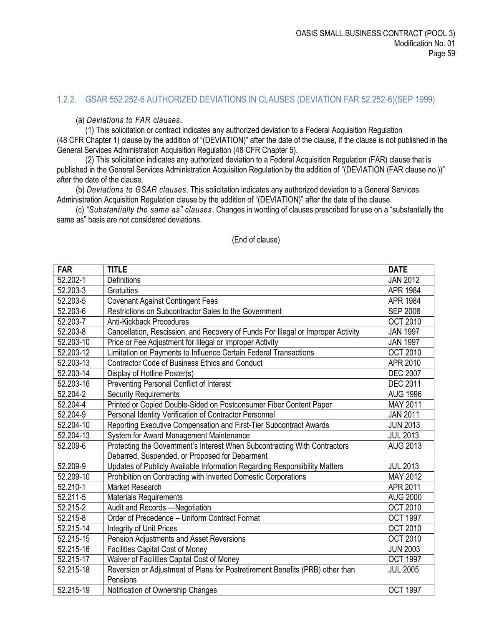#### <span id="page-58-0"></span>1.2.2. GSAR 552.252-6 AUTHORIZED DEVIATIONS IN CLAUSES (DEVIATION FAR 52.252-6)(SEP 1999)

(a) *Deviations to FAR clauses***.** 

(1) This solicitation or contract indicates any authorized deviation to a Federal Acquisition Regulation (48 CFR Chapter 1) clause by the addition of "(DEVIATION)" after the date of the clause, if the clause is not published in the General Services Administration Acquisition Regulation (48 CFR Chapter 5).

(2) This solicitation indicates any authorized deviation to a Federal Acquisition Regulation (FAR) clause that is published in the General Services Administration Acquisition Regulation by the addition of "(DEVIATION (FAR clause no.))" after the date of the clause.

(b) *Deviations to GSAR clauses*. This solicitation indicates any authorized deviation to a General Services Administration Acquisition Regulation clause by the addition of "(DEVIATION)" after the date of the clause.

(c) *"Substantially the same as" clauses*. Changes in wording of clauses prescribed for use on a "substantially the same as" basis are not considered deviations.

| <b>FAR</b> | <b>TITLE</b>                                                                     | <b>DATE</b>     |
|------------|----------------------------------------------------------------------------------|-----------------|
| 52.202-1   | Definitions                                                                      | <b>JAN 2012</b> |
| 52.203-3   | Gratuities                                                                       | <b>APR 1984</b> |
| 52.203-5   | <b>Covenant Against Contingent Fees</b>                                          | APR 1984        |
| 52.203-6   | Restrictions on Subcontractor Sales to the Government                            | <b>SEP 2006</b> |
| 52.203-7   | Anti-Kickback Procedures                                                         | <b>OCT 2010</b> |
| 52.203-8   | Cancellation, Rescission, and Recovery of Funds For Illegal or Improper Activity | <b>JAN 1997</b> |
| 52.203-10  | Price or Fee Adjustment for Illegal or Improper Activity                         | <b>JAN 1997</b> |
| 52.203-12  | Limitation on Payments to Influence Certain Federal Transactions                 | <b>OCT 2010</b> |
| 52.203-13  | Contractor Code of Business Ethics and Conduct                                   | APR 2010        |
| 52.203-14  | Display of Hotline Poster(s)                                                     | <b>DEC 2007</b> |
| 52.203-16  | Preventing Personal Conflict of Interest                                         | <b>DEC 2011</b> |
| 52.204-2   | <b>Security Requirements</b>                                                     | <b>AUG 1996</b> |
| 52.204-4   | Printed or Copied Double-Sided on Postconsumer Fiber Content Paper               | MAY 2011        |
| 52.204-9   | Personal Identity Verification of Contractor Personnel                           | <b>JAN 2011</b> |
| 52.204-10  | Reporting Executive Compensation and First-Tier Subcontract Awards               | <b>JUN 2013</b> |
| 52.204-13  | System for Award Management Maintenance                                          | <b>JUL 2013</b> |
| 52.209-6   | Protecting the Government's Interest When Subcontracting With Contractors        | <b>AUG 2013</b> |
|            | Debarred, Suspended, or Proposed for Debarment                                   |                 |
| 52.209-9   | Updates of Publicly Available Information Regarding Responsibility Matters       | <b>JUL 2013</b> |
| 52.209-10  | Prohibition on Contracting with Inverted Domestic Corporations                   | MAY 2012        |
| 52.210-1   | <b>Market Research</b>                                                           | APR 2011        |
| 52.211-5   | <b>Materials Requirements</b>                                                    | <b>AUG 2000</b> |
| 52.215-2   | Audit and Records -Negotiation                                                   | <b>OCT 2010</b> |
| 52.215-8   | Order of Precedence - Uniform Contract Format                                    | <b>OCT 1997</b> |
| 52.215-14  | Integrity of Unit Prices                                                         | <b>OCT 2010</b> |
| 52.215-15  | Pension Adjustments and Asset Reversions                                         | <b>OCT 2010</b> |
| 52.215-16  | <b>Facilities Capital Cost of Money</b>                                          | <b>JUN 2003</b> |
| 52.215-17  | Waiver of Facilities Capital Cost of Money                                       | OCT 1997        |
| 52.215-18  | Reversion or Adjustment of Plans for Postretirement Benefits (PRB) other than    | <b>JUL 2005</b> |
|            | Pensions                                                                         |                 |
| 52.215-19  | Notification of Ownership Changes                                                | <b>OCT 1997</b> |

(End of clause)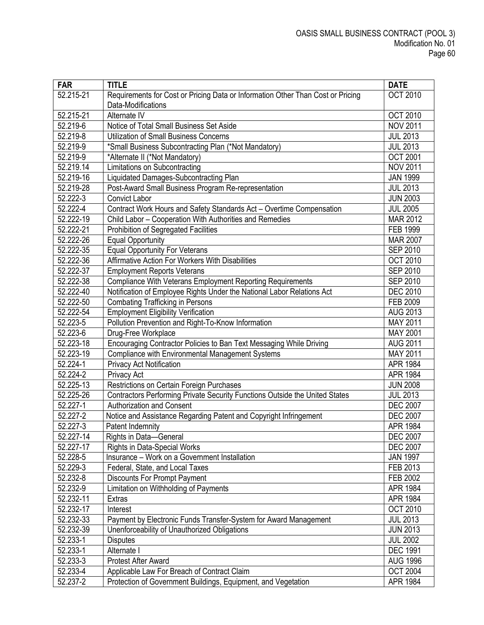| <b>FAR</b>            | <b>TITLE</b>                                                                    | <b>DATE</b>     |
|-----------------------|---------------------------------------------------------------------------------|-----------------|
| 52.215-21             | Requirements for Cost or Pricing Data or Information Other Than Cost or Pricing | <b>OCT 2010</b> |
|                       | Data-Modifications                                                              |                 |
| 52.215-21             | Alternate IV                                                                    | <b>OCT 2010</b> |
| 52.219-6              | Notice of Total Small Business Set Aside                                        | <b>NOV 2011</b> |
| 52.219-8              | <b>Utilization of Small Business Concerns</b>                                   | <b>JUL 2013</b> |
| 52.219-9              | *Small Business Subcontracting Plan (*Not Mandatory)                            | <b>JUL 2013</b> |
| 52.219-9              | *Alternate II (*Not Mandatory)                                                  | <b>OCT 2001</b> |
| 52.219.14             | Limitations on Subcontracting                                                   | <b>NOV 2011</b> |
| 52.219-16             | Liquidated Damages-Subcontracting Plan                                          | <b>JAN 1999</b> |
| 52.219-28             | Post-Award Small Business Program Re-representation                             | <b>JUL 2013</b> |
| 52.222-3              | <b>Convict Labor</b>                                                            | <b>JUN 2003</b> |
| 52.222-4              | Contract Work Hours and Safety Standards Act - Overtime Compensation            | <b>JUL 2005</b> |
| 52.222-19             | Child Labor - Cooperation With Authorities and Remedies                         | MAR 2012        |
| 52.222-21             | Prohibition of Segregated Facilities                                            | FEB 1999        |
| 52.222-26             | <b>Equal Opportunity</b>                                                        | <b>MAR 2007</b> |
| 52.222-35             | <b>Equal Opportunity For Veterans</b>                                           | <b>SEP 2010</b> |
| 52.222-36             | Affirmative Action For Workers With Disabilities                                | <b>OCT 2010</b> |
| 52.222-37             | <b>Employment Reports Veterans</b>                                              | <b>SEP 2010</b> |
| 52.222-38             | <b>Compliance With Veterans Employment Reporting Requirements</b>               | <b>SEP 2010</b> |
| 52.222-40             | Notification of Employee Rights Under the National Labor Relations Act          | <b>DEC 2010</b> |
| 52.222-50             | <b>Combating Trafficking in Persons</b>                                         | FEB 2009        |
| 52.222-54             | <b>Employment Eligibility Verification</b>                                      | <b>AUG 2013</b> |
| 52.223-5              | Pollution Prevention and Right-To-Know Information                              | MAY 2011        |
| 52.223-6              | Drug-Free Workplace                                                             | MAY 2001        |
| 52.223-18             | Encouraging Contractor Policies to Ban Text Messaging While Driving             | <b>AUG 2011</b> |
| 52.223-19             | <b>Compliance with Environmental Management Systems</b>                         | MAY 2011        |
| 52.224-1              | <b>Privacy Act Notification</b>                                                 | APR 1984        |
| 52.224-2              | Privacy Act                                                                     | APR 1984        |
| 52.225-13             | Restrictions on Certain Foreign Purchases                                       | <b>JUN 2008</b> |
| 52.225-26             | Contractors Performing Private Security Functions Outside the United States     | <b>JUL 2013</b> |
| 52.227-1              | <b>Authorization and Consent</b>                                                | <b>DEC 2007</b> |
| 52.227-2              | Notice and Assistance Regarding Patent and Copyright Infringement               | <b>DEC 2007</b> |
| 52.227-3              | Patent Indemnity                                                                | APR 1984        |
| 52.227-14             | Rights in Data-General                                                          | <b>DEC 2007</b> |
| 52.227-17             | <b>Rights in Data-Special Works</b>                                             | <b>DEC 2007</b> |
| 52.228-5              | Insurance - Work on a Government Installation                                   | <b>JAN 1997</b> |
| 52.229-3              | Federal, State, and Local Taxes                                                 | FEB 2013        |
| 52.232-8              | <b>Discounts For Prompt Payment</b>                                             | FEB 2002        |
| 52.232-9              | Limitation on Withholding of Payments                                           | APR 1984        |
| 52.232-11             | Extras                                                                          | APR 1984        |
| 52.232-17             | Interest                                                                        | <b>OCT 2010</b> |
| 52.232-33             | Payment by Electronic Funds Transfer-System for Award Management                | <b>JUL 2013</b> |
| 52.232-39             | Unenforceability of Unauthorized Obligations                                    | <b>JUN 2013</b> |
| 52.233-1              | <b>Disputes</b>                                                                 | <b>JUL 2002</b> |
| 52.233-1              | Alternate I                                                                     | <b>DEC 1991</b> |
| 52.233-3              | <b>Protest After Award</b>                                                      | <b>AUG 1996</b> |
| 52.233-4              | Applicable Law For Breach of Contract Claim                                     | <b>OCT 2004</b> |
| $\overline{52.237-2}$ | Protection of Government Buildings, Equipment, and Vegetation                   | APR 1984        |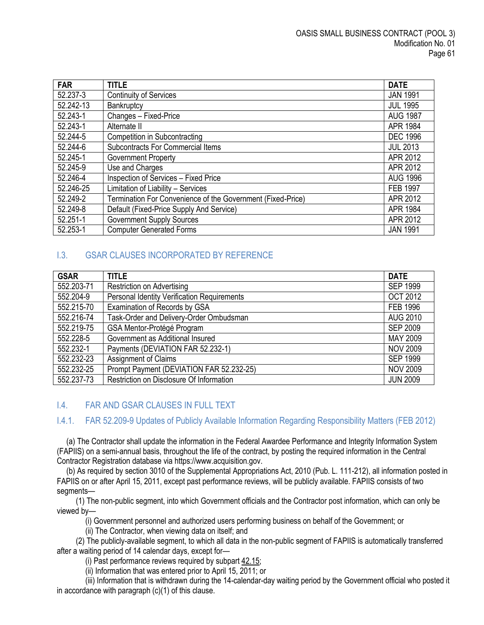| <b>FAR</b> | <b>TITLE</b>                                                | <b>DATE</b>     |
|------------|-------------------------------------------------------------|-----------------|
| 52.237-3   | <b>Continuity of Services</b>                               | <b>JAN 1991</b> |
| 52.242-13  | Bankruptcy                                                  | <b>JUL 1995</b> |
| 52.243-1   | Changes - Fixed-Price                                       | <b>AUG 1987</b> |
| 52.243-1   | Alternate II                                                | APR 1984        |
| 52.244-5   | <b>Competition in Subcontracting</b>                        | <b>DEC 1996</b> |
| 52.244-6   | <b>Subcontracts For Commercial Items</b>                    | <b>JUL 2013</b> |
| 52.245-1   | <b>Government Property</b>                                  | APR 2012        |
| 52.245-9   | Use and Charges                                             | APR 2012        |
| 52.246-4   | Inspection of Services - Fixed Price                        | <b>AUG 1996</b> |
| 52.246-25  | Limitation of Liability - Services                          | <b>FEB 1997</b> |
| 52.249-2   | Termination For Convenience of the Government (Fixed-Price) | APR 2012        |
| 52.249-8   | Default (Fixed-Price Supply And Service)                    | APR 1984        |
| 52.251-1   | <b>Government Supply Sources</b>                            | APR 2012        |
| 52.253-1   | <b>Computer Generated Forms</b>                             | <b>JAN 1991</b> |

# <span id="page-60-0"></span>I.3. GSAR CLAUSES INCORPORATED BY REFERENCE

| <b>GSAR</b> | <b>TITLE</b>                                | <b>DATE</b>     |
|-------------|---------------------------------------------|-----------------|
| 552.203-71  | <b>Restriction on Advertising</b>           | <b>SEP 1999</b> |
| 552.204-9   | Personal Identity Verification Requirements | <b>OCT 2012</b> |
| 552.215-70  | Examination of Records by GSA               | <b>FEB 1996</b> |
| 552.216-74  | Task-Order and Delivery-Order Ombudsman     | <b>AUG 2010</b> |
| 552.219-75  | GSA Mentor-Protégé Program                  | <b>SEP 2009</b> |
| 552.228-5   | Government as Additional Insured            | MAY 2009        |
| 552.232-1   | Payments (DEVIATION FAR 52.232-1)           | <b>NOV 2009</b> |
| 552.232-23  | Assignment of Claims                        | <b>SEP 1999</b> |
| 552.232-25  | Prompt Payment (DEVIATION FAR 52.232-25)    | <b>NOV 2009</b> |
| 552.237-73  | Restriction on Disclosure Of Information    | <b>JUN 2009</b> |

## <span id="page-60-1"></span>I.4. FAR AND GSAR CLAUSES IN FULL TEXT

# <span id="page-60-2"></span>I.4.1. FAR 52.209-9 Updates of Publicly Available Information Regarding Responsibility Matters (FEB 2012)

(a) The Contractor shall update the information in the Federal Awardee Performance and Integrity Information System (FAPIIS) on a semi-annual basis, throughout the life of the contract, by posting the required information in the Central Contractor Registration database via https://www.acquisition.gov.

(b) As required by section 3010 of the Supplemental Appropriations Act, 2010 (Pub. L. 111-212), all information posted in FAPIIS on or after April 15, 2011, except past performance reviews, will be publicly available. FAPIIS consists of two segments—

(1) The non-public segment, into which Government officials and the Contractor post information, which can only be viewed by—

(i) Government personnel and authorized users performing business on behalf of the Government; or

(ii) The Contractor, when viewing data on itself; and

(2) The publicly-available segment, to which all data in the non-public segment of FAPIIS is automatically transferred after a waiting period of 14 calendar days, except for—

(i) Past performance reviews required by subpart  $42.15$ ;

(ii) Information that was entered prior to April 15, 2011; or

(iii) Information that is withdrawn during the 14-calendar-day waiting period by the Government official who posted it in accordance with paragraph (c)(1) of this clause.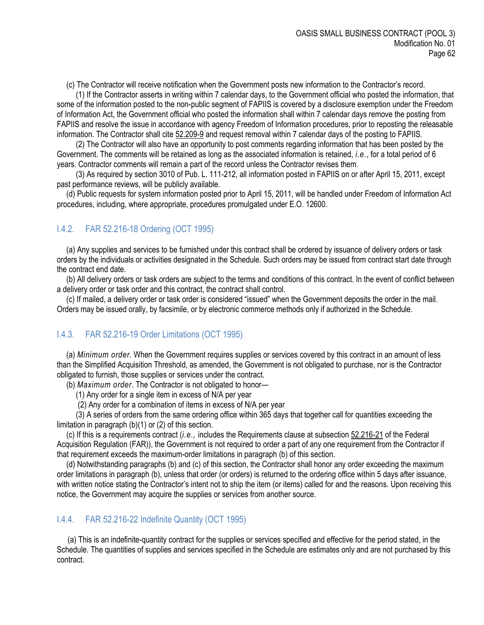(c) The Contractor will receive notification when the Government posts new information to the Contractor's record.

(1) If the Contractor asserts in writing within 7 calendar days, to the Government official who posted the information, that some of the information posted to the non-public segment of FAPIIS is covered by a disclosure exemption under the Freedom of Information Act, the Government official who posted the information shall within 7 calendar days remove the posting from FAPIIS and resolve the issue in accordance with agency Freedom of Information procedures, prior to reposting the releasable information. The Contractor shall cite [52.209-9](https://www.acquisition.gov/far/current/html/52_207_211.html#wp1145644) and request removal within 7 calendar days of the posting to FAPIIS.

(2) The Contractor will also have an opportunity to post comments regarding information that has been posted by the Government. The comments will be retained as long as the associated information is retained, *i.e.*, for a total period of 6 years. Contractor comments will remain a part of the record unless the Contractor revises them.

(3) As required by section 3010 of Pub. L. 111-212, all information posted in FAPIIS on or after April 15, 2011, except past performance reviews, will be publicly available.

(d) Public requests for system information posted prior to April 15, 2011, will be handled under Freedom of Information Act procedures, including, where appropriate, procedures promulgated under E.O. 12600.

## <span id="page-61-0"></span>I.4.2. FAR 52.216-18 Ordering (OCT 1995)

(a) Any supplies and services to be furnished under this contract shall be ordered by issuance of delivery orders or task orders by the individuals or activities designated in the Schedule. Such orders may be issued from contract start date through the contract end date.

(b) All delivery orders or task orders are subject to the terms and conditions of this contract. In the event of conflict between a delivery order or task order and this contract, the contract shall control.

(c) If mailed, a delivery order or task order is considered "issued" when the Government deposits the order in the mail. Orders may be issued orally, by facsimile, or by electronic commerce methods only if authorized in the Schedule.

#### <span id="page-61-1"></span>I.4.3. FAR 52.216-19 Order Limitations (OCT 1995)

(a) *Minimum order*. When the Government requires supplies or services covered by this contract in an amount of less than the Simplified Acquisition Threshold, as amended, the Government is not obligated to purchase, nor is the Contractor obligated to furnish, those supplies or services under the contract.

(b) *Maximum order*. The Contractor is not obligated to honor—

(1) Any order for a single item in excess of N/A per year

(2) Any order for a combination of items in excess of N/A per year

(3) A series of orders from the same ordering office within 365 days that together call for quantities exceeding the limitation in paragraph (b)(1) or (2) of this section.

(c) If this is a requirements contract (*i.e.,* includes the Requirements clause at subsection [52.216-21](https://www.acquisition.gov/far/current/html/52_216.html#wp1115057) of the Federal Acquisition Regulation (FAR)), the Government is not required to order a part of any one requirement from the Contractor if that requirement exceeds the maximum-order limitations in paragraph (b) of this section.

(d) Notwithstanding paragraphs (b) and (c) of this section, the Contractor shall honor any order exceeding the maximum order limitations in paragraph (b), unless that order (or orders) is returned to the ordering office within 5 days after issuance, with written notice stating the Contractor's intent not to ship the item (or items) called for and the reasons. Upon receiving this notice, the Government may acquire the supplies or services from another source.

#### <span id="page-61-2"></span>I.4.4. FAR 52.216-22 Indefinite Quantity (OCT 1995)

(a) This is an indefinite-quantity contract for the supplies or services specified and effective for the period stated, in the Schedule. The quantities of supplies and services specified in the Schedule are estimates only and are not purchased by this contract.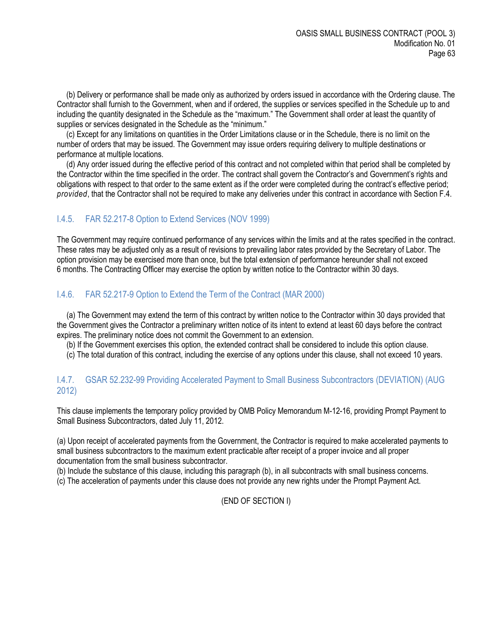(b) Delivery or performance shall be made only as authorized by orders issued in accordance with the Ordering clause. The Contractor shall furnish to the Government, when and if ordered, the supplies or services specified in the Schedule up to and including the quantity designated in the Schedule as the "maximum." The Government shall order at least the quantity of supplies or services designated in the Schedule as the "minimum."

(c) Except for any limitations on quantities in the Order Limitations clause or in the Schedule, there is no limit on the number of orders that may be issued. The Government may issue orders requiring delivery to multiple destinations or performance at multiple locations.

(d) Any order issued during the effective period of this contract and not completed within that period shall be completed by the Contractor within the time specified in the order. The contract shall govern the Contractor's and Government's rights and obligations with respect to that order to the same extent as if the order were completed during the contract's effective period; *provided*, that the Contractor shall not be required to make any deliveries under this contract in accordance with Section F.4.

# <span id="page-62-0"></span>I.4.5. FAR 52.217-8 Option to Extend Services (NOV 1999)

The Government may require continued performance of any services within the limits and at the rates specified in the contract. These rates may be adjusted only as a result of revisions to prevailing labor rates provided by the Secretary of Labor. The option provision may be exercised more than once, but the total extension of performance hereunder shall not exceed 6 months. The Contracting Officer may exercise the option by written notice to the Contractor within 30 days.

# <span id="page-62-1"></span>I.4.6. FAR 52.217-9 Option to Extend the Term of the Contract (MAR 2000)

(a) The Government may extend the term of this contract by written notice to the Contractor within 30 days provided that the Government gives the Contractor a preliminary written notice of its intent to extend at least 60 days before the contract expires. The preliminary notice does not commit the Government to an extension.

(b) If the Government exercises this option, the extended contract shall be considered to include this option clause.

(c) The total duration of this contract, including the exercise of any options under this clause, shall not exceed 10 years.

## <span id="page-62-2"></span>I.4.7. GSAR 52.232-99 Providing Accelerated Payment to Small Business Subcontractors (DEVIATION) (AUG 2012)

This clause implements the temporary policy provided by OMB Policy Memorandum M-12-16, providing Prompt Payment to Small Business Subcontractors, dated July 11, 2012.

(a) Upon receipt of accelerated payments from the Government, the Contractor is required to make accelerated payments to small business subcontractors to the maximum extent practicable after receipt of a proper invoice and all proper documentation from the small business subcontractor.

(b) Include the substance of this clause, including this paragraph (b), in all subcontracts with small business concerns.

(c) The acceleration of payments under this clause does not provide any new rights under the Prompt Payment Act.

## (END OF SECTION I)